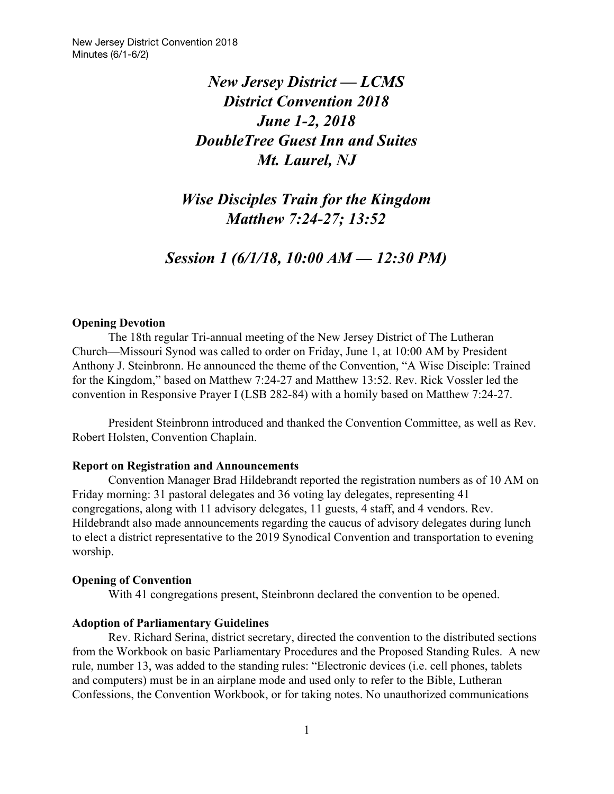# *New Jersey District — LCMS District Convention 2018 June 1-2, 2018 DoubleTree Guest Inn and Suites Mt. Laurel, NJ*

*Wise Disciples Train for the Kingdom Matthew 7:24-27; 13:52*

*Session 1 (6/1/18, 10:00 AM — 12:30 PM)*

#### **Opening Devotion**

The 18th regular Tri-annual meeting of the New Jersey District of The Lutheran Church—Missouri Synod was called to order on Friday, June 1, at 10:00 AM by President Anthony J. Steinbronn. He announced the theme of the Convention, "A Wise Disciple: Trained for the Kingdom," based on Matthew 7:24-27 and Matthew 13:52. Rev. Rick Vossler led the convention in Responsive Prayer I (LSB 282-84) with a homily based on Matthew 7:24-27.

President Steinbronn introduced and thanked the Convention Committee, as well as Rev. Robert Holsten, Convention Chaplain.

#### **Report on Registration and Announcements**

Convention Manager Brad Hildebrandt reported the registration numbers as of 10 AM on Friday morning: 31 pastoral delegates and 36 voting lay delegates, representing 41 congregations, along with 11 advisory delegates, 11 guests, 4 staff, and 4 vendors. Rev. Hildebrandt also made announcements regarding the caucus of advisory delegates during lunch to elect a district representative to the 2019 Synodical Convention and transportation to evening worship.

#### **Opening of Convention**

With 41 congregations present, Steinbronn declared the convention to be opened.

#### **Adoption of Parliamentary Guidelines**

Rev. Richard Serina, district secretary, directed the convention to the distributed sections from the Workbook on basic Parliamentary Procedures and the Proposed Standing Rules. A new rule, number 13, was added to the standing rules: "Electronic devices (i.e. cell phones, tablets and computers) must be in an airplane mode and used only to refer to the Bible, Lutheran Confessions, the Convention Workbook, or for taking notes. No unauthorized communications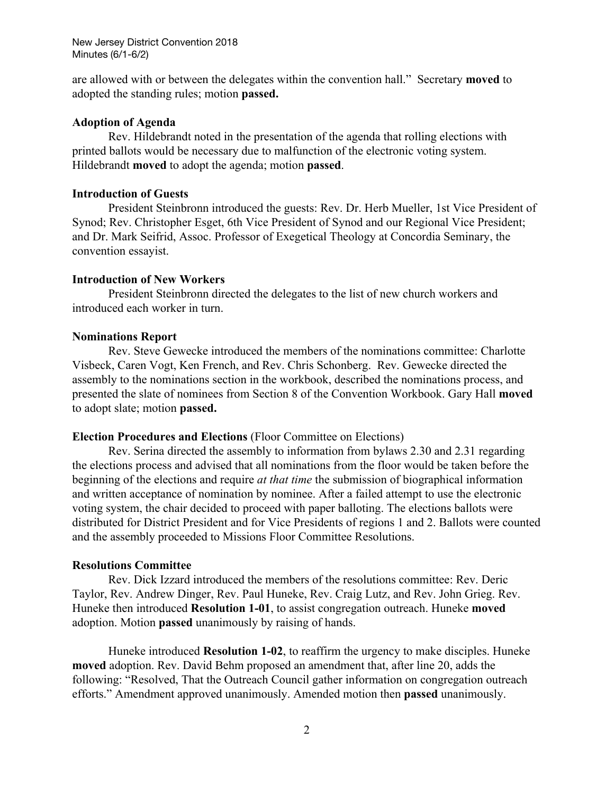are allowed with or between the delegates within the convention hall." Secretary **moved** to adopted the standing rules; motion **passed.**

### **Adoption of Agenda**

Rev. Hildebrandt noted in the presentation of the agenda that rolling elections with printed ballots would be necessary due to malfunction of the electronic voting system. Hildebrandt **moved** to adopt the agenda; motion **passed**.

#### **Introduction of Guests**

President Steinbronn introduced the guests: Rev. Dr. Herb Mueller, 1st Vice President of Synod; Rev. Christopher Esget, 6th Vice President of Synod and our Regional Vice President; and Dr. Mark Seifrid, Assoc. Professor of Exegetical Theology at Concordia Seminary, the convention essayist.

#### **Introduction of New Workers**

President Steinbronn directed the delegates to the list of new church workers and introduced each worker in turn.

#### **Nominations Report**

Rev. Steve Gewecke introduced the members of the nominations committee: Charlotte Visbeck, Caren Vogt, Ken French, and Rev. Chris Schonberg. Rev. Gewecke directed the assembly to the nominations section in the workbook, described the nominations process, and presented the slate of nominees from Section 8 of the Convention Workbook. Gary Hall **moved** to adopt slate; motion **passed.**

#### **Election Procedures and Elections** (Floor Committee on Elections)

Rev. Serina directed the assembly to information from bylaws 2.30 and 2.31 regarding the elections process and advised that all nominations from the floor would be taken before the beginning of the elections and require *at that time* the submission of biographical information and written acceptance of nomination by nominee. After a failed attempt to use the electronic voting system, the chair decided to proceed with paper balloting. The elections ballots were distributed for District President and for Vice Presidents of regions 1 and 2. Ballots were counted and the assembly proceeded to Missions Floor Committee Resolutions.

#### **Resolutions Committee**

Rev. Dick Izzard introduced the members of the resolutions committee: Rev. Deric Taylor, Rev. Andrew Dinger, Rev. Paul Huneke, Rev. Craig Lutz, and Rev. John Grieg. Rev. Huneke then introduced **Resolution 1-01**, to assist congregation outreach. Huneke **moved** adoption. Motion **passed** unanimously by raising of hands.

Huneke introduced **Resolution 1-02**, to reaffirm the urgency to make disciples. Huneke **moved** adoption. Rev. David Behm proposed an amendment that, after line 20, adds the following: "Resolved, That the Outreach Council gather information on congregation outreach efforts." Amendment approved unanimously. Amended motion then **passed** unanimously.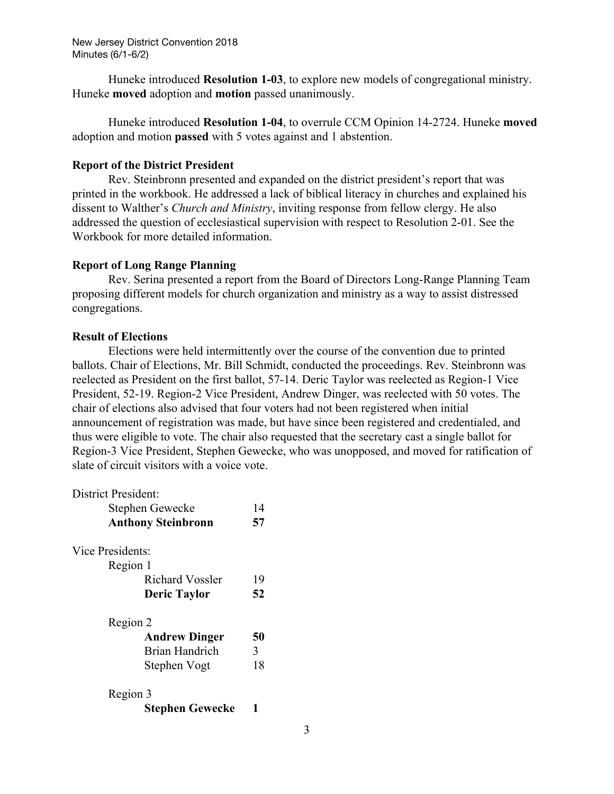Huneke introduced **Resolution 1-03**, to explore new models of congregational ministry. Huneke **moved** adoption and **motion** passed unanimously.

Huneke introduced **Resolution 1-04**, to overrule CCM Opinion 14-2724. Huneke **moved** adoption and motion **passed** with 5 votes against and 1 abstention.

#### **Report of the District President**

Rev. Steinbronn presented and expanded on the district president's report that was printed in the workbook. He addressed a lack of biblical literacy in churches and explained his dissent to Walther's *Church and Ministry*, inviting response from fellow clergy. He also addressed the question of ecclesiastical supervision with respect to Resolution 2-01. See the Workbook for more detailed information.

#### **Report of Long Range Planning**

Rev. Serina presented a report from the Board of Directors Long-Range Planning Team proposing different models for church organization and ministry as a way to assist distressed congregations.

#### **Result of Elections**

Elections were held intermittently over the course of the convention due to printed ballots. Chair of Elections, Mr. Bill Schmidt, conducted the proceedings. Rev. Steinbronn was reelected as President on the first ballot, 57-14. Deric Taylor was reelected as Region-1 Vice President, 52-19. Region-2 Vice President, Andrew Dinger, was reelected with 50 votes. The chair of elections also advised that four voters had not been registered when initial announcement of registration was made, but have since been registered and credentialed, and thus were eligible to vote. The chair also requested that the secretary cast a single ballot for Region-3 Vice President, Stephen Gewecke, who was unopposed, and moved for ratification of slate of circuit visitors with a voice vote.

| <b>District President:</b> |    |
|----------------------------|----|
| Stephen Gewecke            | 14 |
| <b>Anthony Steinbronn</b>  | 57 |
| Vice Presidents:           |    |
| Region 1                   |    |
| <b>Richard Vossler</b>     | 19 |
| <b>Deric Taylor</b>        | 52 |
| Region 2                   |    |
| <b>Andrew Dinger</b>       | 50 |
| Brian Handrich             | 3  |
| Stephen Vogt               | 18 |
| Region 3                   |    |
| <b>Stephen Gewecke</b>     |    |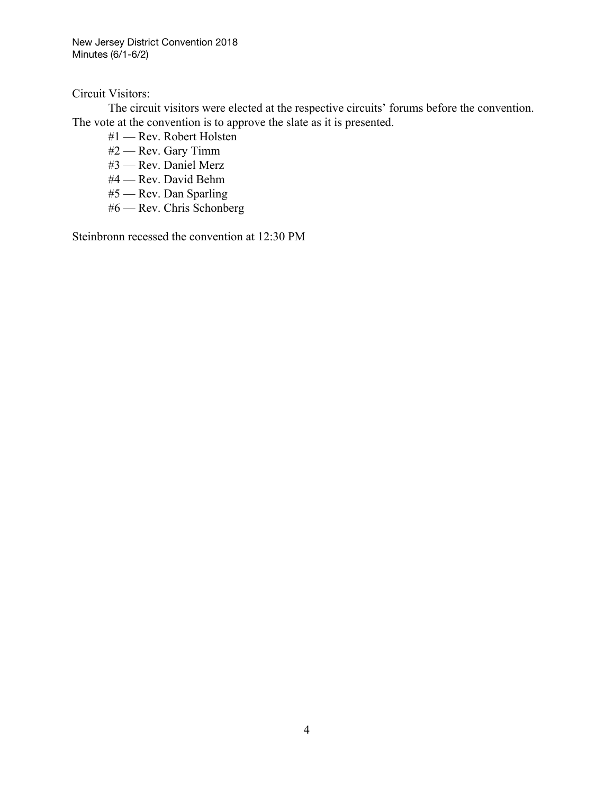Circuit Visitors:

The circuit visitors were elected at the respective circuits' forums before the convention. The vote at the convention is to approve the slate as it is presented.

- #1 Rev. Robert Holsten
- #2 Rev. Gary Timm
- #3 Rev. Daniel Merz
- #4 Rev. David Behm
- #5 Rev. Dan Sparling
- #6 Rev. Chris Schonberg

Steinbronn recessed the convention at 12:30 PM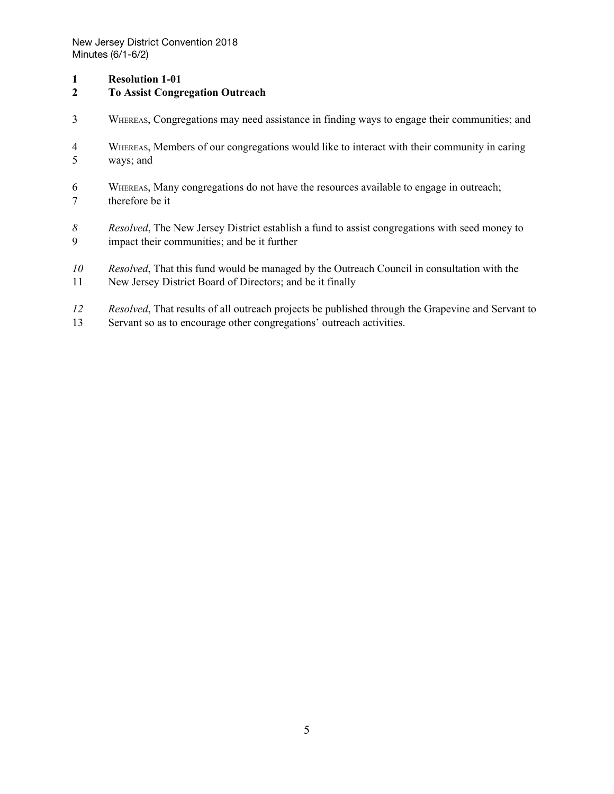#### **Resolution 1-01**

#### **To Assist Congregation Outreach**

- WHEREAS, Congregations may need assistance in finding ways to engage their communities; and
- WHEREAS, Members of our congregations would like to interact with their community in caring ways; and
- WHEREAS, Many congregations do not have the resources available to engage in outreach; therefore be it
- *Resolved*, The New Jersey District establish a fund to assist congregations with seed money to impact their communities; and be it further
- *Resolved*, That this fund would be managed by the Outreach Council in consultation with the
- New Jersey District Board of Directors; and be it finally
- *Resolved*, That results of all outreach projects be published through the Grapevine and Servant to
- Servant so as to encourage other congregations' outreach activities.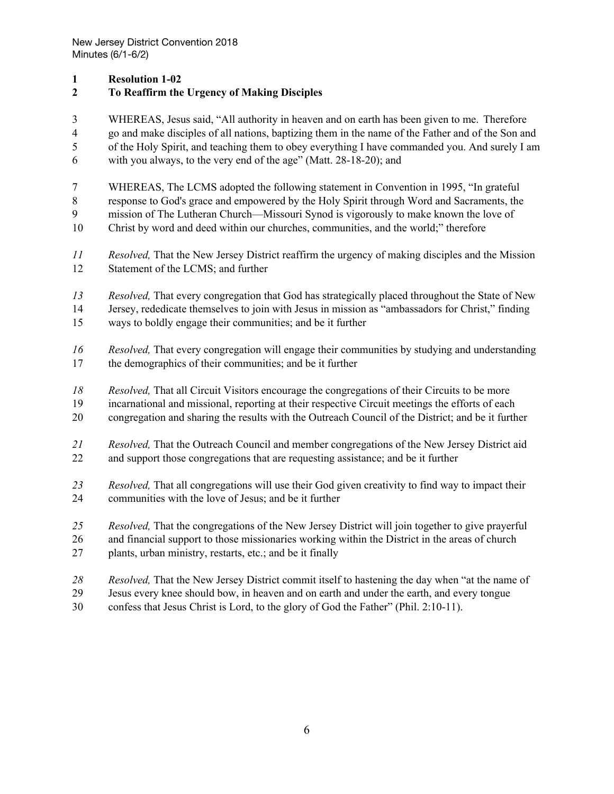### **Resolution 1-02**

## **To Reaffirm the Urgency of Making Disciples**

 WHEREAS, Jesus said, "All authority in heaven and on earth has been given to me. Therefore go and make disciples of all nations, baptizing them in the name of the Father and of the Son and of the Holy Spirit, and teaching them to obey everything I have commanded you. And surely I am

- with you always, to the very end of the age" (Matt. 28-18-20); and
- WHEREAS, The LCMS adopted the following statement in Convention in 1995, "In grateful

response to God's grace and empowered by the Holy Spirit through Word and Sacraments, the

- mission of The Lutheran Church—Missouri Synod is vigorously to make known the love of
- Christ by word and deed within our churches, communities, and the world;" therefore
- *Resolved,* That the New Jersey District reaffirm the urgency of making disciples and the Mission Statement of the LCMS; and further
- *Resolved,* That every congregation that God has strategically placed throughout the State of New
- Jersey, rededicate themselves to join with Jesus in mission as "ambassadors for Christ," finding
- ways to boldly engage their communities; and be it further
- *Resolved,* That every congregation will engage their communities by studying and understanding the demographics of their communities; and be it further
- *Resolved,* That all Circuit Visitors encourage the congregations of their Circuits to be more
- incarnational and missional, reporting at their respective Circuit meetings the efforts of each
- congregation and sharing the results with the Outreach Council of the District; and be it further
- *Resolved,* That the Outreach Council and member congregations of the New Jersey District aid and support those congregations that are requesting assistance; and be it further
- *Resolved,* That all congregations will use their God given creativity to find way to impact their communities with the love of Jesus; and be it further
- *Resolved,* That the congregations of the New Jersey District will join together to give prayerful
- and financial support to those missionaries working within the District in the areas of church plants, urban ministry, restarts, etc.; and be it finally
- *Resolved,* That the New Jersey District commit itself to hastening the day when "at the name of
- Jesus every knee should bow, in heaven and on earth and under the earth, and every tongue
- confess that Jesus Christ is Lord, to the glory of God the Father" (Phil. 2:10-11).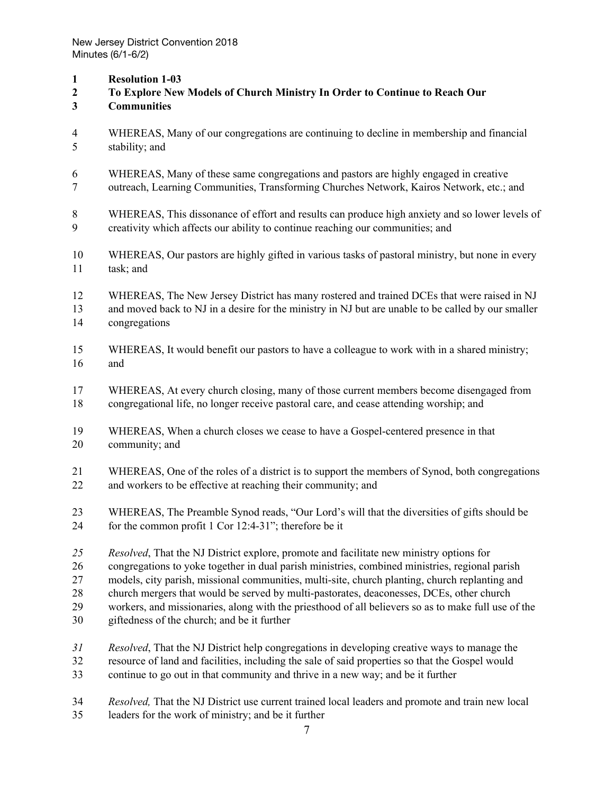- **Resolution 1-03**
- **To Explore New Models of Church Ministry In Order to Continue to Reach Our**
- **Communities**
- WHEREAS, Many of our congregations are continuing to decline in membership and financial stability; and
- WHEREAS, Many of these same congregations and pastors are highly engaged in creative
- outreach, Learning Communities, Transforming Churches Network, Kairos Network, etc.; and

 WHEREAS, This dissonance of effort and results can produce high anxiety and so lower levels of creativity which affects our ability to continue reaching our communities; and

- WHEREAS, Our pastors are highly gifted in various tasks of pastoral ministry, but none in every task; and
- WHEREAS, The New Jersey District has many rostered and trained DCEs that were raised in NJ
- and moved back to NJ in a desire for the ministry in NJ but are unable to be called by our smaller congregations
- WHEREAS, It would benefit our pastors to have a colleague to work with in a shared ministry; and
- WHEREAS, At every church closing, many of those current members become disengaged from congregational life, no longer receive pastoral care, and cease attending worship; and
- WHEREAS, When a church closes we cease to have a Gospel-centered presence in that community; and
- WHEREAS, One of the roles of a district is to support the members of Synod, both congregations and workers to be effective at reaching their community; and
- WHEREAS, The Preamble Synod reads, "Our Lord's will that the diversities of gifts should be for the common profit 1 Cor 12:4-31"; therefore be it
- *Resolved*, That the NJ District explore, promote and facilitate new ministry options for
- congregations to yoke together in dual parish ministries, combined ministries, regional parish
- models, city parish, missional communities, multi-site, church planting, church replanting and
- church mergers that would be served by multi-pastorates, deaconesses, DCEs, other church
- workers, and missionaries, along with the priesthood of all believers so as to make full use of the
- giftedness of the church; and be it further
- *Resolved*, That the NJ District help congregations in developing creative ways to manage the resource of land and facilities, including the sale of said properties so that the Gospel would continue to go out in that community and thrive in a new way; and be it further
- *Resolved,* That the NJ District use current trained local leaders and promote and train new local leaders for the work of ministry; and be it further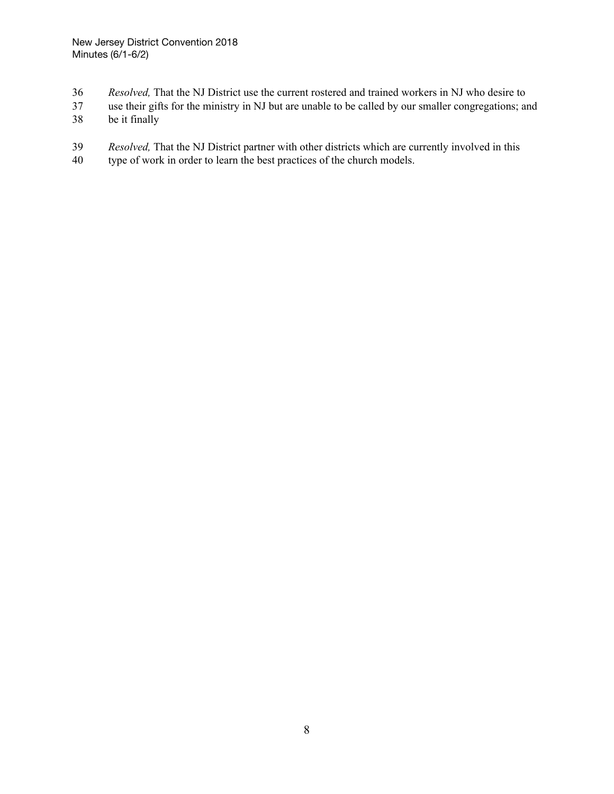- *Resolved,* That the NJ District use the current rostered and trained workers in NJ who desire to
- use their gifts for the ministry in NJ but are unable to be called by our smaller congregations; and
- be it finally
- *Resolved,* That the NJ District partner with other districts which are currently involved in this
- 40 type of work in order to learn the best practices of the church models.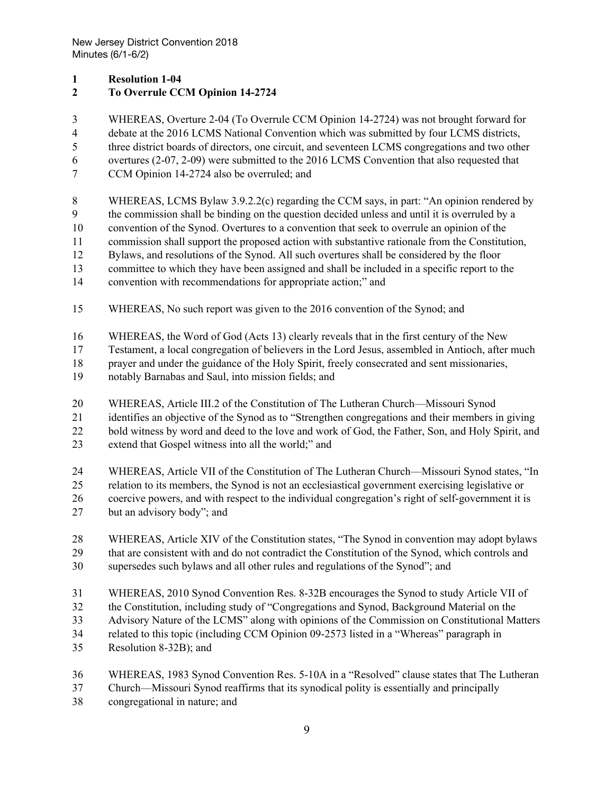#### **Resolution 1-04**

### **To Overrule CCM Opinion 14-2724**

WHEREAS, Overture 2-04 (To Overrule CCM Opinion 14-2724) was not brought forward for

debate at the 2016 LCMS National Convention which was submitted by four LCMS districts,

three district boards of directors, one circuit, and seventeen LCMS congregations and two other

overtures (2-07, 2-09) were submitted to the 2016 LCMS Convention that also requested that

CCM Opinion 14-2724 also be overruled; and

WHEREAS, LCMS Bylaw 3.9.2.2(c) regarding the CCM says, in part: "An opinion rendered by

the commission shall be binding on the question decided unless and until it is overruled by a

convention of the Synod. Overtures to a convention that seek to overrule an opinion of the

commission shall support the proposed action with substantive rationale from the Constitution,

Bylaws, and resolutions of the Synod. All such overtures shall be considered by the floor

committee to which they have been assigned and shall be included in a specific report to the

convention with recommendations for appropriate action;" and

WHEREAS, No such report was given to the 2016 convention of the Synod; and

WHEREAS, the Word of God (Acts 13) clearly reveals that in the first century of the New

Testament, a local congregation of believers in the Lord Jesus, assembled in Antioch, after much

prayer and under the guidance of the Holy Spirit, freely consecrated and sent missionaries,

notably Barnabas and Saul, into mission fields; and

WHEREAS, Article III.2 of the Constitution of The Lutheran Church—Missouri Synod

identifies an objective of the Synod as to "Strengthen congregations and their members in giving

22 bold witness by word and deed to the love and work of God, the Father, Son, and Holy Spirit, and

extend that Gospel witness into all the world;" and

 WHEREAS, Article VII of the Constitution of The Lutheran Church—Missouri Synod states, "In relation to its members, the Synod is not an ecclesiastical government exercising legislative or coercive powers, and with respect to the individual congregation's right of self-government it is

but an advisory body"; and

 WHEREAS, Article XIV of the Constitution states, "The Synod in convention may adopt bylaws that are consistent with and do not contradict the Constitution of the Synod, which controls and

- supersedes such bylaws and all other rules and regulations of the Synod"; and
- WHEREAS, 2010 Synod Convention Res. 8-32B encourages the Synod to study Article VII of
- the Constitution, including study of "Congregations and Synod, Background Material on the

Advisory Nature of the LCMS" along with opinions of the Commission on Constitutional Matters

related to this topic (including CCM Opinion 09-2573 listed in a "Whereas" paragraph in

- Resolution 8-32B); and
- WHEREAS, 1983 Synod Convention Res. 5-10A in a "Resolved" clause states that The Lutheran

Church—Missouri Synod reaffirms that its synodical polity is essentially and principally

congregational in nature; and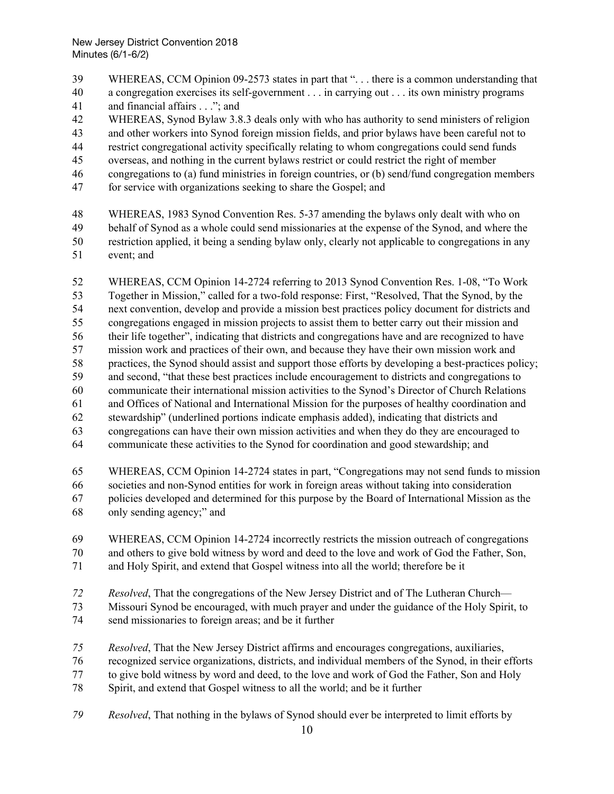- WHEREAS, CCM Opinion 09-2573 states in part that ". . . there is a common understanding that
- a congregation exercises its self-government . . . in carrying out . . . its own ministry programs
- 41 and financial affairs . . ."; and
- WHEREAS, Synod Bylaw 3.8.3 deals only with who has authority to send ministers of religion
- and other workers into Synod foreign mission fields, and prior bylaws have been careful not to
- restrict congregational activity specifically relating to whom congregations could send funds
- overseas, and nothing in the current bylaws restrict or could restrict the right of member
- congregations to (a) fund ministries in foreign countries, or (b) send/fund congregation members
- for service with organizations seeking to share the Gospel; and
- WHEREAS, 1983 Synod Convention Res. 5-37 amending the bylaws only dealt with who on
- behalf of Synod as a whole could send missionaries at the expense of the Synod, and where the restriction applied, it being a sending bylaw only, clearly not applicable to congregations in any event; and
- WHEREAS, CCM Opinion 14-2724 referring to 2013 Synod Convention Res. 1-08, "To Work Together in Mission," called for a two-fold response: First, "Resolved, That the Synod, by the next convention, develop and provide a mission best practices policy document for districts and congregations engaged in mission projects to assist them to better carry out their mission and their life together", indicating that districts and congregations have and are recognized to have mission work and practices of their own, and because they have their own mission work and practices, the Synod should assist and support those efforts by developing a best-practices policy; and second, "that these best practices include encouragement to districts and congregations to communicate their international mission activities to the Synod's Director of Church Relations and Offices of National and International Mission for the purposes of healthy coordination and stewardship" (underlined portions indicate emphasis added), indicating that districts and congregations can have their own mission activities and when they do they are encouraged to communicate these activities to the Synod for coordination and good stewardship; and
- WHEREAS, CCM Opinion 14-2724 states in part, "Congregations may not send funds to mission societies and non-Synod entities for work in foreign areas without taking into consideration policies developed and determined for this purpose by the Board of International Mission as the only sending agency;" and
- WHEREAS, CCM Opinion 14-2724 incorrectly restricts the mission outreach of congregations and others to give bold witness by word and deed to the love and work of God the Father, Son,
- and Holy Spirit, and extend that Gospel witness into all the world; therefore be it
- *Resolved*, That the congregations of the New Jersey District and of The Lutheran Church—
- Missouri Synod be encouraged, with much prayer and under the guidance of the Holy Spirit, to send missionaries to foreign areas; and be it further
- *Resolved*, That the New Jersey District affirms and encourages congregations, auxiliaries,
- recognized service organizations, districts, and individual members of the Synod, in their efforts
- to give bold witness by word and deed, to the love and work of God the Father, Son and Holy
- Spirit, and extend that Gospel witness to all the world; and be it further
- *Resolved*, That nothing in the bylaws of Synod should ever be interpreted to limit efforts by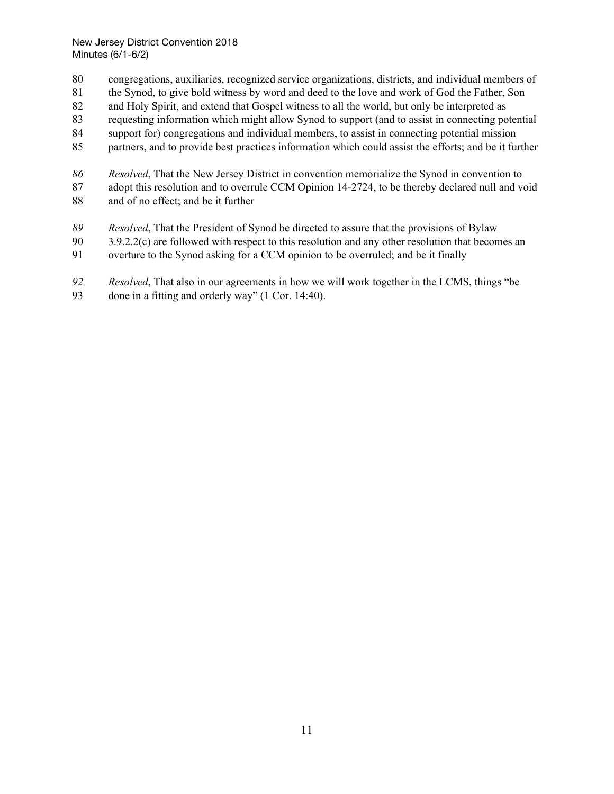- congregations, auxiliaries, recognized service organizations, districts, and individual members of
- the Synod, to give bold witness by word and deed to the love and work of God the Father, Son
- and Holy Spirit, and extend that Gospel witness to all the world, but only be interpreted as
- requesting information which might allow Synod to support (and to assist in connecting potential
- support for) congregations and individual members, to assist in connecting potential mission
- partners, and to provide best practices information which could assist the efforts; and be it further
- *Resolved*, That the New Jersey District in convention memorialize the Synod in convention to 87 adopt this resolution and to overrule CCM Opinion 14-2724, to be thereby declared null and void
- and of no effect; and be it further
- *Resolved*, That the President of Synod be directed to assure that the provisions of Bylaw
- 90 3.9.2.2(c) are followed with respect to this resolution and any other resolution that becomes an
- overture to the Synod asking for a CCM opinion to be overruled; and be it finally
- *Resolved*, That also in our agreements in how we will work together in the LCMS, things "be
- done in a fitting and orderly way" (1 Cor. 14:40).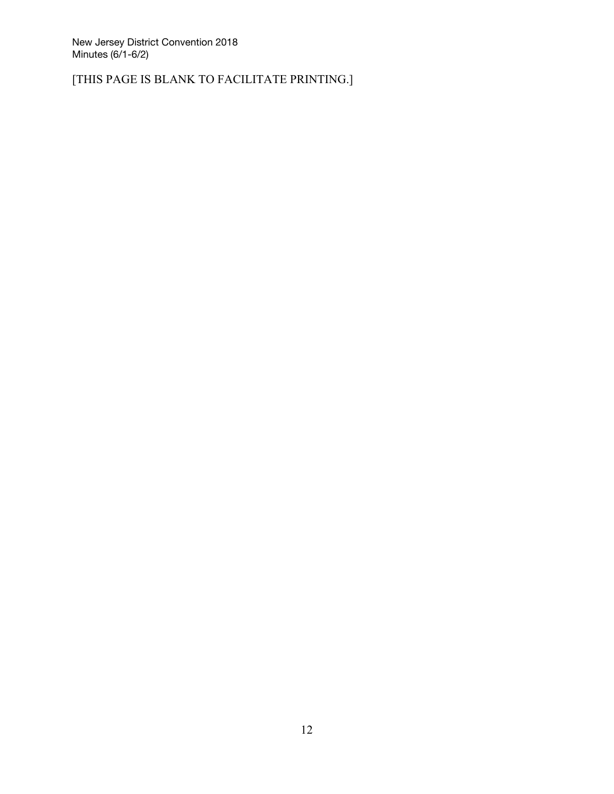[THIS PAGE IS BLANK TO FACILITATE PRINTING.]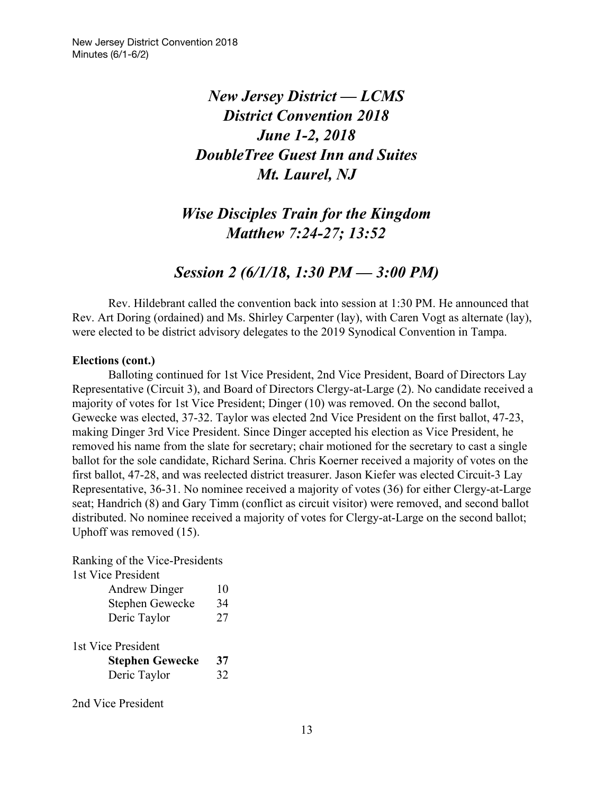# *New Jersey District — LCMS District Convention 2018 June 1-2, 2018 DoubleTree Guest Inn and Suites Mt. Laurel, NJ*

# *Wise Disciples Train for the Kingdom Matthew 7:24-27; 13:52*

## *Session 2 (6/1/18, 1:30 PM — 3:00 PM)*

Rev. Hildebrant called the convention back into session at 1:30 PM. He announced that Rev. Art Doring (ordained) and Ms. Shirley Carpenter (lay), with Caren Vogt as alternate (lay), were elected to be district advisory delegates to the 2019 Synodical Convention in Tampa.

#### **Elections (cont.)**

Balloting continued for 1st Vice President, 2nd Vice President, Board of Directors Lay Representative (Circuit 3), and Board of Directors Clergy-at-Large (2). No candidate received a majority of votes for 1st Vice President; Dinger (10) was removed. On the second ballot, Gewecke was elected, 37-32. Taylor was elected 2nd Vice President on the first ballot, 47-23, making Dinger 3rd Vice President. Since Dinger accepted his election as Vice President, he removed his name from the slate for secretary; chair motioned for the secretary to cast a single ballot for the sole candidate, Richard Serina. Chris Koerner received a majority of votes on the first ballot, 47-28, and was reelected district treasurer. Jason Kiefer was elected Circuit-3 Lay Representative, 36-31. No nominee received a majority of votes (36) for either Clergy-at-Large seat; Handrich (8) and Gary Timm (conflict as circuit visitor) were removed, and second ballot distributed. No nominee received a majority of votes for Clergy-at-Large on the second ballot; Uphoff was removed (15).

Ranking of the Vice-Presidents 1st Vice President

| <b>Andrew Dinger</b>                                         | 10       |
|--------------------------------------------------------------|----------|
| Stephen Gewecke                                              | 34       |
| Deric Taylor                                                 | 27       |
| 1st Vice President<br><b>Stephen Gewecke</b><br>Deric Taylor | 37<br>32 |

2nd Vice President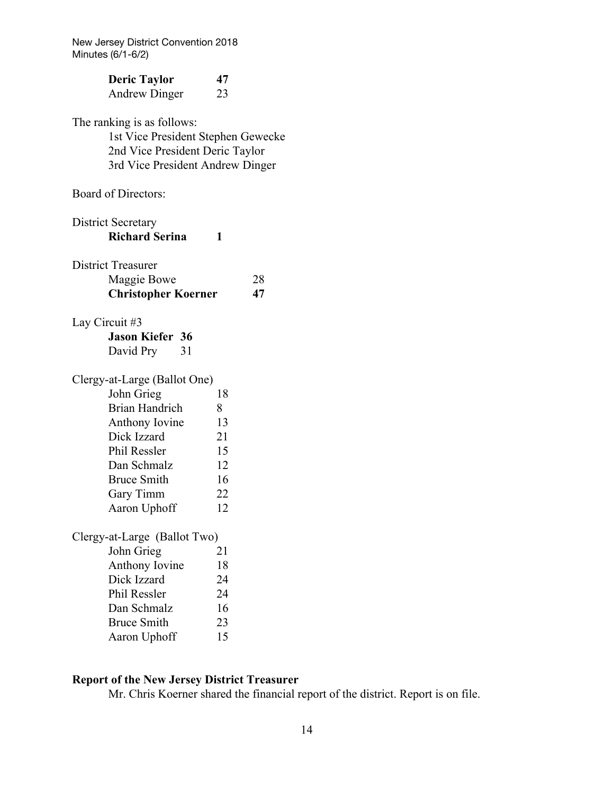| <b>Deric Taylor</b><br><b>Andrew Dinger</b>                                                                                             | 47<br>23 |
|-----------------------------------------------------------------------------------------------------------------------------------------|----------|
| The ranking is as follows:<br>1st Vice President Stephen Gewecke<br>2nd Vice President Deric Taylor<br>3rd Vice President Andrew Dinger |          |
| <b>Board of Directors:</b>                                                                                                              |          |
| <b>District Secretary</b><br><b>Richard Serina</b>                                                                                      | 1        |
| <b>District Treasurer</b><br>Maggie Bowe<br><b>Christopher Koerner</b>                                                                  | 28<br>47 |
| Lay Circuit #3                                                                                                                          |          |
| <b>Jason Kiefer 36</b>                                                                                                                  |          |
| David Pry<br>31                                                                                                                         |          |
| Clergy-at-Large (Ballot One)                                                                                                            |          |
| John Grieg                                                                                                                              | 18       |
| <b>Brian Handrich</b>                                                                                                                   | 8        |
| Anthony Iovine                                                                                                                          | 13       |
| Dick Izzard                                                                                                                             | 21       |
| Phil Ressler                                                                                                                            | 15       |
| Dan Schmalz                                                                                                                             | 12       |
| <b>Bruce Smith</b>                                                                                                                      | 16       |
| Gary Timm                                                                                                                               | 22       |
| Aaron Uphoff                                                                                                                            | 12       |
| Clergy-at-Large (Ballot Two)                                                                                                            |          |
| John Grieg                                                                                                                              | 21       |
| Anthony Iovine                                                                                                                          | 18       |
| Dick Izzard                                                                                                                             | 24       |
| Phil Ressler                                                                                                                            | 24       |
| Dan Schmalz                                                                                                                             | 16       |

Bruce Smith 23<br>Aaron Uphoff 15 Aaron Uphoff

## **Report of the New Jersey District Treasurer**

Mr. Chris Koerner shared the financial report of the district. Report is on file.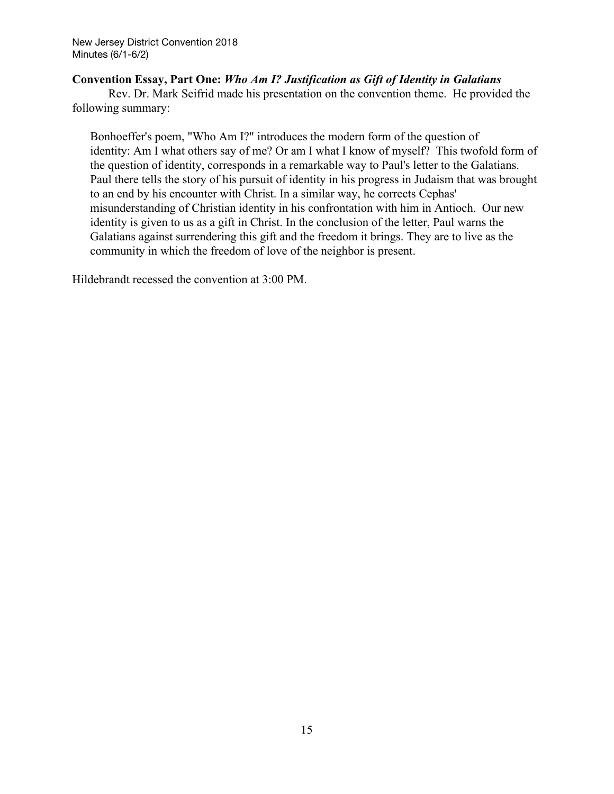### **Convention Essay, Part One:** *Who Am I? Justification as Gift of Identity in Galatians*

Rev. Dr. Mark Seifrid made his presentation on the convention theme. He provided the following summary:

Bonhoeffer's poem, "Who Am I?" introduces the modern form of the question of identity: Am I what others say of me? Or am I what I know of myself? This twofold form of the question of identity, corresponds in a remarkable way to Paul's letter to the Galatians. Paul there tells the story of his pursuit of identity in his progress in Judaism that was brought to an end by his encounter with Christ. In a similar way, he corrects Cephas' misunderstanding of Christian identity in his confrontation with him in Antioch. Our new identity is given to us as a gift in Christ. In the conclusion of the letter, Paul warns the Galatians against surrendering this gift and the freedom it brings. They are to live as the community in which the freedom of love of the neighbor is present.

Hildebrandt recessed the convention at 3:00 PM.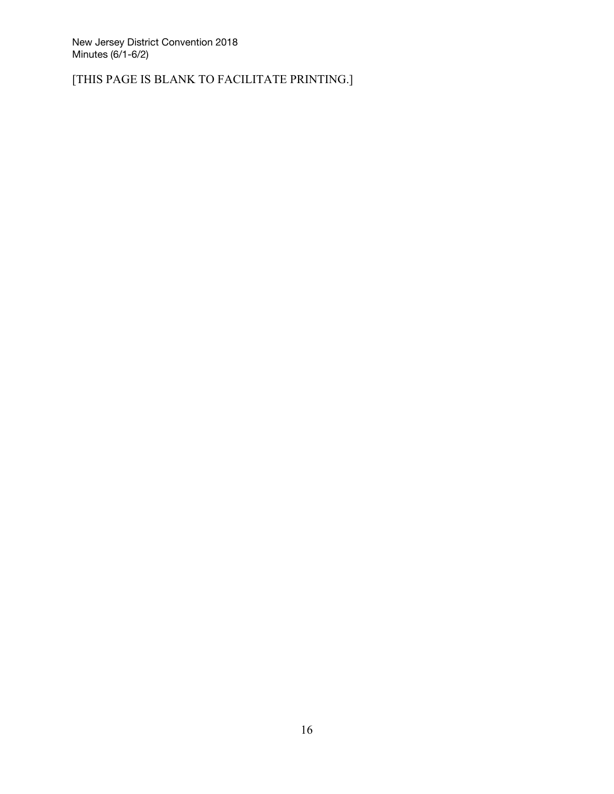[THIS PAGE IS BLANK TO FACILITATE PRINTING.]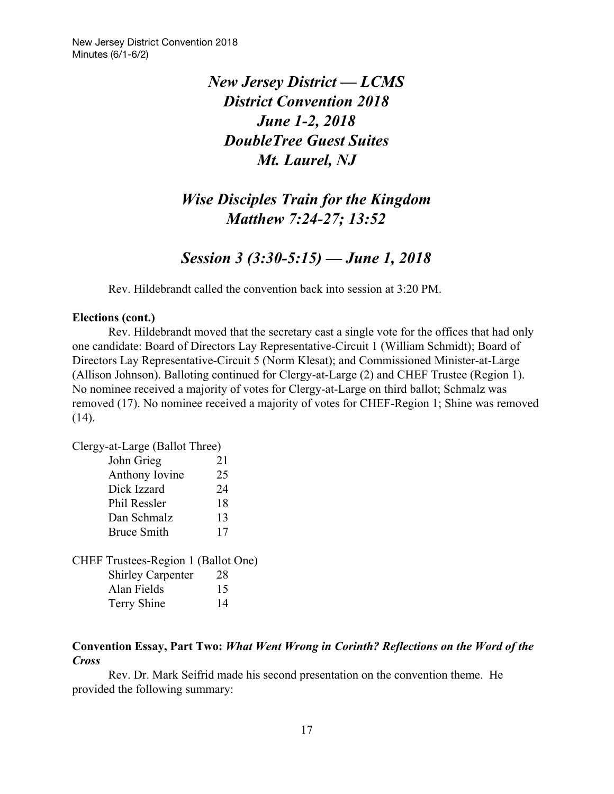# *New Jersey District — LCMS District Convention 2018 June 1-2, 2018 DoubleTree Guest Suites Mt. Laurel, NJ*

# *Wise Disciples Train for the Kingdom Matthew 7:24-27; 13:52*

*Session 3 (3:30-5:15) — June 1, 2018*

Rev. Hildebrandt called the convention back into session at 3:20 PM.

### **Elections (cont.)**

Rev. Hildebrandt moved that the secretary cast a single vote for the offices that had only one candidate: Board of Directors Lay Representative-Circuit 1 (William Schmidt); Board of Directors Lay Representative-Circuit 5 (Norm Klesat); and Commissioned Minister-at-Large (Allison Johnson). Balloting continued for Clergy-at-Large (2) and CHEF Trustee (Region 1). No nominee received a majority of votes for Clergy-at-Large on third ballot; Schmalz was removed (17). No nominee received a majority of votes for CHEF-Region 1; Shine was removed (14).

Clergy-at-Large (Ballot Three)

| John Grieg          | 21 |
|---------------------|----|
| Anthony Iovine      | 25 |
| Dick Izzard         | 24 |
| <b>Phil Ressler</b> | 18 |
| Dan Schmalz         | 13 |
| <b>Bruce Smith</b>  | 17 |

CHEF Trustees-Region 1 (Ballot One) Shirley Carpenter 28 Alan Fields 15 Terry Shine 14

### **Convention Essay, Part Two:** *What Went Wrong in Corinth? Reflections on the Word of the Cross*

Rev. Dr. Mark Seifrid made his second presentation on the convention theme. He provided the following summary: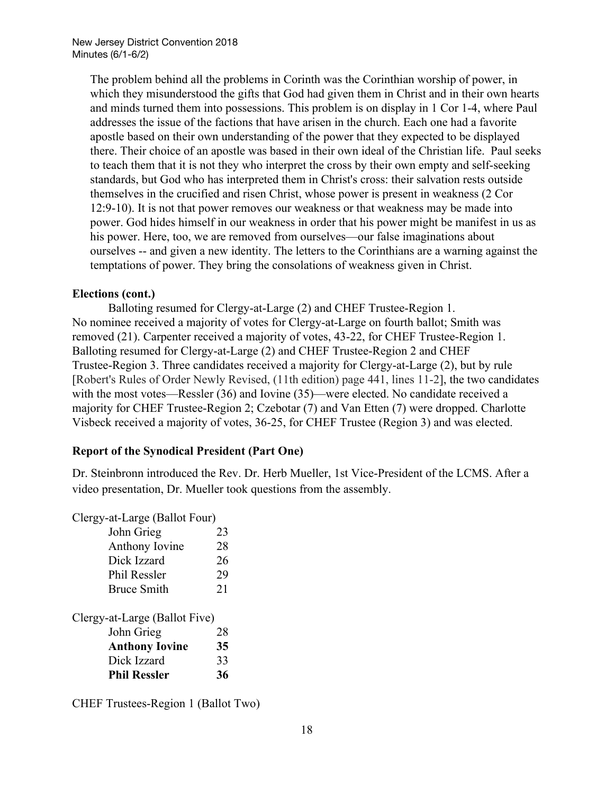The problem behind all the problems in Corinth was the Corinthian worship of power, in which they misunderstood the gifts that God had given them in Christ and in their own hearts and minds turned them into possessions. This problem is on display in 1 Cor 1-4, where Paul addresses the issue of the factions that have arisen in the church. Each one had a favorite apostle based on their own understanding of the power that they expected to be displayed there. Their choice of an apostle was based in their own ideal of the Christian life. Paul seeks to teach them that it is not they who interpret the cross by their own empty and self-seeking standards, but God who has interpreted them in Christ's cross: their salvation rests outside themselves in the crucified and risen Christ, whose power is present in weakness (2 Cor 12:9-10). It is not that power removes our weakness or that weakness may be made into power. God hides himself in our weakness in order that his power might be manifest in us as his power. Here, too, we are removed from ourselves—our false imaginations about ourselves -- and given a new identity. The letters to the Corinthians are a warning against the temptations of power. They bring the consolations of weakness given in Christ.

### **Elections (cont.)**

Balloting resumed for Clergy-at-Large (2) and CHEF Trustee-Region 1. No nominee received a majority of votes for Clergy-at-Large on fourth ballot; Smith was removed (21). Carpenter received a majority of votes, 43-22, for CHEF Trustee-Region 1. Balloting resumed for Clergy-at-Large (2) and CHEF Trustee-Region 2 and CHEF Trustee-Region 3. Three candidates received a majority for Clergy-at-Large (2), but by rule [Robert's Rules of Order Newly Revised, (11th edition) page 441, lines 11-2], the two candidates with the most votes—Ressler (36) and Iovine (35)—were elected. No candidate received a majority for CHEF Trustee-Region 2; Czebotar (7) and Van Etten (7) were dropped. Charlotte Visbeck received a majority of votes, 36-25, for CHEF Trustee (Region 3) and was elected.

## **Report of the Synodical President (Part One)**

Dr. Steinbronn introduced the Rev. Dr. Herb Mueller, 1st Vice-President of the LCMS. After a video presentation, Dr. Mueller took questions from the assembly.

Clergy-at-Large (Ballot Four)

| John Grieg                    | 23 |
|-------------------------------|----|
| Anthony Iovine                | 28 |
| Dick Izzard                   | 26 |
| <b>Phil Ressler</b>           | 29 |
| <b>Bruce Smith</b>            | 21 |
|                               |    |
| Clergy-at-Large (Ballot Five) |    |
| John Grieg                    | 28 |
| <b>Anthony Iovine</b>         | 35 |
| Dick Izzard                   | 33 |

CHEF Trustees-Region 1 (Ballot Two)

**Phil Ressler 36**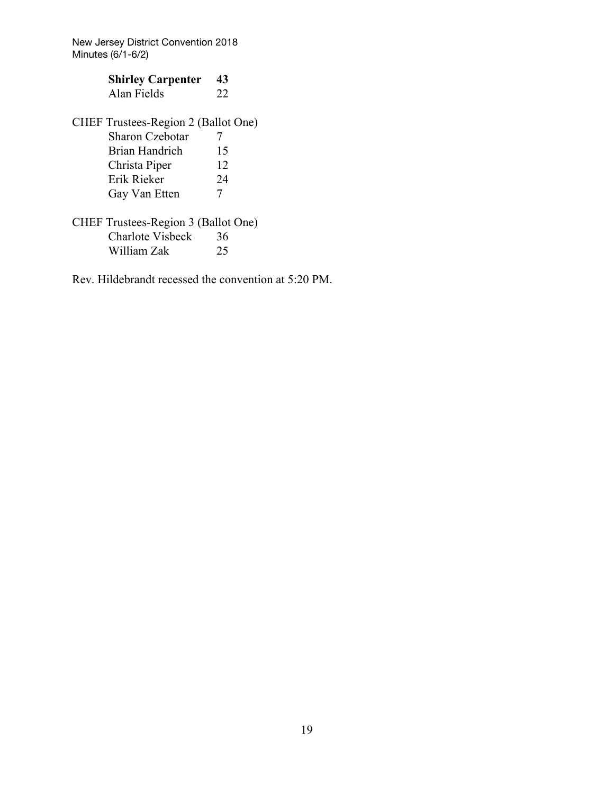| <b>Shirley Carpenter</b>                   | 43 |
|--------------------------------------------|----|
| Alan Fields                                | 22 |
|                                            |    |
| <b>CHEF Trustees-Region 2 (Ballot One)</b> |    |

| <b>Sharon Czebotar</b> |          |
|------------------------|----------|
| Brian Handrich         | 15       |
| Christa Piper          | 12       |
| Erik Rieker            | 24       |
| Gay Van Etten          | $\gamma$ |

CHEF Trustees-Region 3 (Ballot One) Charlote Visbeck 36<br>William Zak 25 William Zak

Rev. Hildebrandt recessed the convention at 5:20 PM.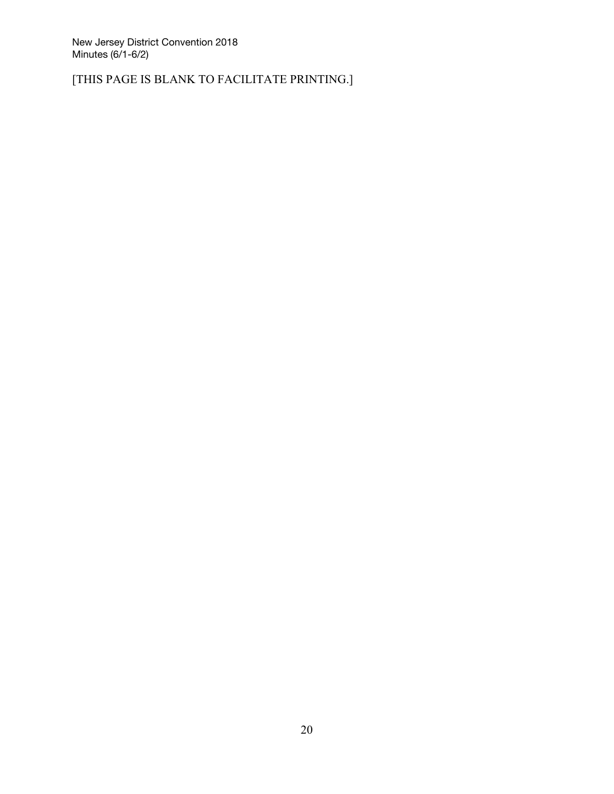[THIS PAGE IS BLANK TO FACILITATE PRINTING.]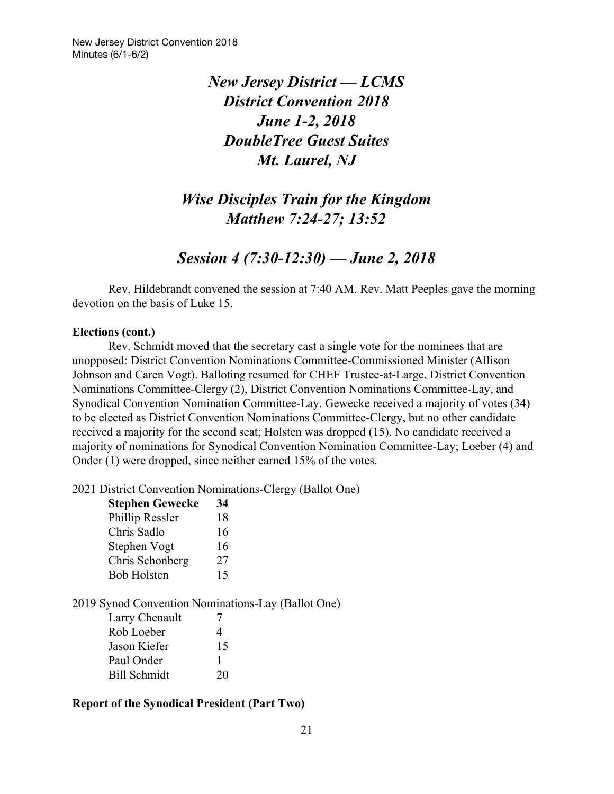# *New Jersey District — LCMS District Convention 2018 June 1-2, 2018 DoubleTree Guest Suites Mt. Laurel, NJ*

# *Wise Disciples Train for the Kingdom Matthew 7:24-27; 13:52*

# *Session 4 (7:30-12:30) — June 2, 2018*

Rev. Hildebrandt convened the session at 7:40 AM. Rev. Matt Peeples gave the morning devotion on the basis of Luke 15.

#### **Elections (cont.)**

Rev. Schmidt moved that the secretary cast a single vote for the nominees that are unopposed: District Convention Nominations Committee-Commissioned Minister (Allison Johnson and Caren Vogt). Balloting resumed for CHEF Trustee-at-Large, District Convention Nominations Committee-Clergy (2), District Convention Nominations Committee-Lay, and Synodical Convention Nomination Committee-Lay. Gewecke received a majority of votes (34) to be elected as District Convention Nominations Committee-Clergy, but no other candidate received a majority for the second seat; Holsten was dropped (15). No candidate received a majority of nominations for Synodical Convention Nomination Committee-Lay; Loeber (4) and Onder (1) were dropped, since neither earned 15% of the votes.

2021 District Convention Nominations-Clergy (Ballot One)

| <b>Stephen Gewecke</b> | 34 |
|------------------------|----|
| Phillip Ressler        | 18 |
| Chris Sadlo            | 16 |
| Stephen Vogt           | 16 |
| Chris Schonberg        | 27 |
| <b>Bob Holsten</b>     | 15 |

## 2019 Synod Convention Nominations-Lay (Ballot One)

| Larry Chenault      | 7  |
|---------------------|----|
| Rob Loeber          | 4  |
| Jason Kiefer        | 15 |
| Paul Onder          |    |
| <b>Bill Schmidt</b> | 20 |

## **Report of the Synodical President (Part Two)**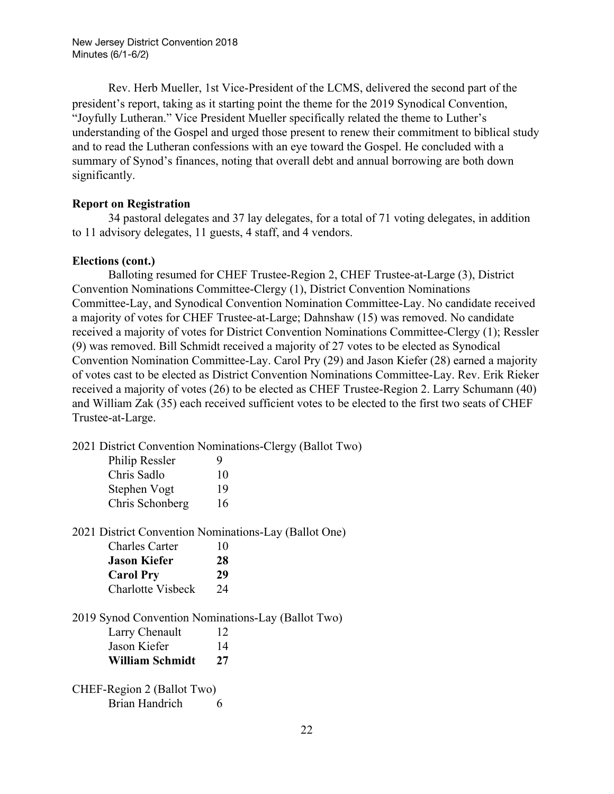Rev. Herb Mueller, 1st Vice-President of the LCMS, delivered the second part of the president's report, taking as it starting point the theme for the 2019 Synodical Convention, "Joyfully Lutheran." Vice President Mueller specifically related the theme to Luther's understanding of the Gospel and urged those present to renew their commitment to biblical study and to read the Lutheran confessions with an eye toward the Gospel. He concluded with a summary of Synod's finances, noting that overall debt and annual borrowing are both down significantly.

### **Report on Registration**

34 pastoral delegates and 37 lay delegates, for a total of 71 voting delegates, in addition to 11 advisory delegates, 11 guests, 4 staff, and 4 vendors.

### **Elections (cont.)**

Balloting resumed for CHEF Trustee-Region 2, CHEF Trustee-at-Large (3), District Convention Nominations Committee-Clergy (1), District Convention Nominations Committee-Lay, and Synodical Convention Nomination Committee-Lay. No candidate received a majority of votes for CHEF Trustee-at-Large; Dahnshaw (15) was removed. No candidate received a majority of votes for District Convention Nominations Committee-Clergy (1); Ressler (9) was removed. Bill Schmidt received a majority of 27 votes to be elected as Synodical Convention Nomination Committee-Lay. Carol Pry (29) and Jason Kiefer (28) earned a majority of votes cast to be elected as District Convention Nominations Committee-Lay. Rev. Erik Rieker received a majority of votes (26) to be elected as CHEF Trustee-Region 2. Larry Schumann (40) and William Zak (35) each received sufficient votes to be elected to the first two seats of CHEF Trustee-at-Large.

2021 District Convention Nominations-Clergy (Ballot Two)

| 9  |
|----|
| 10 |
| 19 |
| 16 |
|    |

2021 District Convention Nominations-Lay (Ballot One)

| <b>Charles Carter</b>    | 10 |
|--------------------------|----|
| <b>Jason Kiefer</b>      | 28 |
| <b>Carol Pry</b>         | 29 |
| <b>Charlotte Visbeck</b> | 24 |

2019 Synod Convention Nominations-Lay (Ballot Two)

| Larry Chenault  | 12 |
|-----------------|----|
| Jason Kiefer    | 14 |
| William Schmidt | 27 |

CHEF-Region 2 (Ballot Two) Brian Handrich 6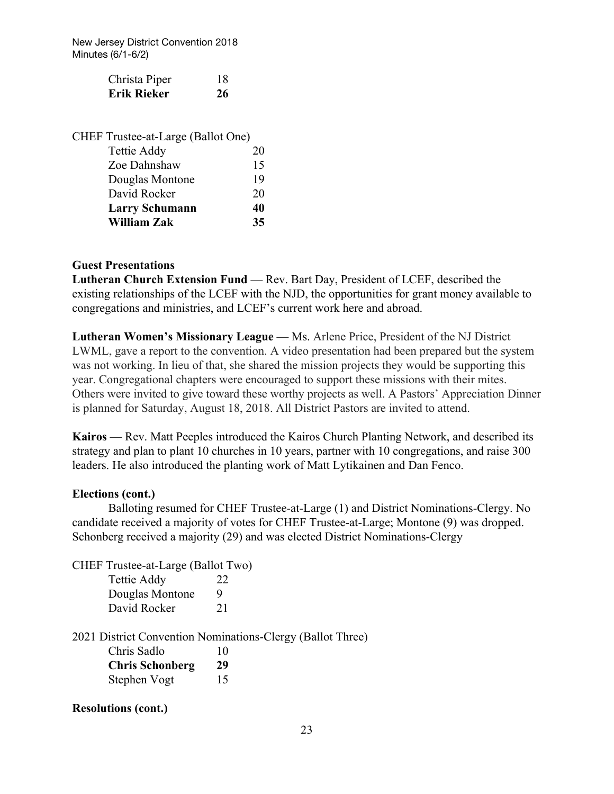| Christa Piper | 18 |
|---------------|----|
| Erik Rieker   | 26 |

| CHEF Trustee-at-Large (Ballot One) |    |
|------------------------------------|----|
| Tettie Addy                        | 20 |
| Zoe Dahnshaw                       | 15 |
| Douglas Montone                    | 19 |
| David Rocker                       | 20 |
| <b>Larry Schumann</b>              | 40 |
| <b>William Zak</b>                 | 35 |

### **Guest Presentations**

**Lutheran Church Extension Fund** — Rev. Bart Day, President of LCEF, described the existing relationships of the LCEF with the NJD, the opportunities for grant money available to congregations and ministries, and LCEF's current work here and abroad.

**Lutheran Women's Missionary League** — Ms. Arlene Price, President of the NJ District LWML, gave a report to the convention. A video presentation had been prepared but the system was not working. In lieu of that, she shared the mission projects they would be supporting this year. Congregational chapters were encouraged to support these missions with their mites. Others were invited to give toward these worthy projects as well. A Pastors' Appreciation Dinner is planned for Saturday, August 18, 2018. All District Pastors are invited to attend.

**Kairos** — Rev. Matt Peeples introduced the Kairos Church Planting Network, and described its strategy and plan to plant 10 churches in 10 years, partner with 10 congregations, and raise 300 leaders. He also introduced the planting work of Matt Lytikainen and Dan Fenco.

#### **Elections (cont.)**

Balloting resumed for CHEF Trustee-at-Large (1) and District Nominations-Clergy. No candidate received a majority of votes for CHEF Trustee-at-Large; Montone (9) was dropped. Schonberg received a majority (29) and was elected District Nominations-Clergy

CHEF Trustee-at-Large (Ballot Two) Tettie Addy 22 Douglas Montone 9 David Rocker 21

2021 District Convention Nominations-Clergy (Ballot Three)

| Chris Sadlo            | 10 |
|------------------------|----|
| <b>Chris Schonberg</b> | 29 |
| Stephen Vogt           | 15 |

#### **Resolutions (cont.)**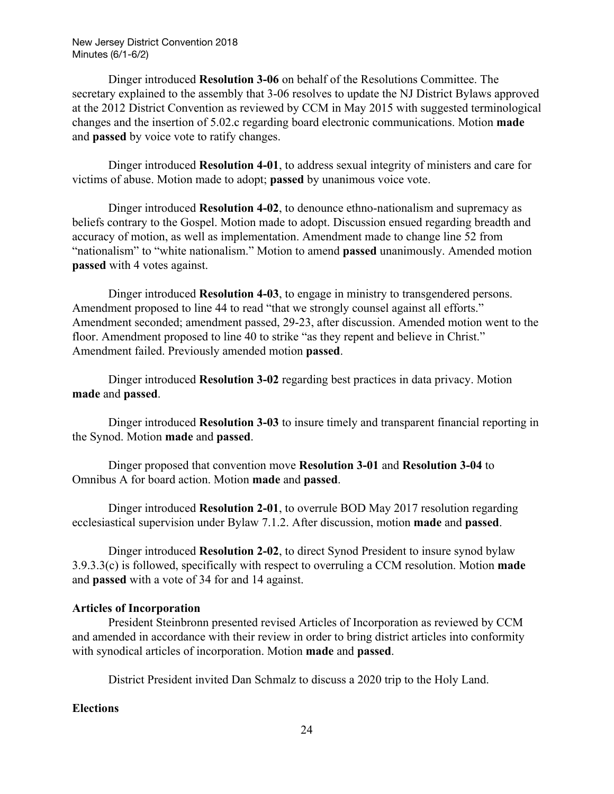Dinger introduced **Resolution 3-06** on behalf of the Resolutions Committee. The secretary explained to the assembly that 3-06 resolves to update the NJ District Bylaws approved at the 2012 District Convention as reviewed by CCM in May 2015 with suggested terminological changes and the insertion of 5.02.c regarding board electronic communications. Motion **made** and **passed** by voice vote to ratify changes.

Dinger introduced **Resolution 4-01**, to address sexual integrity of ministers and care for victims of abuse. Motion made to adopt; **passed** by unanimous voice vote.

Dinger introduced **Resolution 4-02**, to denounce ethno-nationalism and supremacy as beliefs contrary to the Gospel. Motion made to adopt. Discussion ensued regarding breadth and accuracy of motion, as well as implementation. Amendment made to change line 52 from "nationalism" to "white nationalism." Motion to amend **passed** unanimously. Amended motion **passed** with 4 votes against.

Dinger introduced **Resolution 4-03**, to engage in ministry to transgendered persons. Amendment proposed to line 44 to read "that we strongly counsel against all efforts." Amendment seconded; amendment passed, 29-23, after discussion. Amended motion went to the floor. Amendment proposed to line 40 to strike "as they repent and believe in Christ." Amendment failed. Previously amended motion **passed**.

Dinger introduced **Resolution 3-02** regarding best practices in data privacy. Motion **made** and **passed**.

Dinger introduced **Resolution 3-03** to insure timely and transparent financial reporting in the Synod. Motion **made** and **passed**.

Dinger proposed that convention move **Resolution 3-01** and **Resolution 3-04** to Omnibus A for board action. Motion **made** and **passed**.

Dinger introduced **Resolution 2-01**, to overrule BOD May 2017 resolution regarding ecclesiastical supervision under Bylaw 7.1.2. After discussion, motion **made** and **passed**.

Dinger introduced **Resolution 2-02**, to direct Synod President to insure synod bylaw 3.9.3.3(c) is followed, specifically with respect to overruling a CCM resolution. Motion **made** and **passed** with a vote of 34 for and 14 against.

#### **Articles of Incorporation**

President Steinbronn presented revised Articles of Incorporation as reviewed by CCM and amended in accordance with their review in order to bring district articles into conformity with synodical articles of incorporation. Motion **made** and **passed**.

District President invited Dan Schmalz to discuss a 2020 trip to the Holy Land.

#### **Elections**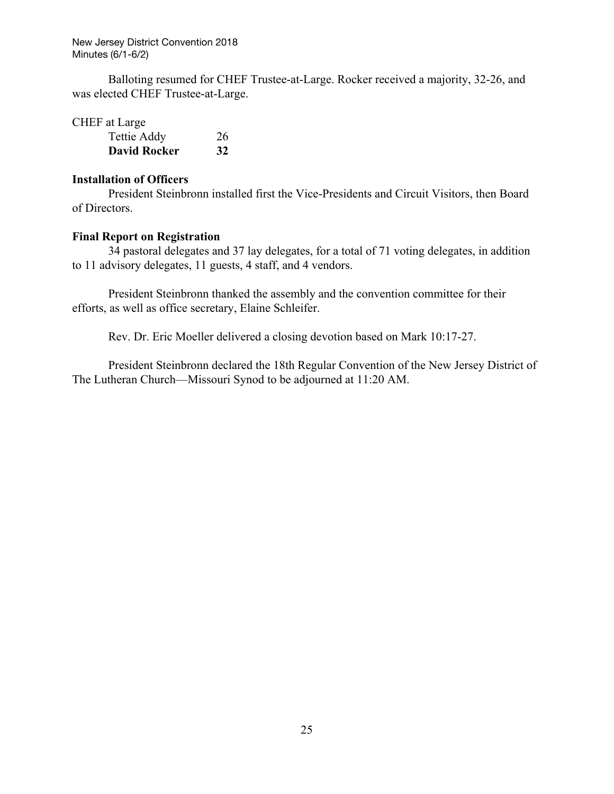Balloting resumed for CHEF Trustee-at-Large. Rocker received a majority, 32-26, and was elected CHEF Trustee-at-Large.

CHEF at Large

| Tettie Addy         | 26 |
|---------------------|----|
| <b>David Rocker</b> | 32 |

#### **Installation of Officers**

President Steinbronn installed first the Vice-Presidents and Circuit Visitors, then Board of Directors.

#### **Final Report on Registration**

34 pastoral delegates and 37 lay delegates, for a total of 71 voting delegates, in addition to 11 advisory delegates, 11 guests, 4 staff, and 4 vendors.

President Steinbronn thanked the assembly and the convention committee for their efforts, as well as office secretary, Elaine Schleifer.

Rev. Dr. Eric Moeller delivered a closing devotion based on Mark 10:17-27.

President Steinbronn declared the 18th Regular Convention of the New Jersey District of The Lutheran Church—Missouri Synod to be adjourned at 11:20 AM.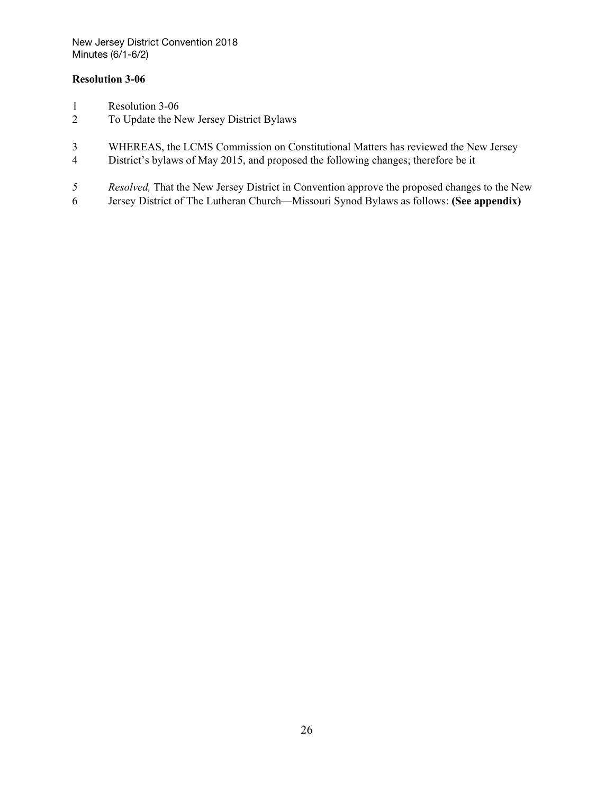#### **Resolution 3-06**

- Resolution 3-06
- To Update the New Jersey District Bylaws
- WHEREAS, the LCMS Commission on Constitutional Matters has reviewed the New Jersey
- District's bylaws of May 2015, and proposed the following changes; therefore be it
- *Resolved,* That the New Jersey District in Convention approve the proposed changes to the New
- Jersey District of The Lutheran Church—Missouri Synod Bylaws as follows: **(See appendix)**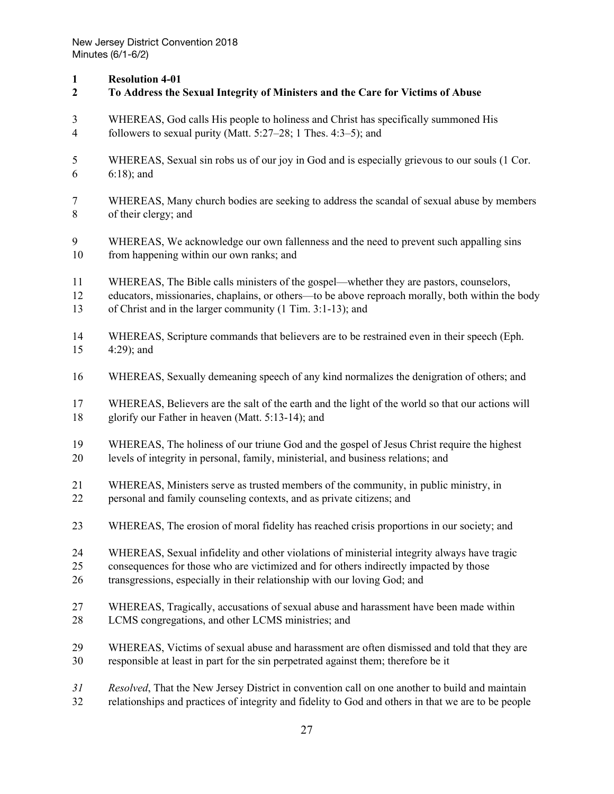### **Resolution 4-01**

| $\boldsymbol{2}$ | To Address the Sexual Integrity of Ministers and the Care for Victims of Abuse                      |
|------------------|-----------------------------------------------------------------------------------------------------|
| 3                | WHEREAS, God calls His people to holiness and Christ has specifically summoned His                  |
| $\overline{4}$   | followers to sexual purity (Matt. $5:27-28$ ; 1 Thes. $4:3-5$ ); and                                |
| 5                | WHEREAS, Sexual sin robs us of our joy in God and is especially grievous to our souls (1 Cor.       |
| 6                | $6:18$ ; and                                                                                        |
| 7                | WHEREAS, Many church bodies are seeking to address the scandal of sexual abuse by members           |
| 8                | of their clergy; and                                                                                |
| 9                | WHEREAS, We acknowledge our own fallenness and the need to prevent such appalling sins              |
| 10               | from happening within our own ranks; and                                                            |
| 11               | WHEREAS, The Bible calls ministers of the gospel—whether they are pastors, counselors,              |
| 12               | educators, missionaries, chaplains, or others—to be above reproach morally, both within the body    |
| 13               | of Christ and in the larger community (1 Tim. 3:1-13); and                                          |
| 14               | WHEREAS, Scripture commands that believers are to be restrained even in their speech (Eph.          |
| 15               | $4:29$ ; and                                                                                        |
| 16               | WHEREAS, Sexually demeaning speech of any kind normalizes the denigration of others; and            |
| 17               | WHEREAS, Believers are the salt of the earth and the light of the world so that our actions will    |
| 18               | glorify our Father in heaven (Matt. 5:13-14); and                                                   |
| 19               | WHEREAS, The holiness of our triune God and the gospel of Jesus Christ require the highest          |
| 20               | levels of integrity in personal, family, ministerial, and business relations; and                   |
| 21               | WHEREAS, Ministers serve as trusted members of the community, in public ministry, in                |
| 22               | personal and family counseling contexts, and as private citizens; and                               |
| 23               | WHEREAS, The erosion of moral fidelity has reached crisis proportions in our society; and           |
| 24               | WHEREAS, Sexual infidelity and other violations of ministerial integrity always have tragic         |
| 25               | consequences for those who are victimized and for others indirectly impacted by those               |
| 26               | transgressions, especially in their relationship with our loving God; and                           |
| 27               | WHEREAS, Tragically, accusations of sexual abuse and harassment have been made within               |
| 28               | LCMS congregations, and other LCMS ministries; and                                                  |
| 29               | WHEREAS, Victims of sexual abuse and harassment are often dismissed and told that they are          |
| 30               | responsible at least in part for the sin perpetrated against them; therefore be it                  |
| 31               | Resolved, That the New Jersey District in convention call on one another to build and maintain      |
| 32               | relationships and practices of integrity and fidelity to God and others in that we are to be people |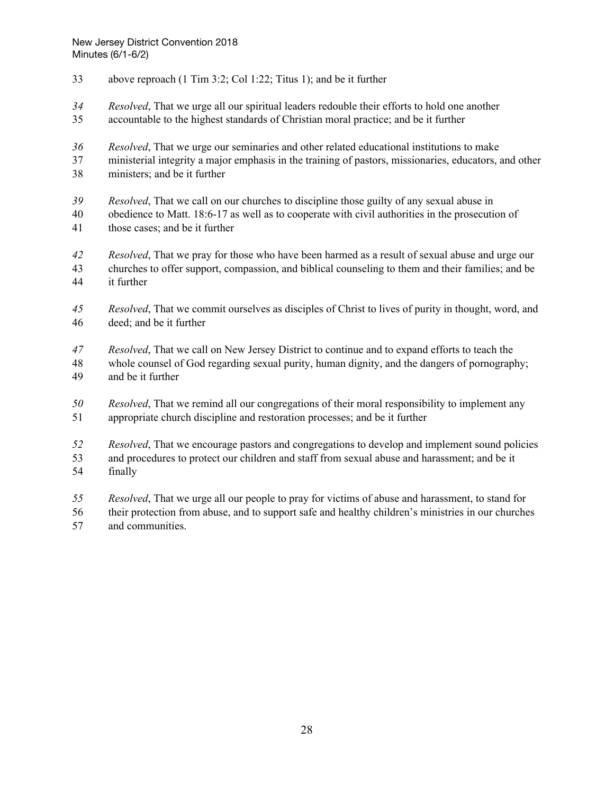- above reproach (1 Tim 3:2; Col 1:22; Titus 1); and be it further
- *Resolved*, That we urge all our spiritual leaders redouble their efforts to hold one another
- accountable to the highest standards of Christian moral practice; and be it further
- *Resolved*, That we urge our seminaries and other related educational institutions to make
- ministerial integrity a major emphasis in the training of pastors, missionaries, educators, and other ministers; and be it further
- *Resolved*, That we call on our churches to discipline those guilty of any sexual abuse in
- obedience to Matt. [18:6-17](http://biblia.com/bible/hcsb/Matthew%2018.6-17) as well as to cooperate with civil authorities in the prosecution of those cases; and be it further
- *Resolved*, That we pray for those who have been harmed as a result of sexual abuse and urge our churches to offer support, compassion, and biblical counseling to them and their families; and be it further
- *Resolved*, That we commit ourselves as disciples of Christ to lives of purity in thought, word, and deed; and be it further
- *Resolved*, That we call on New Jersey District to continue and to expand efforts to teach the
- whole counsel of God regarding sexual purity, human dignity, and the dangers of pornography; and be it further
- *Resolved*, That we remind all our congregations of their moral responsibility to implement any appropriate church discipline and restoration processes; and be it further
- *Resolved*, That we encourage pastors and congregations to develop and implement sound policies
- and procedures to protect our children and staff from sexual abuse and harassment; and be it finally
- *Resolved*, That we urge all our people to pray for victims of abuse and harassment, to stand for
- their protection from abuse, and to support safe and healthy children's ministries in our churches and communities.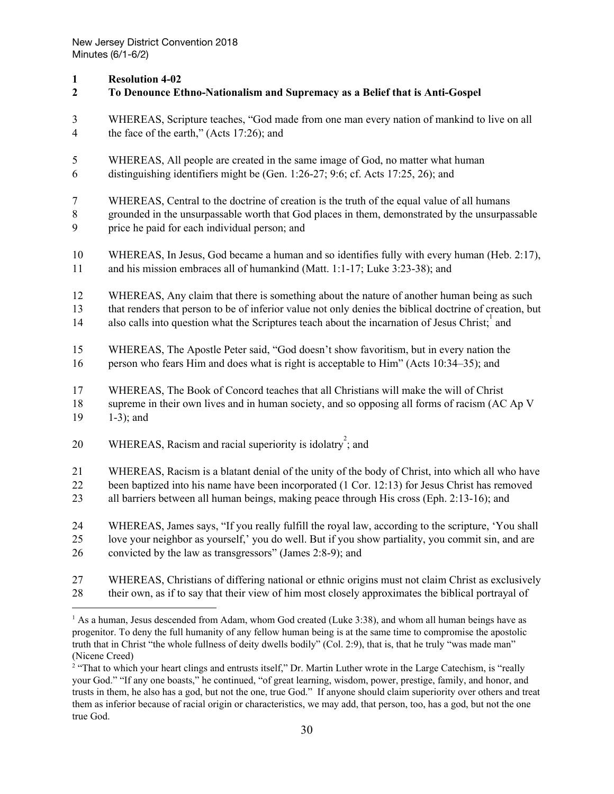## **1 Resolution 4-02**

| л.<br>$\boldsymbol{2}$ | To Denounce Ethno-Nationalism and Supremacy as a Belief that is Anti-Gospel                             |
|------------------------|---------------------------------------------------------------------------------------------------------|
| 3                      | WHEREAS, Scripture teaches, "God made from one man every nation of mankind to live on all               |
| $\overline{4}$         | the face of the earth," (Acts 17:26); and                                                               |
| 5                      | WHEREAS, All people are created in the same image of God, no matter what human                          |
| 6                      | distinguishing identifiers might be (Gen. 1:26-27; 9:6; cf. Acts 17:25, 26); and                        |
| $\tau$                 | WHEREAS, Central to the doctrine of creation is the truth of the equal value of all humans              |
| $\,8\,$                | grounded in the unsurpassable worth that God places in them, demonstrated by the unsurpassable          |
| 9                      | price he paid for each individual person; and                                                           |
| $10\,$                 | WHEREAS, In Jesus, God became a human and so identifies fully with every human (Heb. 2:17),             |
| 11                     | and his mission embraces all of humankind (Matt. 1:1-17; Luke 3:23-38); and                             |
| 12                     | WHEREAS, Any claim that there is something about the nature of another human being as such              |
| 13                     | that renders that person to be of inferior value not only denies the biblical doctrine of creation, but |
| 14                     | also calls into question what the Scriptures teach about the incarnation of Jesus Christ; and           |
| 15                     | WHEREAS, The Apostle Peter said, "God doesn't show favoritism, but in every nation the                  |
| 16                     | person who fears Him and does what is right is acceptable to Him" (Acts 10:34–35); and                  |
| 17                     | WHEREAS, The Book of Concord teaches that all Christians will make the will of Christ                   |
| $18\,$                 | supreme in their own lives and in human society, and so opposing all forms of racism (AC Ap V           |
| 19                     | $1-3$ ; and                                                                                             |
| 20                     | WHEREAS, Racism and racial superiority is idolatry; and                                                 |
| 21                     | WHEREAS, Racism is a blatant denial of the unity of the body of Christ, into which all who have         |
| 22                     | been baptized into his name have been incorporated (1 Cor. 12:13) for Jesus Christ has removed          |
| 23                     | all barriers between all human beings, making peace through His cross (Eph. 2:13-16); and               |
| 24                     | WHEREAS, James says, "If you really fulfill the royal law, according to the scripture, 'You shall       |
| 25                     | love your neighbor as yourself,' you do well. But if you show partiality, you commit sin, and are       |
| 26                     | convicted by the law as transgressors" (James 2:8-9); and                                               |
| 27                     | WHEREAS, Christians of differing national or ethnic origins must not claim Christ as exclusively        |
| 28                     | their own, as if to say that their view of him most closely approximates the biblical portrayal of      |

<sup>&</sup>lt;sup>1</sup> As a human, Jesus descended from Adam, whom God created (Luke 3:38), and whom all human beings have as progenitor. To deny the full humanity of any fellow human being is at the same time to compromise the apostolic truth that in Christ "the whole fullness of deity dwells bodily" (Col. 2:9), that is, that he truly "was made man" (Nicene Creed)

<sup>&</sup>lt;sup>2</sup> "That to which your heart clings and entrusts itself," Dr. Martin Luther wrote in the Large Catechism, is "really your God." "If any one boasts," he continued, "of great learning, wisdom, power, prestige, family, and honor, and trusts in them, he also has a god, but not the one, true God." If anyone should claim superiority over others and treat them as inferior because of racial origin or characteristics, we may add, that person, too, has a god, but not the one true God.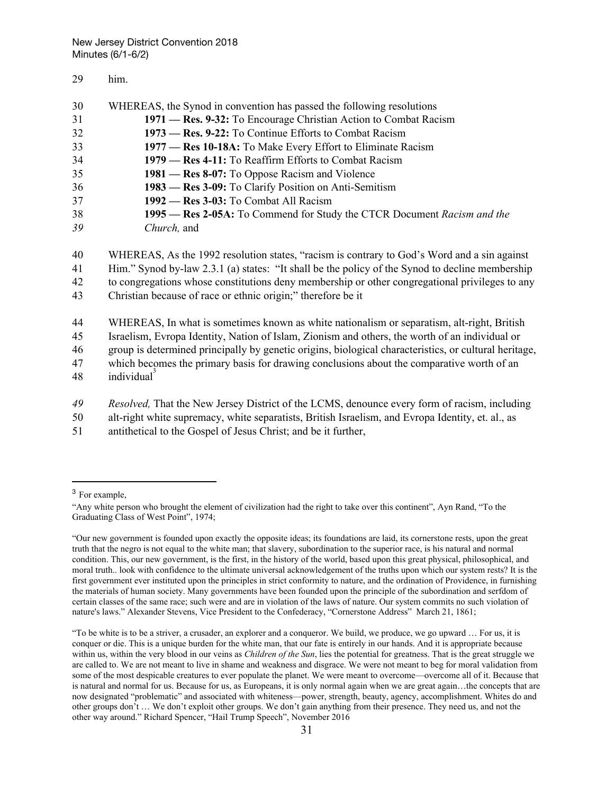#### 29 him.

| 30 | WHEREAS, the Synod in convention has passed the following resolutions   |
|----|-------------------------------------------------------------------------|
| 31 | 1971 — Res. 9-32: To Encourage Christian Action to Combat Racism        |
| 32 | 1973 — Res. 9-22: To Continue Efforts to Combat Racism                  |
| 33 | 1977 — Res 10-18A: To Make Every Effort to Eliminate Racism             |
| 34 | 1979 — Res 4-11: To Reaffirm Efforts to Combat Racism                   |
| 35 | 1981 — Res 8-07: To Oppose Racism and Violence                          |
| 36 | 1983 — Res 3-09: To Clarify Position on Anti-Semitism                   |
| 37 | 1992 — Res 3-03: To Combat All Racism                                   |
| 38 | 1995 — Res 2-05A: To Commend for Study the CTCR Document Racism and the |
| 39 | Church, and                                                             |
|    |                                                                         |

- 40 WHEREAS, As the 1992 resolution states, "racism is contrary to God's Word and a sin against
- 41 Him." Synod by-law 2.3.1 (a) states: "It shall be the policy of the Synod to decline membership
- 42 to congregations whose constitutions deny membership or other congregational privileges to any
- 43 Christian because of race or ethnic origin;" therefore be it
- 44 WHEREAS, In what is sometimes known as white nationalism or separatism, alt-right, British
- 45 Israelism, Evropa Identity, Nation of Islam, Zionism and others, the worth of an individual or
- 46 group is determined principally by genetic origins, biological characteristics, or cultural heritage,
- 47 which becomes the primary basis for drawing conclusions about the comparative worth of an 48 individual<sup>3</sup>
- 
- *49 Resolved,* That the New Jersey District of the LCMS, denounce every form of racism, including
- 50 alt-right white supremacy, white separatists, British Israelism, and Evropa Identity, et. al., as
- 51 antithetical to the Gospel of Jesus Christ; and be it further,
- <sup>3</sup> For example,

<sup>&</sup>quot;Any white person who brought the element of civilization had the right to take over this continent", Ayn Rand, "To the Graduating Class of West Point", 1974;

<sup>&</sup>quot;Our new government is founded upon exactly the opposite ideas; its foundations are laid, its cornerstone rests, upon the great truth that the negro is not equal to the white man; that slavery, subordination to the superior race, is his natural and normal condition. This, our new government, is the first, in the history of the world, based upon this great physical, philosophical, and moral truth.. look with confidence to the ultimate universal acknowledgement of the truths upon which our system rests? It is the first government ever instituted upon the principles in strict conformity to nature, and the ordination of Providence, in furnishing the materials of human society. Many governments have been founded upon the principle of the subordination and serfdom of certain classes of the same race; such were and are in violation of the laws of nature. Our system commits no such violation of nature's laws." Alexander Stevens, Vice President to the Confederacy, "Cornerstone Address" March 21, 1861;

<sup>&</sup>quot;To be white is to be a striver, a crusader, an explorer and a conqueror. We build, we produce, we go upward … For us, it is conquer or die. This is a unique burden for the white man, that our fate is entirely in our hands. And it is appropriate because within us, within the very blood in our veins as *Children of the Sun*, lies the potential for greatness. That is the great struggle we are called to. We are not meant to live in shame and weakness and disgrace. We were not meant to beg for moral validation from some of the most despicable creatures to ever populate the planet. We were meant to overcome—overcome all of it. Because that is natural and normal for us. Because for us, as Europeans, it is only normal again when we are great again…the concepts that are now designated "problematic" and associated with whiteness—power, strength, beauty, agency, accomplishment. Whites do and other groups don't … We don't exploit other groups. We don't gain anything from their presence. They need us, and not the other way around." Richard Spencer, "Hail Trump Speech", November 2016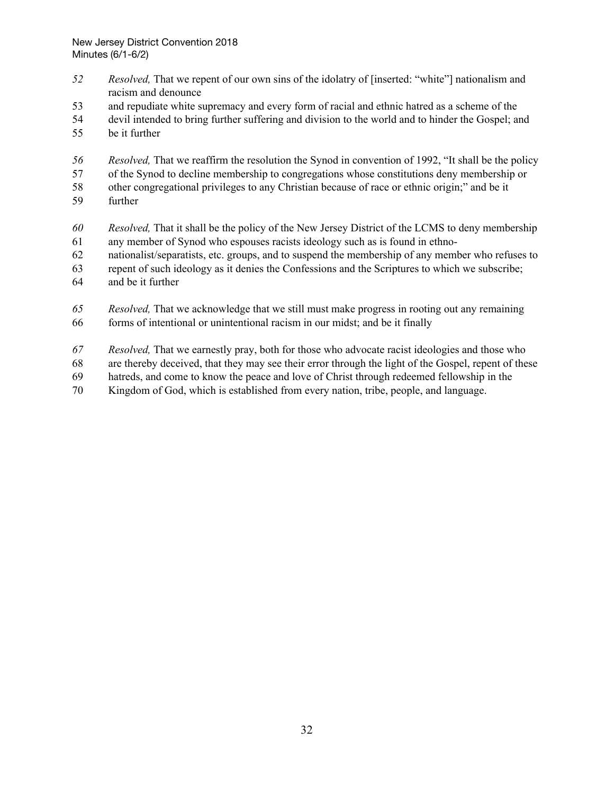- *Resolved,* That we repent of our own sins of the idolatry of [inserted: "white"] nationalism and racism and denounce
- and repudiate white supremacy and every form of racial and ethnic hatred as a scheme of the
- devil intended to bring further suffering and division to the world and to hinder the Gospel; and
- be it further
- *Resolved,* That we reaffirm the resolution the Synod in convention of 1992, "It shall be the policy
- of the Synod to decline membership to congregations whose constitutions deny membership or
- other congregational privileges to any Christian because of race or ethnic origin;" and be it further
- *Resolved,* That it shall be the policy of the New Jersey District of the LCMS to deny membership any member of Synod who espouses racists ideology such as is found in ethno-
- nationalist/separatists, etc. groups, and to suspend the membership of any member who refuses to
- repent of such ideology as it denies the Confessions and the Scriptures to which we subscribe;
- and be it further
- *Resolved,* That we acknowledge that we still must make progress in rooting out any remaining forms of intentional or unintentional racism in our midst; and be it finally
- *Resolved,* That we earnestly pray, both for those who advocate racist ideologies and those who
- are thereby deceived, that they may see their error through the light of the Gospel, repent of these
- hatreds, and come to know the peace and love of Christ through redeemed fellowship in the
- Kingdom of God, which is established from every nation, tribe, people, and language.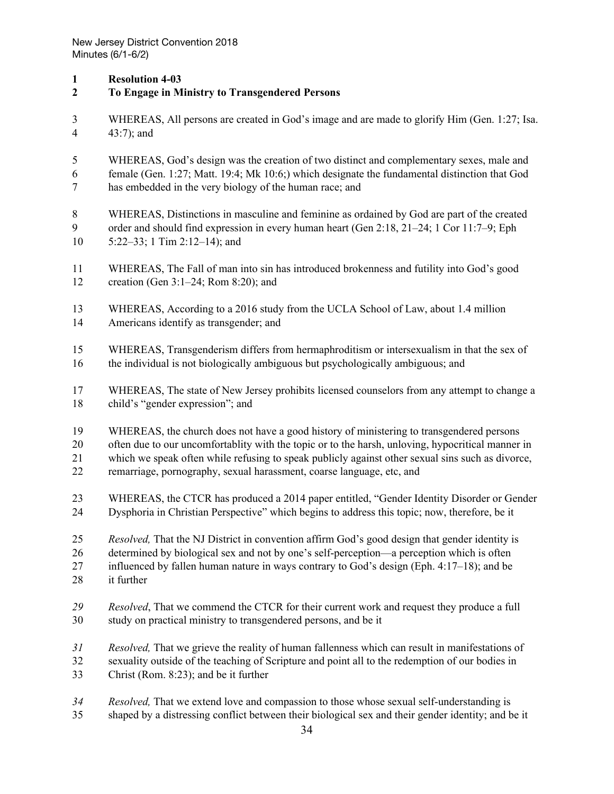#### **Resolution 4-03**

- **To Engage in Ministry to Transgendered Persons**
- WHEREAS, All persons are created in God's image and are made to glorify Him [\(Gen.](http://biblia.com/bible/hcsb/Genesis%201.27) 1:27; [Isa.](http://biblia.com/bible/hcsb/Isaiah%2043.7) [43:7\)](http://biblia.com/bible/hcsb/Isaiah%2043.7); and
- WHEREAS, God's design was the creation of two distinct and complementary sexes, male and female [\(Gen.](http://biblia.com/bible/hcsb/Genesis%201.27) 1:27; [Matt.](http://biblia.com/bible/hcsb/Matthew%2019.4) 19:4; Mk [10:6;](http://biblia.com/bible/hcsb/Mark%2010.6)) which designate the fundamental distinction that God has embedded in the very biology of the human race; and
- WHEREAS, Distinctions in masculine and feminine as ordained by God are part of the created order and should find expression in every human heart (Gen 2:18, 21–24; 1 Cor 11:7–9; Eph
- 5:22–33; 1 Tim 2:12–14); and
- WHEREAS, The Fall of man into sin has introduced brokenness and futility into God's good creation (Gen [3:1–24;](http://biblia.com/bible/hcsb/Genesis%203.1%E2%80%9324) [Rom](http://biblia.com/bible/hcsb/Romans%208.20) 8:20); and
- WHEREAS, According to a 2016 study from the UCLA School of Law, about 1.4 million Americans identify as transgender; and
- WHEREAS, Transgenderism differs from hermaphroditism or intersexualism in that the sex of the individual is not biologically ambiguous but psychologically ambiguous; and
- WHEREAS, The state of New Jersey prohibits licensed counselors from any attempt to change a child's "gender expression"; and
- WHEREAS, the church does not have a good history of ministering to transgendered persons
- often due to our uncomfortablity with the topic or to the harsh, unloving, hypocritical manner in
- which we speak often while refusing to speak publicly against other sexual sins such as divorce,
- remarriage, pornography, sexual harassment, coarse language, etc, and
- WHEREAS, the CTCR has produced a 2014 paper entitled, "Gender Identity Disorder or Gender Dysphoria in Christian Perspective" which begins to address this topic; now, therefore, be it
- *Resolved,* That the NJ District in convention affirm God's good design that gender identity is
- determined by biological sex and not by one's self-perception—a perception which is often
- influenced by fallen human nature in ways contrary to God's design (Eph. [4:17–18](http://biblia.com/bible/hcsb/Ephesians%204.17%E2%80%9318)); and be
- it further
- *Resolved*, That we commend the CTCR for their current work and request they produce a full study on practical ministry to transgendered persons, and be it
- *Resolved,* That we grieve the reality of human fallenness which can result in manifestations of sexuality outside of the teaching of Scripture and point all to the redemption of our bodies in Christ [\(Rom.](http://biblia.com/bible/hcsb/Romans%208.23) 8:23); and be it further
- *Resolved,* That we extend love and compassion to those whose sexual self-understanding is
- shaped by a distressing conflict between their biological sex and their gender identity; and be it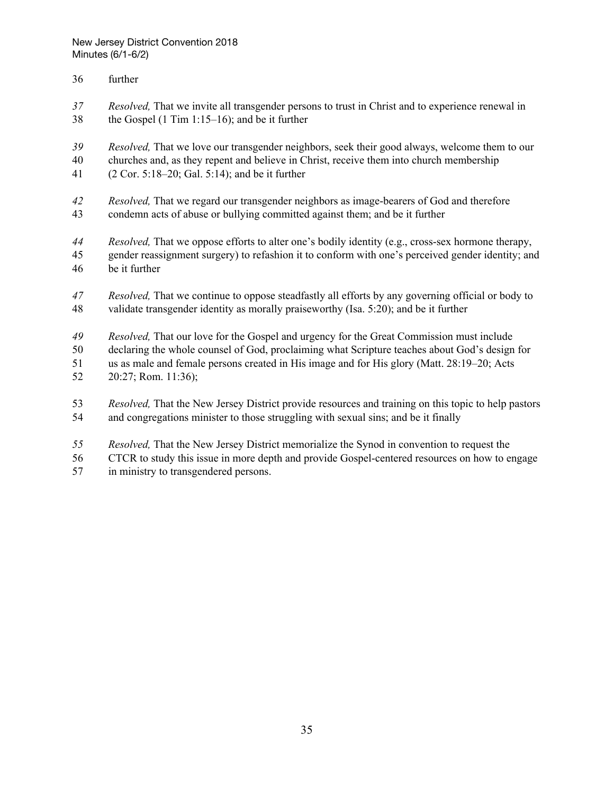- further
- *Resolved,* That we invite all transgender persons to trust in Christ and to experience renewal in the Gospel (1 Tim [1:15–16](http://biblia.com/bible/hcsb/1%20Timothy%201.15%E2%80%9316)); and be it further
- *Resolved,* That we love our transgender neighbors, seek their good always, welcome them to our
- churches and, as they repent and believe in Christ, receive them into church membership
- (2 Cor. 5:18–20; Gal. 5:14); and be it further
- *Resolved,* That we regard our transgender neighbors as image-bearers of God and therefore condemn acts of abuse or bullying committed against them; and be it further
- *Resolved,* That we oppose efforts to alter one's bodily identity (e.g., cross-sex hormone therapy, gender reassignment surgery) to refashion it to conform with one's perceived gender identity; and be it further
- *Resolved,* That we continue to oppose steadfastly all efforts by any governing official or body to validate transgender identity as morally praiseworthy (Isa. 5:20); and be it further
- *Resolved,* That our love for the Gospel and urgency for the Great Commission must include
- declaring the whole counsel of God, proclaiming what Scripture teaches about God's design for
- us as male and female persons created in His image and for His glory (Matt. 28:19–20; Acts
- 20:27; Rom. 11:36);
- *Resolved,* That the New Jersey District provide resources and training on this topic to help pastors and congregations minister to those struggling with sexual sins; and be it finally
- *Resolved,* That the New Jersey District memorialize the Synod in convention to request the
- CTCR to study this issue in more depth and provide Gospel-centered resources on how to engage
- in ministry to transgendered persons.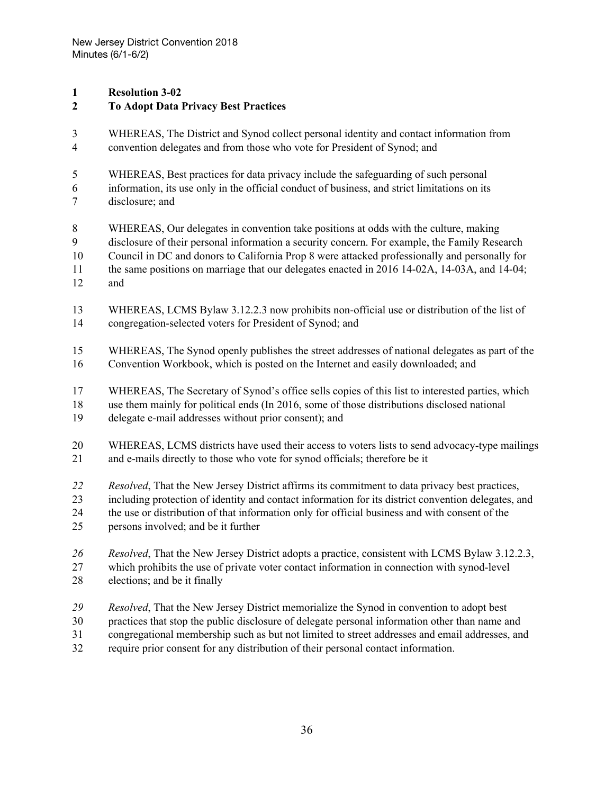### **Resolution 3-02**

### **To Adopt Data Privacy Best Practices**

- WHEREAS, The District and Synod collect personal identity and contact information from convention delegates and from those who vote for President of Synod; and
- WHEREAS, Best practices for data privacy include the safeguarding of such personal
- information, its use only in the official conduct of business, and strict limitations on its disclosure; and
- WHEREAS, Our delegates in convention take positions at odds with the culture, making
- disclosure of their personal information a security concern. For example, the Family Research
- Council in DC and donors to California Prop 8 were attacked professionally and personally for
- the same positions on marriage that our delegates enacted in 2016 14-02A, 14-03A, and 14-04;
- and
- WHEREAS, LCMS Bylaw 3.12.2.3 now prohibits non-official use or distribution of the list of congregation-selected voters for President of Synod; and
- WHEREAS, The Synod openly publishes the street addresses of national delegates as part of the Convention Workbook, which is posted on the Internet and easily downloaded; and
- WHEREAS, The Secretary of Synod's office sells copies of this list to interested parties, which
- use them mainly for political ends (In 2016, some of those distributions disclosed national
- delegate e-mail addresses without prior consent); and
- WHEREAS, LCMS districts have used their access to voters lists to send advocacy-type mailings and e-mails directly to those who vote for synod officials; therefore be it
- *Resolved*, That the New Jersey District affirms its commitment to data privacy best practices,
- including protection of identity and contact information for its district convention delegates, and
- the use or distribution of that information only for official business and with consent of the
- persons involved; and be it further
- *Resolved*, That the New Jersey District adopts a practice, consistent with LCMS Bylaw 3.12.2.3,
- which prohibits the use of private voter contact information in connection with synod-level
- elections; and be it finally
- *Resolved*, That the New Jersey District memorialize the Synod in convention to adopt best
- practices that stop the public disclosure of delegate personal information other than name and
- congregational membership such as but not limited to street addresses and email addresses, and
- require prior consent for any distribution of their personal contact information.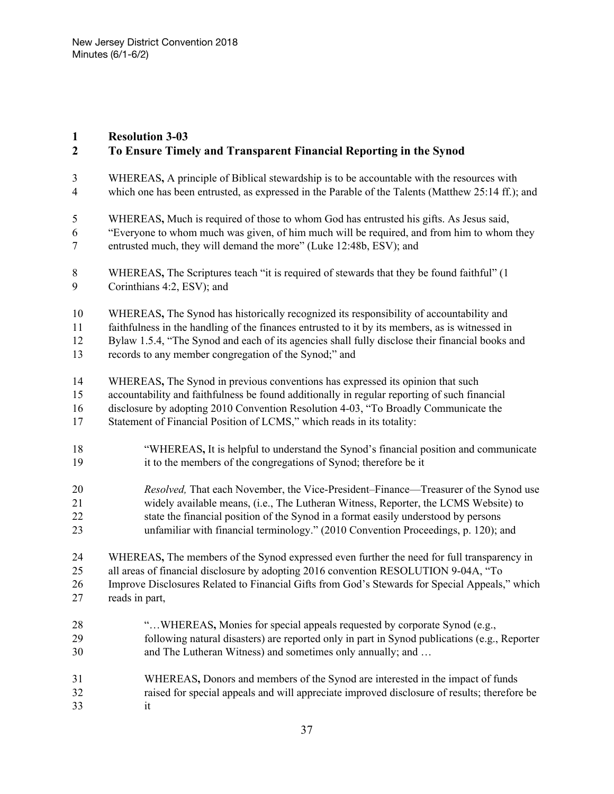#### **Resolution 3-03**

## **To Ensure Timely and Transparent Financial Reporting in the Synod**

- WHEREAS**,** A principle of Biblical stewardship is to be accountable with the resources with which one has been entrusted, as expressed in the Parable of the Talents (Matthew 25:14 ff.); and
- WHEREAS**,** Much is required of those to whom God has entrusted his gifts. As Jesus said,
- "Everyone to whom much was given, of him much will be required, and from him to whom they entrusted much, they will demand the more" (Luke 12:48b, ESV); and
- WHEREAS**,** The Scriptures teach "it is required of stewards that they be found faithful" (1 Corinthians 4:2, ESV); and
- WHEREAS**,** The Synod has historically recognized its responsibility of accountability and
- faithfulness in the handling of the finances entrusted to it by its members, as is witnessed in

Bylaw 1.5.4, "The Synod and each of its agencies shall fully disclose their financial books and

- records to any member congregation of the Synod;" and
- WHEREAS**,** The Synod in previous conventions has expressed its opinion that such
- accountability and faithfulness be found additionally in regular reporting of such financial
- disclosure by adopting 2010 Convention Resolution 4-03, "To Broadly Communicate the
- Statement of Financial Position of LCMS," which reads in its totality:
- "WHEREAS**,** It is helpful to understand the Synod's financial position and communicate it to the members of the congregations of Synod; therefore be it
- *Resolved,* That each November, the Vice-President–Finance—Treasurer of the Synod use widely available means, (i.e., The Lutheran Witness, Reporter, the LCMS Website) to state the financial position of the Synod in a format easily understood by persons unfamiliar with financial terminology." (2010 Convention Proceedings, p. 120); and
- 
- WHEREAS**,** The members of the Synod expressed even further the need for full transparency in all areas of financial disclosure by adopting 2016 convention RESOLUTION 9-04A, "To
- Improve Disclosures Related to Financial Gifts from God's Stewards for Special Appeals," which
- reads in part,
- "…WHEREAS**,** Monies for special appeals requested by corporate Synod (e.g., following natural disasters) are reported only in part in Synod publications (e.g., Reporter 30 and The Lutheran Witness) and sometimes only annually; and ...
- WHEREAS**,** Donors and members of the Synod are interested in the impact of funds raised for special appeals and will appreciate improved disclosure of results; therefore be it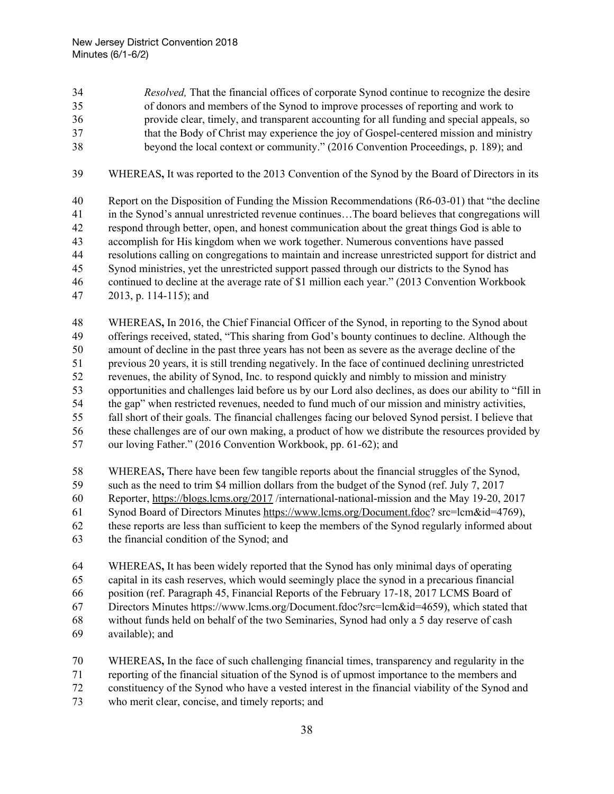*Resolved,* That the financial offices of corporate Synod continue to recognize the desire of donors and members of the Synod to improve processes of reporting and work to

- provide clear, timely, and transparent accounting for all funding and special appeals, so that the Body of Christ may experience the joy of Gospel-centered mission and ministry
- beyond the local context or community." (2016 Convention Proceedings, p. 189); and
- WHEREAS**,** It was reported to the 2013 Convention of the Synod by the Board of Directors in its
- Report on the Disposition of Funding the Mission Recommendations (R6-03-01) that "the decline in the Synod's annual unrestricted revenue continues…The board believes that congregations will respond through better, open, and honest communication about the great things God is able to accomplish for His kingdom when we work together. Numerous conventions have passed resolutions calling on congregations to maintain and increase unrestricted support for district and Synod ministries, yet the unrestricted support passed through our districts to the Synod has continued to decline at the average rate of \$1 million each year." (2013 Convention Workbook 2013, p. 114-115); and
- WHEREAS**,** In 2016, the Chief Financial Officer of the Synod, in reporting to the Synod about offerings received, stated, "This sharing from God's bounty continues to decline. Although the amount of decline in the past three years has not been as severe as the average decline of the previous 20 years, it is still trending negatively. In the face of continued declining unrestricted revenues, the ability of Synod, Inc. to respond quickly and nimbly to mission and ministry opportunities and challenges laid before us by our Lord also declines, as does our ability to "fill in the gap" when restricted revenues, needed to fund much of our mission and ministry activities, fall short of their goals. The financial challenges facing our beloved Synod persist. I believe that these challenges are of our own making, a product of how we distribute the resources provided by our loving Father." (2016 Convention Workbook, pp. 61-62); and
- WHEREAS**,** There have been few tangible reports about the financial struggles of the Synod, such as the need to trim \$4 million dollars from the budget of the Synod (ref. July 7, 2017
- Reporter, <https://blogs.lcms.org/2017> /international-national-mission and the May 19-20, 2017
- Synod Board of Directors Minutes <https://www.lcms.org/Document.fdoc>? src=lcm&id=4769),
- these reports are less than sufficient to keep the members of the Synod regularly informed about
- the financial condition of the Synod; and
- WHEREAS**,** It has been widely reported that the Synod has only minimal days of operating
- capital in its cash reserves, which would seemingly place the synod in a precarious financial
- position (ref. Paragraph 45, Financial Reports of the February 17-18, 2017 LCMS Board of
- Directors Minutes https://www.lcms.org/Document.fdoc?src=lcm&id=4659), which stated that without funds held on behalf of the two Seminaries, Synod had only a 5 day reserve of cash
- available); and
- WHEREAS**,** In the face of such challenging financial times, transparency and regularity in the reporting of the financial situation of the Synod is of upmost importance to the members and
- constituency of the Synod who have a vested interest in the financial viability of the Synod and
- who merit clear, concise, and timely reports; and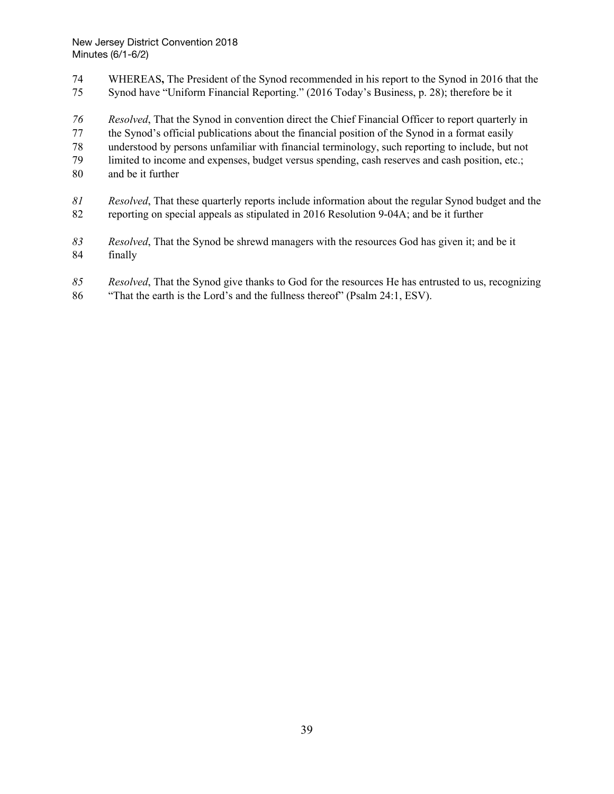- WHEREAS**,** The President of the Synod recommended in his report to the Synod in 2016 that the
- Synod have "Uniform Financial Reporting." (2016 Today's Business, p. 28); therefore be it
- *Resolved*, That the Synod in convention direct the Chief Financial Officer to report quarterly in
- the Synod's official publications about the financial position of the Synod in a format easily
- understood by persons unfamiliar with financial terminology, such reporting to include, but not
- limited to income and expenses, budget versus spending, cash reserves and cash position, etc.;
- and be it further
- *Resolved*, That these quarterly reports include information about the regular Synod budget and the reporting on special appeals as stipulated in 2016 Resolution 9-04A; and be it further
- *Resolved*, That the Synod be shrewd managers with the resources God has given it; and be it finally
- *Resolved*, That the Synod give thanks to God for the resources He has entrusted to us, recognizing
- "That the earth is the Lord's and the fullness thereof" (Psalm 24:1, ESV).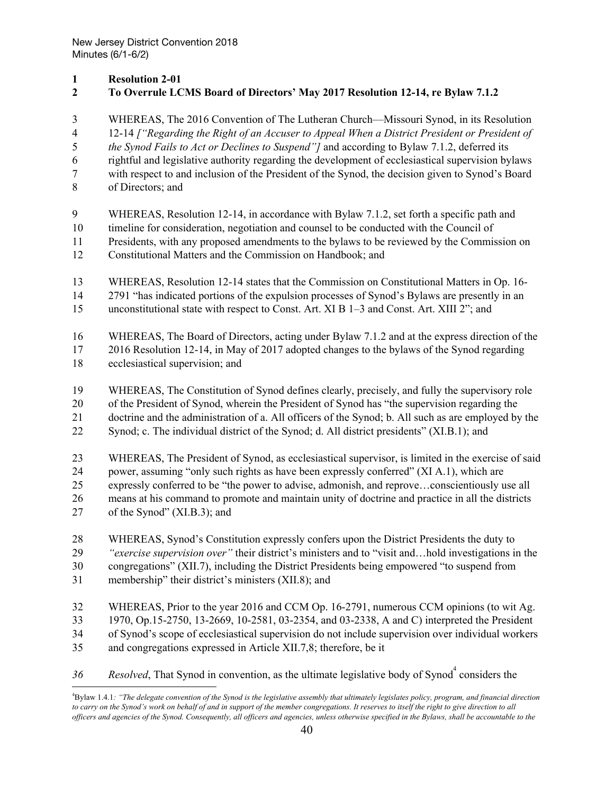#### **Resolution 2-01**

### **To Overrule LCMS Board of Directors' May 2017 Resolution 12-14, re Bylaw 7.1.2**

 WHEREAS, The 2016 Convention of The Lutheran Church—Missouri Synod, in its Resolution 12-14 *["Regarding the Right of an Accuser to Appeal When a District President or President of the Synod Fails to Act or Declines to Suspend"]* and according to Bylaw 7.1.2, deferred its rightful and legislative authority regarding the development of ecclesiastical supervision bylaws with respect to and inclusion of the President of the Synod, the decision given to Synod's Board of Directors; and WHEREAS, Resolution 12-14, in accordance with Bylaw 7.1.2, set forth a specific path and timeline for consideration, negotiation and counsel to be conducted with the Council of Presidents, with any proposed amendments to the bylaws to be reviewed by the Commission on Constitutional Matters and the Commission on Handbook; and WHEREAS, Resolution 12-14 states that the Commission on Constitutional Matters in Op. 16- 2791 "has indicated portions of the expulsion processes of Synod's Bylaws are presently in an unconstitutional state with respect to Const. Art. XI B 1–3 and Const. Art. XIII 2"; and WHEREAS, The Board of Directors, acting under Bylaw 7.1.2 and at the express direction of the 2016 Resolution 12-14, in May of 2017 adopted changes to the bylaws of the Synod regarding ecclesiastical supervision; and WHEREAS, The Constitution of Synod defines clearly, precisely, and fully the supervisory role of the President of Synod, wherein the President of Synod has "the supervision regarding the doctrine and the administration of a. All officers of the Synod; b. All such as are employed by the Synod; c. The individual district of the Synod; d. All district presidents" (XI.B.1); and WHEREAS, The President of Synod, as ecclesiastical supervisor, is limited in the exercise of said power, assuming "only such rights as have been expressly conferred" (XI A.1), which are expressly conferred to be "the power to advise, admonish, and reprove…conscientiously use all means at his command to promote and maintain unity of doctrine and practice in all the districts of the Synod" (XI.B.3); and WHEREAS, Synod's Constitution expressly confers upon the District Presidents the duty to *"exercise supervision over"* their district's ministers and to "visit and…hold investigations in the congregations" (XII.7), including the District Presidents being empowered "to suspend from membership" their district's ministers (XII.8); and WHEREAS, Prior to the year 2016 and CCM Op. 16-2791, numerous CCM opinions (to wit Ag. 1970, Op.15-2750, 13-2669, 10-2581, 03-2354, and 03-2338, A and C) interpreted the President of Synod's scope of ecclesiastical supervision do not include supervision over individual workers and congregations expressed in Article XII.7,8; therefore, be it 36 Resolved, That Synod in convention, as the ultimate legislative body of Synod<sup>4</sup> considers the

<sup>&</sup>lt;sup>4</sup>Bylaw 1.4.1: "The delegate convention of the Synod is the legislative assembly that ultimately legislates policy, program, and financial direction to carry on the Synod's work on behalf of and in support of the member congregations. It reserves to itself the right to give direction to all officers and agencies of the Synod. Consequently, all officers and agencies, unless otherwise specified in the Bylaws, shall be accountable to the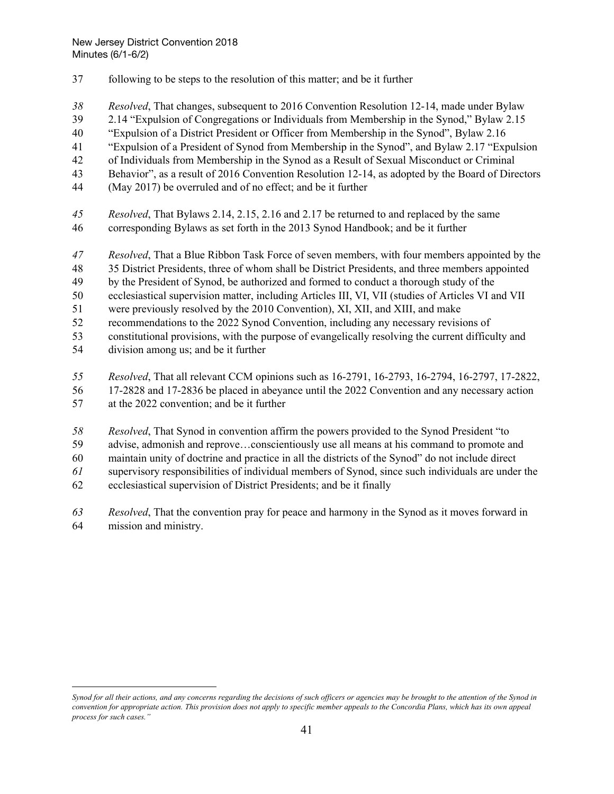- following to be steps to the resolution of this matter; and be it further
- *Resolved*, That changes, subsequent to 2016 Convention Resolution 12-14, made under Bylaw
- 2.14 "Expulsion of Congregations or Individuals from Membership in the Synod," Bylaw 2.15
- "Expulsion of a District President or Officer from Membership in the Synod", Bylaw 2.16
- "Expulsion of a President of Synod from Membership in the Synod", and Bylaw 2.17 "Expulsion
- of Individuals from Membership in the Synod as a Result of Sexual Misconduct or Criminal
- Behavior", as a result of 2016 Convention Resolution 12-14, as adopted by the Board of Directors
- (May 2017) be overruled and of no effect; and be it further
- *Resolved*, That Bylaws 2.14, 2.15, 2.16 and 2.17 be returned to and replaced by the same corresponding Bylaws as set forth in the 2013 Synod Handbook; and be it further
- *Resolved*, That a Blue Ribbon Task Force of seven members, with four members appointed by the
- 35 District Presidents, three of whom shall be District Presidents, and three members appointed
- by the President of Synod, be authorized and formed to conduct a thorough study of the
- ecclesiastical supervision matter, including Articles III, VI, VII (studies of Articles VI and VII
- were previously resolved by the 2010 Convention), XI, XII, and XIII, and make
- recommendations to the 2022 Synod Convention, including any necessary revisions of
- constitutional provisions, with the purpose of evangelically resolving the current difficulty and
- division among us; and be it further
- *Resolved*, That all relevant CCM opinions such as 16-2791, 16-2793, 16-2794, 16-2797, 17-2822,
- 17-2828 and 17-2836 be placed in abeyance until the 2022 Convention and any necessary action
- at the 2022 convention; and be it further
- *Resolved*, That Synod in convention affirm the powers provided to the Synod President "to
- advise, admonish and reprove…conscientiously use all means at his command to promote and
- maintain unity of doctrine and practice in all the districts of the Synod" do not include direct
- supervisory responsibilities of individual members of Synod, since such individuals are under the
- ecclesiastical supervision of District Presidents; and be it finally
- *Resolved*, That the convention pray for peace and harmony in the Synod as it moves forward in mission and ministry.

Synod for all their actions, and any concerns regarding the decisions of such officers or agencies may be brought to the attention of the Synod in convention for appropriate action. This provision does not apply to specific member appeals to the Concordia Plans, which has its own appeal *process for such cases."*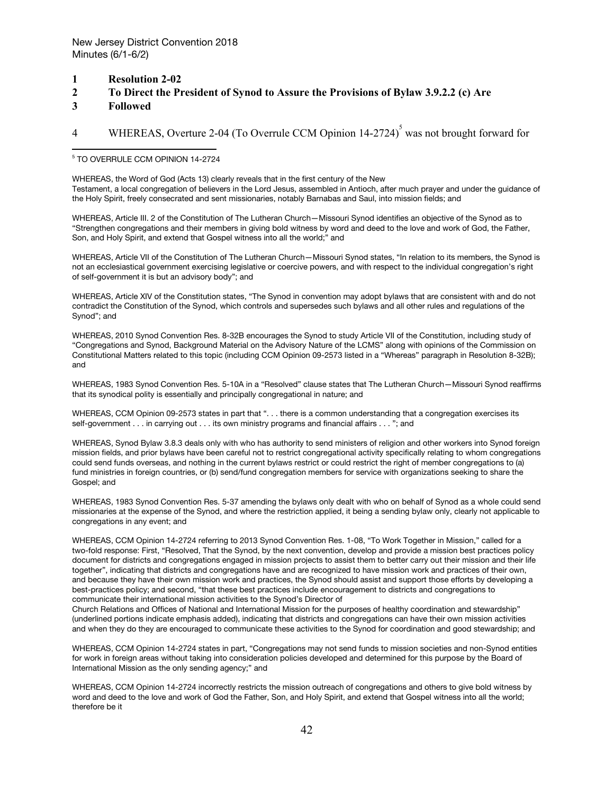- **1 Resolution 2-02**
- **2 To Direct the President of Synod to Assure the Provisions of Bylaw 3.9.2.2 (c) Are**
- **3 Followed**

## 4 WHEREAS, Overture 2-04 (To Overrule CCM Opinion 14-2724)<sup>5</sup> was not brought forward for

#### <sup>5</sup> TO OVERRULE CCM OPINION 14-2724

WHEREAS, the Word of God (Acts 13) clearly reveals that in the first century of the New Testament, a local congregation of believers in the Lord Jesus, assembled in Antioch, after much prayer and under the guidance of the Holy Spirit, freely consecrated and sent missionaries, notably Barnabas and Saul, into mission fields; and

WHEREAS, Article III. 2 of the Constitution of The Lutheran Church—Missouri Synod identifies an objective of the Synod as to "Strengthen congregations and their members in giving bold witness by word and deed to the love and work of God, the Father, Son, and Holy Spirit, and extend that Gospel witness into all the world;" and

WHEREAS, Article VII of the Constitution of The Lutheran Church—Missouri Synod states, "In relation to its members, the Synod is not an ecclesiastical government exercising legislative or coercive powers, and with respect to the individual congregation's right of self-government it is but an advisory body"; and

WHEREAS, Article XIV of the Constitution states, "The Synod in convention may adopt bylaws that are consistent with and do not contradict the Constitution of the Synod, which controls and supersedes such bylaws and all other rules and regulations of the Synod"; and

WHEREAS, 2010 Synod Convention Res. 8-32B encourages the Synod to study Article VII of the Constitution, including study of "Congregations and Synod, Background Material on the Advisory Nature of the LCMS" along with opinions of the Commission on Constitutional Matters related to this topic (including CCM Opinion 09-2573 listed in a "Whereas" paragraph in Resolution 8-32B); and

WHEREAS, 1983 Synod Convention Res. 5-10A in a "Resolved" clause states that The Lutheran Church—Missouri Synod reaffirms that its synodical polity is essentially and principally congregational in nature; and

WHEREAS, CCM Opinion 09-2573 states in part that ". . . there is a common understanding that a congregation exercises its self-government . . . in carrying out . . . its own ministry programs and financial affairs . . . "; and

WHEREAS, Synod Bylaw 3.8.3 deals only with who has authority to send ministers of religion and other workers into Synod foreign mission fields, and prior bylaws have been careful not to restrict congregational activity specifically relating to whom congregations could send funds overseas, and nothing in the current bylaws restrict or could restrict the right of member congregations to (a) fund ministries in foreign countries, or (b) send/fund congregation members for service with organizations seeking to share the Gospel; and

WHEREAS, 1983 Synod Convention Res. 5-37 amending the bylaws only dealt with who on behalf of Synod as a whole could send missionaries at the expense of the Synod, and where the restriction applied, it being a sending bylaw only, clearly not applicable to congregations in any event; and

WHEREAS, CCM Opinion 14-2724 referring to 2013 Synod Convention Res. 1-08, "To Work Together in Mission," called for a two-fold response: First, "Resolved, That the Synod, by the next convention, develop and provide a mission best practices policy document for districts and congregations engaged in mission projects to assist them to better carry out their mission and their life together", indicating that districts and congregations have and are recognized to have mission work and practices of their own, and because they have their own mission work and practices, the Synod should assist and support those efforts by developing a best-practices policy; and second, "that these best practices include encouragement to districts and congregations to communicate their international mission activities to the Synod's Director of

Church Relations and Offices of National and International Mission for the purposes of healthy coordination and stewardship" (underlined portions indicate emphasis added), indicating that districts and congregations can have their own mission activities and when they do they are encouraged to communicate these activities to the Synod for coordination and good stewardship; and

WHEREAS, CCM Opinion 14-2724 states in part, "Congregations may not send funds to mission societies and non-Synod entities for work in foreign areas without taking into consideration policies developed and determined for this purpose by the Board of International Mission as the only sending agency;" and

WHEREAS, CCM Opinion 14-2724 incorrectly restricts the mission outreach of congregations and others to give bold witness by word and deed to the love and work of God the Father, Son, and Holy Spirit, and extend that Gospel witness into all the world; therefore be it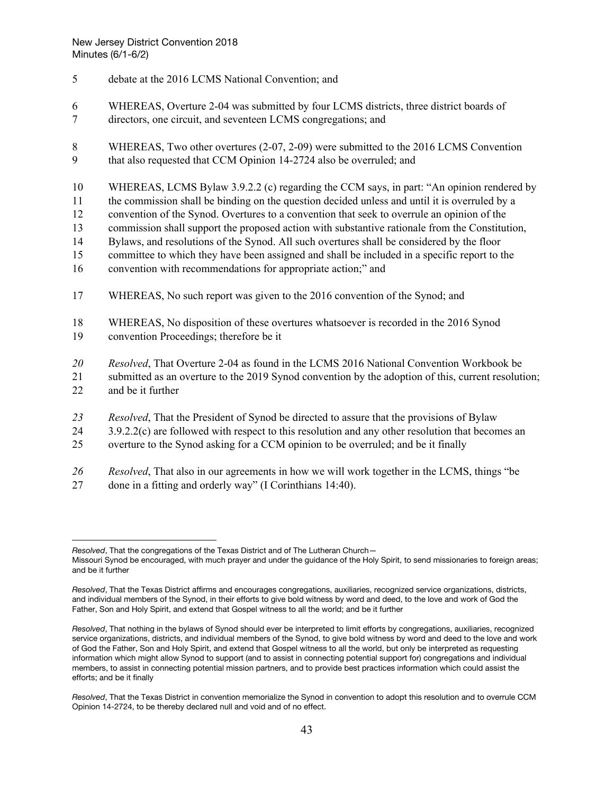- 5 debate at the 2016 LCMS National Convention; and
- 6 WHEREAS, Overture 2-04 was submitted by four LCMS districts, three district boards of 7 directors, one circuit, and seventeen LCMS congregations; and
- 8 WHEREAS, Two other overtures (2-07, 2-09) were submitted to the 2016 LCMS Convention 9 that also requested that CCM Opinion 14-2724 also be overruled; and
- 10 WHEREAS, LCMS Bylaw 3.9.2.2 (c) regarding the CCM says, in part: "An opinion rendered by
- 11 the commission shall be binding on the question decided unless and until it is overruled by a
- 12 convention of the Synod. Overtures to a convention that seek to overrule an opinion of the
- 13 commission shall support the proposed action with substantive rationale from the Constitution,
- 14 Bylaws, and resolutions of the Synod. All such overtures shall be considered by the floor
- 15 committee to which they have been assigned and shall be included in a specific report to the
- 16 convention with recommendations for appropriate action;" and
- 17 WHEREAS, No such report was given to the 2016 convention of the Synod; and
- 18 WHEREAS, No disposition of these overtures whatsoever is recorded in the 2016 Synod 19 convention Proceedings; therefore be it
- *20 Resolved*, That Overture 2-04 as found in the LCMS 2016 National Convention Workbook be
- 21 submitted as an overture to the 2019 Synod convention by the adoption of this, current resolution; 22 and be it further
- *23 Resolved*, That the President of Synod be directed to assure that the provisions of Bylaw
- 24 3.9.2.2(c) are followed with respect to this resolution and any other resolution that becomes an
- 25 overture to the Synod asking for a CCM opinion to be overruled; and be it finally
- *26 Resolved*, That also in our agreements in how we will work together in the LCMS, things "be
- 27 done in a fitting and orderly way" (I Corinthians 14:40).

*Resolved*, That the congregations of the Texas District and of The Lutheran Church—

Missouri Synod be encouraged, with much prayer and under the guidance of the Holy Spirit, to send missionaries to foreign areas; and be it further

*Resolved*, That the Texas District affirms and encourages congregations, auxiliaries, recognized service organizations, districts, and individual members of the Synod, in their efforts to give bold witness by word and deed, to the love and work of God the Father, Son and Holy Spirit, and extend that Gospel witness to all the world; and be it further

*Resolved*, That nothing in the bylaws of Synod should ever be interpreted to limit efforts by congregations, auxiliaries, recognized service organizations, districts, and individual members of the Synod, to give bold witness by word and deed to the love and work of God the Father, Son and Holy Spirit, and extend that Gospel witness to all the world, but only be interpreted as requesting information which might allow Synod to support (and to assist in connecting potential support for) congregations and individual members, to assist in connecting potential mission partners, and to provide best practices information which could assist the efforts; and be it finally

*Resolved*, That the Texas District in convention memorialize the Synod in convention to adopt this resolution and to overrule CCM Opinion 14-2724, to be thereby declared null and void and of no effect.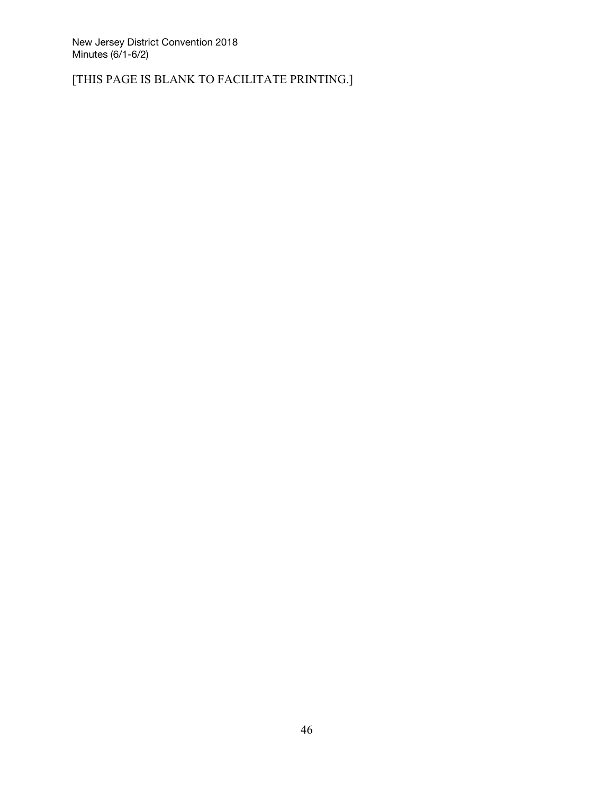[THIS PAGE IS BLANK TO FACILITATE PRINTING.]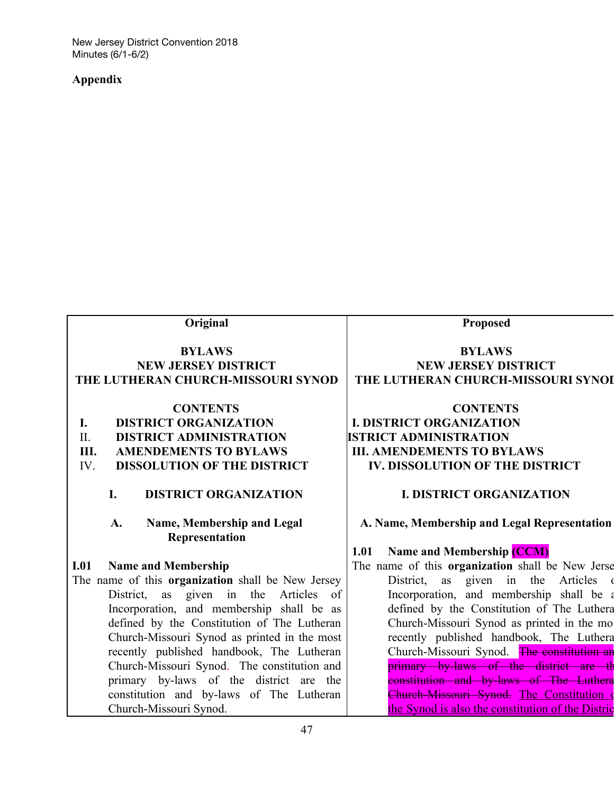## **Appendix**

| Original                                           | Proposed                                          |
|----------------------------------------------------|---------------------------------------------------|
| <b>BYLAWS</b>                                      | <b>BYLAWS</b>                                     |
| <b>NEW JERSEY DISTRICT</b>                         | <b>NEW JERSEY DISTRICT</b>                        |
| THE LUTHERAN CHURCH-MISSOURI SYNOD                 | THE LUTHERAN CHURCH-MISSOURI SYNOI                |
| <b>CONTENTS</b>                                    | <b>CONTENTS</b>                                   |
| <b>DISTRICT ORGANIZATION</b><br>I.                 | <b>I. DISTRICT ORGANIZATION</b>                   |
| <b>DISTRICT ADMINISTRATION</b><br>$\Pi$ .          | <b>ISTRICT ADMINISTRATION</b>                     |
| <b>AMENDEMENTS TO BYLAWS</b><br>Ш.                 | <b>III. AMENDEMENTS TO BYLAWS</b>                 |
| IV.<br><b>DISSOLUTION OF THE DISTRICT</b>          | IV. DISSOLUTION OF THE DISTRICT                   |
| I.<br><b>DISTRICT ORGANIZATION</b>                 | <b>I. DISTRICT ORGANIZATION</b>                   |
| Name, Membership and Legal<br>A.<br>Representation | A. Name, Membership and Legal Representation      |
|                                                    | <b>Name and Membership (CCM)</b><br>1.01          |
| I.01<br><b>Name and Membership</b>                 | The name of this organization shall be New Jerse  |
| The name of this organization shall be New Jersey  | given in<br>Articles<br>District,<br>as<br>the    |
| the<br>District,<br>as given in<br>Articles<br>of  | Incorporation, and membership shall be a          |
| Incorporation, and membership shall be as          | defined by the Constitution of The Luthera        |
| defined by the Constitution of The Lutheran        | Church-Missouri Synod as printed in the mo        |
| Church-Missouri Synod as printed in the most       | recently published handbook, The Luthera          |
| recently published handbook, The Lutheran          | Church-Missouri Synod. The constitution an        |
| Church-Missouri Synod. The constitution and        | primary by-laws of the district are the           |
| primary by-laws of the district are the            | constitution and by-laws of The Luthera           |
| constitution and by-laws of The Lutheran           | Church-Missouri Synod. The Constitution of        |
| Church-Missouri Synod.                             | the Synod is also the constitution of the Distric |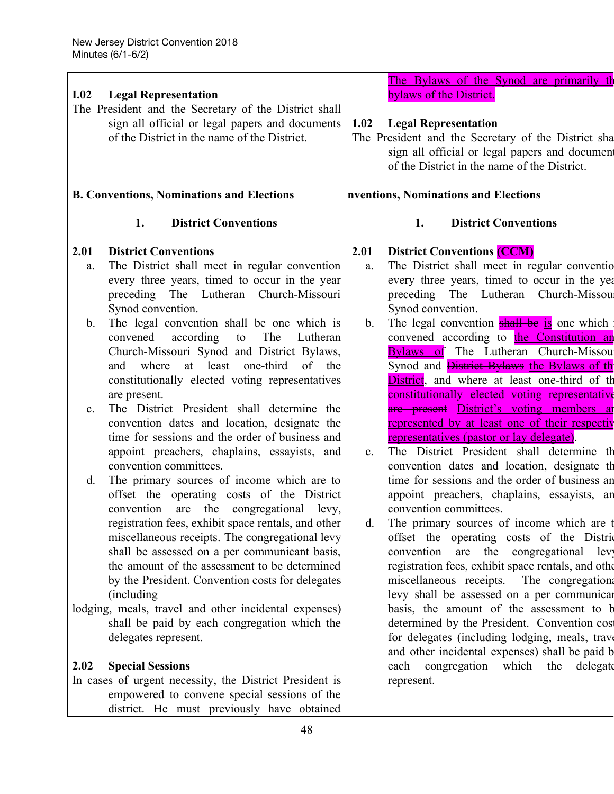| I.02                                       | <b>Legal Representation</b><br>The President and the Secretary of the District shall<br>sign all official or legal papers and documents<br>of the District in the name of the District.<br><b>B. Conventions, Nominations and Elections</b>                                                                                                                                                                                                                                                                                                                                                                                                                                                                                                                                                                                                                                                                                                                                                                                                                                                                                                                                                                                                                           | 1.02                                       | The Bylaws of the Synod are primarily the<br>bylaws of the District.<br><b>Legal Representation</b><br>The President and the Secretary of the District sha<br>sign all official or legal papers and document<br>of the District in the name of the District.<br>nventions, Nominations and Elections                                                                                                                                                                                                                                                                                                                                                                                                                                                                                                                                                                                                                                                                                                                                                                                                                                                                                                                                                                                                                             |
|--------------------------------------------|-----------------------------------------------------------------------------------------------------------------------------------------------------------------------------------------------------------------------------------------------------------------------------------------------------------------------------------------------------------------------------------------------------------------------------------------------------------------------------------------------------------------------------------------------------------------------------------------------------------------------------------------------------------------------------------------------------------------------------------------------------------------------------------------------------------------------------------------------------------------------------------------------------------------------------------------------------------------------------------------------------------------------------------------------------------------------------------------------------------------------------------------------------------------------------------------------------------------------------------------------------------------------|--------------------------------------------|----------------------------------------------------------------------------------------------------------------------------------------------------------------------------------------------------------------------------------------------------------------------------------------------------------------------------------------------------------------------------------------------------------------------------------------------------------------------------------------------------------------------------------------------------------------------------------------------------------------------------------------------------------------------------------------------------------------------------------------------------------------------------------------------------------------------------------------------------------------------------------------------------------------------------------------------------------------------------------------------------------------------------------------------------------------------------------------------------------------------------------------------------------------------------------------------------------------------------------------------------------------------------------------------------------------------------------|
|                                            |                                                                                                                                                                                                                                                                                                                                                                                                                                                                                                                                                                                                                                                                                                                                                                                                                                                                                                                                                                                                                                                                                                                                                                                                                                                                       |                                            |                                                                                                                                                                                                                                                                                                                                                                                                                                                                                                                                                                                                                                                                                                                                                                                                                                                                                                                                                                                                                                                                                                                                                                                                                                                                                                                                  |
| 2.01<br>a.<br>$b_{-}$<br>$c_{\cdot}$<br>d. | <b>District Conventions</b><br>1.<br><b>District Conventions</b><br>The District shall meet in regular convention<br>every three years, timed to occur in the year<br>preceding The Lutheran Church-Missouri<br>Synod convention.<br>The legal convention shall be one which is<br>according<br>to<br>The<br>convened<br>Lutheran<br>Church-Missouri Synod and District Bylaws,<br>at least<br>one-third<br>where<br>of the<br>and<br>constitutionally elected voting representatives<br>are present.<br>The District President shall determine the<br>convention dates and location, designate the<br>time for sessions and the order of business and<br>appoint preachers, chaplains, essayists, and<br>convention committees.<br>The primary sources of income which are to<br>offset the operating costs of the District<br>convention<br>are the<br>congregational levy,<br>registration fees, exhibit space rentals, and other<br>miscellaneous receipts. The congregational levy<br>shall be assessed on a per communicant basis,<br>the amount of the assessment to be determined<br>by the President. Convention costs for delegates<br>(including)<br>lodging, meals, travel and other incidental expenses)<br>shall be paid by each congregation which the | 2.01<br>a.<br>$b_{-}$<br>$c_{\cdot}$<br>d. | 1.<br><b>District Conventions</b><br><b>District Conventions (CCM)</b><br>The District shall meet in regular conventio<br>every three years, timed to occur in the year.<br>preceding The Lutheran Church-Missou<br>Synod convention.<br>The legal convention <b>shall be is</b> one which<br>convened according to the Constitution and<br><b>Bylaws of</b> The Lutheran Church-Missou<br>Synod and <i>Histrict Bylaws the Bylaws of th</i><br><b>District</b> , and where at least one-third of the<br>constitutionally clected voting representative<br>are present District's voting members are<br>represented by at least one of their respectiv<br><u>representatives (pastor or lay delegate)</u> .<br>The District President shall determine th<br>convention dates and location, designate the<br>time for sessions and the order of business an<br>appoint preachers, chaplains, essayists, an<br>convention committees.<br>The primary sources of income which are t<br>offset the operating costs of the District<br>convention<br>are<br>the<br>congregational<br>lev<br>registration fees, exhibit space rentals, and other<br>miscellaneous receipts. The congregation:<br>levy shall be assessed on a per communical<br>basis, the amount of the assessment to b<br>determined by the President. Convention cos |
|                                            | delegates represent.                                                                                                                                                                                                                                                                                                                                                                                                                                                                                                                                                                                                                                                                                                                                                                                                                                                                                                                                                                                                                                                                                                                                                                                                                                                  |                                            | for delegates (including lodging, meals, trave<br>and other incidental expenses) shall be paid b                                                                                                                                                                                                                                                                                                                                                                                                                                                                                                                                                                                                                                                                                                                                                                                                                                                                                                                                                                                                                                                                                                                                                                                                                                 |
| 2.02                                       | <b>Special Sessions</b><br>In cases of urgent necessity, the District President is                                                                                                                                                                                                                                                                                                                                                                                                                                                                                                                                                                                                                                                                                                                                                                                                                                                                                                                                                                                                                                                                                                                                                                                    |                                            | congregation<br>which the<br>each<br>delegate<br>represent.                                                                                                                                                                                                                                                                                                                                                                                                                                                                                                                                                                                                                                                                                                                                                                                                                                                                                                                                                                                                                                                                                                                                                                                                                                                                      |
|                                            | empowered to convene special sessions of the<br>district. He must previously have obtained                                                                                                                                                                                                                                                                                                                                                                                                                                                                                                                                                                                                                                                                                                                                                                                                                                                                                                                                                                                                                                                                                                                                                                            |                                            |                                                                                                                                                                                                                                                                                                                                                                                                                                                                                                                                                                                                                                                                                                                                                                                                                                                                                                                                                                                                                                                                                                                                                                                                                                                                                                                                  |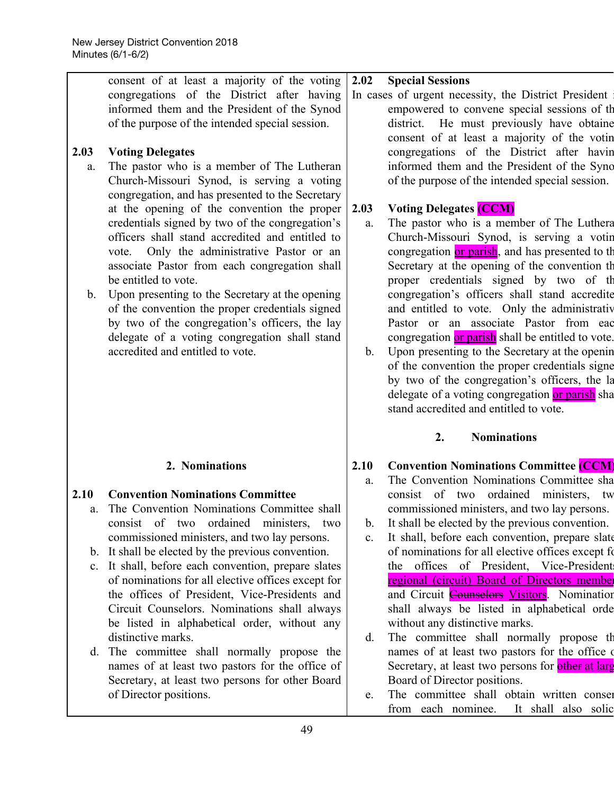| consent of at least a majority of the voting<br>congregations of the District after having<br>informed them and the President of the Synod<br>of the purpose of the intended special session.<br><b>Voting Delegates</b>                                                                                                                                                                                                                                                                                                                                                                                                                                                                                             | 2.02                                                       | <b>Special Sessions</b><br>In cases of urgent necessity, the District President<br>empowered to convene special sessions of the<br>district. He must previously have obtaine<br>consent of at least a majority of the votin<br>congregations of the District after havin                                                                                                                                                                                                                                                                                                                                                                                                                                                                                                                                                                                               |
|----------------------------------------------------------------------------------------------------------------------------------------------------------------------------------------------------------------------------------------------------------------------------------------------------------------------------------------------------------------------------------------------------------------------------------------------------------------------------------------------------------------------------------------------------------------------------------------------------------------------------------------------------------------------------------------------------------------------|------------------------------------------------------------|------------------------------------------------------------------------------------------------------------------------------------------------------------------------------------------------------------------------------------------------------------------------------------------------------------------------------------------------------------------------------------------------------------------------------------------------------------------------------------------------------------------------------------------------------------------------------------------------------------------------------------------------------------------------------------------------------------------------------------------------------------------------------------------------------------------------------------------------------------------------|
| The pastor who is a member of The Lutheran<br>Church-Missouri Synod, is serving a voting<br>congregation, and has presented to the Secretary<br>at the opening of the convention the proper<br>credentials signed by two of the congregation's<br>officers shall stand accredited and entitled to<br>vote. Only the administrative Pastor or an<br>associate Pastor from each congregation shall<br>be entitled to vote.<br>Upon presenting to the Secretary at the opening<br>of the convention the proper credentials signed<br>by two of the congregation's officers, the lay<br>delegate of a voting congregation shall stand<br>accredited and entitled to vote.                                                | 2.03<br>a.<br>$\mathbf b$ .                                | informed them and the President of the Syno<br>of the purpose of the intended special session.<br><b>Voting Delegates (CCM)</b><br>The pastor who is a member of The Luthera<br>Church-Missouri Synod, is serving a votin<br>congregation or parish, and has presented to th<br>Secretary at the opening of the convention the<br>proper credentials signed by two of the<br>congregation's officers shall stand accredite<br>and entitled to vote. Only the administrative<br>Pastor or an associate Pastor from eac<br>congregation or parish shall be entitled to vote.<br>Upon presenting to the Secretary at the opening<br>of the convention the proper credentials signe<br>by two of the congregation's officers, the la<br>delegate of a voting congregation or parish sha<br>stand accredited and entitled to vote.                                          |
|                                                                                                                                                                                                                                                                                                                                                                                                                                                                                                                                                                                                                                                                                                                      |                                                            | <b>Nominations</b><br>2.                                                                                                                                                                                                                                                                                                                                                                                                                                                                                                                                                                                                                                                                                                                                                                                                                                               |
| 2. Nominations<br><b>Convention Nominations Committee</b><br>The Convention Nominations Committee shall<br>consist of two ordained ministers, two<br>commissioned ministers, and two lay persons.<br>b. It shall be elected by the previous convention.<br>It shall, before each convention, prepare slates<br>of nominations for all elective offices except for<br>the offices of President, Vice-Presidents and<br>Circuit Counselors. Nominations shall always<br>be listed in alphabetical order, without any<br>distinctive marks.<br>The committee shall normally propose the<br>names of at least two pastors for the office of<br>Secretary, at least two persons for other Board<br>of Director positions. | 2.10<br>a.<br>$b$ .<br>$\mathbf{c}$ .<br>$d_{\cdot}$<br>e. | <b>Convention Nominations Committee (CCM)</b><br>The Convention Nominations Committee sha<br>consist of two<br>ordained ministers,<br>tw<br>commissioned ministers, and two lay persons.<br>It shall be elected by the previous convention.<br>It shall, before each convention, prepare slate<br>of nominations for all elective offices except fo<br>the offices of President, Vice-President<br>regional (circuit) Board of Directors member<br>and Circuit <b>Counselors Visitors</b> . Nomination<br>shall always be listed in alphabetical orde<br>without any distinctive marks.<br>The committee shall normally propose the<br>names of at least two pastors for the office of<br>Secretary, at least two persons for other at large<br>Board of Director positions.<br>The committee shall obtain written conser<br>from each nominee.<br>It shall also solic |
|                                                                                                                                                                                                                                                                                                                                                                                                                                                                                                                                                                                                                                                                                                                      | 10                                                         |                                                                                                                                                                                                                                                                                                                                                                                                                                                                                                                                                                                                                                                                                                                                                                                                                                                                        |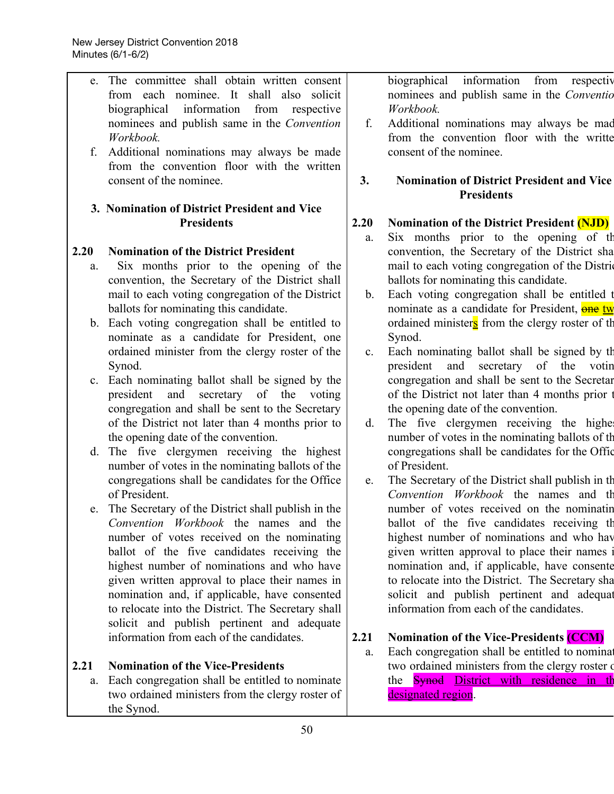| The committee shall obtain written consent<br>information<br>biographical<br>from<br>e.<br>from each nominee. It shall also solicit<br>information<br>Workbook.<br>biographical<br>from<br>respective<br>nominees and publish same in the Convention<br>f.<br>Workbook.<br>Additional nominations may always be made<br>consent of the nominee.<br>f.<br>from the convention floor with the written<br>consent of the nominee.<br>3.<br><b>Presidents</b><br>3. Nomination of District President and Vice<br><b>Presidents</b><br>2.20<br>a.<br>convention, the Secretary of the District sha<br><b>Nomination of the District President</b><br>Six months prior to the opening of the<br>a.<br>convention, the Secretary of the District shall<br>ballots for nominating this candidate.<br>mail to each voting congregation of the District<br>$\mathbf{b}$ .<br>ballots for nominating this candidate.<br>b. Each voting congregation shall be entitled to<br>nominate as a candidate for President, one<br>Synod.<br>ordained minister from the clergy roster of the<br>$\mathbf{c}$ .<br>and<br>secretary of the<br>Synod.<br>president<br>Each nominating ballot shall be signed by the<br>congregation and shall be sent to the Secretar<br>$c_{\cdot}$<br>of the<br>of the District not later than 4 months prior<br>president<br>and<br>secretary<br>voting<br>congregation and shall be sent to the Secretary<br>the opening date of the convention.<br>of the District not later than 4 months prior to<br>The five clergymen receiving the higher<br>d.<br>number of votes in the nominating ballots of the<br>the opening date of the convention.<br>The five clergymen receiving the highest<br>congregations shall be candidates for the Office<br>$d_{\cdot}$<br>of President.<br>number of votes in the nominating ballots of the<br>congregations shall be candidates for the Office<br>The Secretary of the District shall publish in the<br>e.<br>of President.<br>Convention Workbook the names and th<br>e. The Secretary of the District shall publish in the<br>number of votes received on the nominatin<br>Convention Workbook the names and the<br>ballot of the five candidates receiving the<br>highest number of nominations and who have<br>number of votes received on the nominating<br>given written approval to place their names<br>ballot of the five candidates receiving the<br>highest number of nominations and who have<br>nomination and, if applicable, have consenter<br>given written approval to place their names in<br>to relocate into the District. The Secretary sha<br>nomination and, if applicable, have consented<br>solicit and publish pertinent and adequat<br>information from each of the candidates.<br>to relocate into the District. The Secretary shall<br>solicit and publish pertinent and adequate<br>information from each of the candidates.<br>2.21<br><b>Nomination of the Vice-Presidents (CCM)</b><br>Each congregation shall be entitled to nominat<br>a.<br>2.21<br><b>Nomination of the Vice-Presidents</b><br>two ordained ministers from the clergy roster of<br>Each congregation shall be entitled to nominate<br>the <b>Synod</b> District with residence in the<br>a.<br>designated region.<br>two ordained ministers from the clergy roster of |      |            |                                                                                                                                                  |
|------------------------------------------------------------------------------------------------------------------------------------------------------------------------------------------------------------------------------------------------------------------------------------------------------------------------------------------------------------------------------------------------------------------------------------------------------------------------------------------------------------------------------------------------------------------------------------------------------------------------------------------------------------------------------------------------------------------------------------------------------------------------------------------------------------------------------------------------------------------------------------------------------------------------------------------------------------------------------------------------------------------------------------------------------------------------------------------------------------------------------------------------------------------------------------------------------------------------------------------------------------------------------------------------------------------------------------------------------------------------------------------------------------------------------------------------------------------------------------------------------------------------------------------------------------------------------------------------------------------------------------------------------------------------------------------------------------------------------------------------------------------------------------------------------------------------------------------------------------------------------------------------------------------------------------------------------------------------------------------------------------------------------------------------------------------------------------------------------------------------------------------------------------------------------------------------------------------------------------------------------------------------------------------------------------------------------------------------------------------------------------------------------------------------------------------------------------------------------------------------------------------------------------------------------------------------------------------------------------------------------------------------------------------------------------------------------------------------------------------------------------------------------------------------------------------------------------------------------------------------------------------------------------------------------------------------------------------------------------------------------------------------------------------------------------------------------------------------------------------------------------------------------------------------------------------------------------------------------------------------------------------------------------------------------------------------------------|------|------------|--------------------------------------------------------------------------------------------------------------------------------------------------|
|                                                                                                                                                                                                                                                                                                                                                                                                                                                                                                                                                                                                                                                                                                                                                                                                                                                                                                                                                                                                                                                                                                                                                                                                                                                                                                                                                                                                                                                                                                                                                                                                                                                                                                                                                                                                                                                                                                                                                                                                                                                                                                                                                                                                                                                                                                                                                                                                                                                                                                                                                                                                                                                                                                                                                                                                                                                                                                                                                                                                                                                                                                                                                                                                                                                                                                                                    |      |            | respectiv<br>nominees and publish same in the Conventio<br>Additional nominations may always be mad<br>from the convention floor with the writte |
|                                                                                                                                                                                                                                                                                                                                                                                                                                                                                                                                                                                                                                                                                                                                                                                                                                                                                                                                                                                                                                                                                                                                                                                                                                                                                                                                                                                                                                                                                                                                                                                                                                                                                                                                                                                                                                                                                                                                                                                                                                                                                                                                                                                                                                                                                                                                                                                                                                                                                                                                                                                                                                                                                                                                                                                                                                                                                                                                                                                                                                                                                                                                                                                                                                                                                                                                    |      |            | <b>Nomination of District President and Vice</b>                                                                                                 |
|                                                                                                                                                                                                                                                                                                                                                                                                                                                                                                                                                                                                                                                                                                                                                                                                                                                                                                                                                                                                                                                                                                                                                                                                                                                                                                                                                                                                                                                                                                                                                                                                                                                                                                                                                                                                                                                                                                                                                                                                                                                                                                                                                                                                                                                                                                                                                                                                                                                                                                                                                                                                                                                                                                                                                                                                                                                                                                                                                                                                                                                                                                                                                                                                                                                                                                                                    |      |            |                                                                                                                                                  |
|                                                                                                                                                                                                                                                                                                                                                                                                                                                                                                                                                                                                                                                                                                                                                                                                                                                                                                                                                                                                                                                                                                                                                                                                                                                                                                                                                                                                                                                                                                                                                                                                                                                                                                                                                                                                                                                                                                                                                                                                                                                                                                                                                                                                                                                                                                                                                                                                                                                                                                                                                                                                                                                                                                                                                                                                                                                                                                                                                                                                                                                                                                                                                                                                                                                                                                                                    |      |            | <b>Nomination of the District President (NJD)</b>                                                                                                |
|                                                                                                                                                                                                                                                                                                                                                                                                                                                                                                                                                                                                                                                                                                                                                                                                                                                                                                                                                                                                                                                                                                                                                                                                                                                                                                                                                                                                                                                                                                                                                                                                                                                                                                                                                                                                                                                                                                                                                                                                                                                                                                                                                                                                                                                                                                                                                                                                                                                                                                                                                                                                                                                                                                                                                                                                                                                                                                                                                                                                                                                                                                                                                                                                                                                                                                                                    |      |            | Six months prior to the opening of the                                                                                                           |
|                                                                                                                                                                                                                                                                                                                                                                                                                                                                                                                                                                                                                                                                                                                                                                                                                                                                                                                                                                                                                                                                                                                                                                                                                                                                                                                                                                                                                                                                                                                                                                                                                                                                                                                                                                                                                                                                                                                                                                                                                                                                                                                                                                                                                                                                                                                                                                                                                                                                                                                                                                                                                                                                                                                                                                                                                                                                                                                                                                                                                                                                                                                                                                                                                                                                                                                                    | 2.20 |            |                                                                                                                                                  |
|                                                                                                                                                                                                                                                                                                                                                                                                                                                                                                                                                                                                                                                                                                                                                                                                                                                                                                                                                                                                                                                                                                                                                                                                                                                                                                                                                                                                                                                                                                                                                                                                                                                                                                                                                                                                                                                                                                                                                                                                                                                                                                                                                                                                                                                                                                                                                                                                                                                                                                                                                                                                                                                                                                                                                                                                                                                                                                                                                                                                                                                                                                                                                                                                                                                                                                                                    |      |            | mail to each voting congregation of the District                                                                                                 |
|                                                                                                                                                                                                                                                                                                                                                                                                                                                                                                                                                                                                                                                                                                                                                                                                                                                                                                                                                                                                                                                                                                                                                                                                                                                                                                                                                                                                                                                                                                                                                                                                                                                                                                                                                                                                                                                                                                                                                                                                                                                                                                                                                                                                                                                                                                                                                                                                                                                                                                                                                                                                                                                                                                                                                                                                                                                                                                                                                                                                                                                                                                                                                                                                                                                                                                                                    |      |            |                                                                                                                                                  |
|                                                                                                                                                                                                                                                                                                                                                                                                                                                                                                                                                                                                                                                                                                                                                                                                                                                                                                                                                                                                                                                                                                                                                                                                                                                                                                                                                                                                                                                                                                                                                                                                                                                                                                                                                                                                                                                                                                                                                                                                                                                                                                                                                                                                                                                                                                                                                                                                                                                                                                                                                                                                                                                                                                                                                                                                                                                                                                                                                                                                                                                                                                                                                                                                                                                                                                                                    |      |            | Each voting congregation shall be entitled t                                                                                                     |
|                                                                                                                                                                                                                                                                                                                                                                                                                                                                                                                                                                                                                                                                                                                                                                                                                                                                                                                                                                                                                                                                                                                                                                                                                                                                                                                                                                                                                                                                                                                                                                                                                                                                                                                                                                                                                                                                                                                                                                                                                                                                                                                                                                                                                                                                                                                                                                                                                                                                                                                                                                                                                                                                                                                                                                                                                                                                                                                                                                                                                                                                                                                                                                                                                                                                                                                                    |      |            | nominate as a candidate for President, one two                                                                                                   |
|                                                                                                                                                                                                                                                                                                                                                                                                                                                                                                                                                                                                                                                                                                                                                                                                                                                                                                                                                                                                                                                                                                                                                                                                                                                                                                                                                                                                                                                                                                                                                                                                                                                                                                                                                                                                                                                                                                                                                                                                                                                                                                                                                                                                                                                                                                                                                                                                                                                                                                                                                                                                                                                                                                                                                                                                                                                                                                                                                                                                                                                                                                                                                                                                                                                                                                                                    |      |            | ordained minister $s$ from the clergy roster of the                                                                                              |
|                                                                                                                                                                                                                                                                                                                                                                                                                                                                                                                                                                                                                                                                                                                                                                                                                                                                                                                                                                                                                                                                                                                                                                                                                                                                                                                                                                                                                                                                                                                                                                                                                                                                                                                                                                                                                                                                                                                                                                                                                                                                                                                                                                                                                                                                                                                                                                                                                                                                                                                                                                                                                                                                                                                                                                                                                                                                                                                                                                                                                                                                                                                                                                                                                                                                                                                                    |      |            |                                                                                                                                                  |
|                                                                                                                                                                                                                                                                                                                                                                                                                                                                                                                                                                                                                                                                                                                                                                                                                                                                                                                                                                                                                                                                                                                                                                                                                                                                                                                                                                                                                                                                                                                                                                                                                                                                                                                                                                                                                                                                                                                                                                                                                                                                                                                                                                                                                                                                                                                                                                                                                                                                                                                                                                                                                                                                                                                                                                                                                                                                                                                                                                                                                                                                                                                                                                                                                                                                                                                                    |      |            | Each nominating ballot shall be signed by the                                                                                                    |
|                                                                                                                                                                                                                                                                                                                                                                                                                                                                                                                                                                                                                                                                                                                                                                                                                                                                                                                                                                                                                                                                                                                                                                                                                                                                                                                                                                                                                                                                                                                                                                                                                                                                                                                                                                                                                                                                                                                                                                                                                                                                                                                                                                                                                                                                                                                                                                                                                                                                                                                                                                                                                                                                                                                                                                                                                                                                                                                                                                                                                                                                                                                                                                                                                                                                                                                                    |      |            | votin                                                                                                                                            |
|                                                                                                                                                                                                                                                                                                                                                                                                                                                                                                                                                                                                                                                                                                                                                                                                                                                                                                                                                                                                                                                                                                                                                                                                                                                                                                                                                                                                                                                                                                                                                                                                                                                                                                                                                                                                                                                                                                                                                                                                                                                                                                                                                                                                                                                                                                                                                                                                                                                                                                                                                                                                                                                                                                                                                                                                                                                                                                                                                                                                                                                                                                                                                                                                                                                                                                                                    |      |            |                                                                                                                                                  |
|                                                                                                                                                                                                                                                                                                                                                                                                                                                                                                                                                                                                                                                                                                                                                                                                                                                                                                                                                                                                                                                                                                                                                                                                                                                                                                                                                                                                                                                                                                                                                                                                                                                                                                                                                                                                                                                                                                                                                                                                                                                                                                                                                                                                                                                                                                                                                                                                                                                                                                                                                                                                                                                                                                                                                                                                                                                                                                                                                                                                                                                                                                                                                                                                                                                                                                                                    |      |            |                                                                                                                                                  |
|                                                                                                                                                                                                                                                                                                                                                                                                                                                                                                                                                                                                                                                                                                                                                                                                                                                                                                                                                                                                                                                                                                                                                                                                                                                                                                                                                                                                                                                                                                                                                                                                                                                                                                                                                                                                                                                                                                                                                                                                                                                                                                                                                                                                                                                                                                                                                                                                                                                                                                                                                                                                                                                                                                                                                                                                                                                                                                                                                                                                                                                                                                                                                                                                                                                                                                                                    |      |            |                                                                                                                                                  |
|                                                                                                                                                                                                                                                                                                                                                                                                                                                                                                                                                                                                                                                                                                                                                                                                                                                                                                                                                                                                                                                                                                                                                                                                                                                                                                                                                                                                                                                                                                                                                                                                                                                                                                                                                                                                                                                                                                                                                                                                                                                                                                                                                                                                                                                                                                                                                                                                                                                                                                                                                                                                                                                                                                                                                                                                                                                                                                                                                                                                                                                                                                                                                                                                                                                                                                                                    |      |            |                                                                                                                                                  |
|                                                                                                                                                                                                                                                                                                                                                                                                                                                                                                                                                                                                                                                                                                                                                                                                                                                                                                                                                                                                                                                                                                                                                                                                                                                                                                                                                                                                                                                                                                                                                                                                                                                                                                                                                                                                                                                                                                                                                                                                                                                                                                                                                                                                                                                                                                                                                                                                                                                                                                                                                                                                                                                                                                                                                                                                                                                                                                                                                                                                                                                                                                                                                                                                                                                                                                                                    |      |            |                                                                                                                                                  |
|                                                                                                                                                                                                                                                                                                                                                                                                                                                                                                                                                                                                                                                                                                                                                                                                                                                                                                                                                                                                                                                                                                                                                                                                                                                                                                                                                                                                                                                                                                                                                                                                                                                                                                                                                                                                                                                                                                                                                                                                                                                                                                                                                                                                                                                                                                                                                                                                                                                                                                                                                                                                                                                                                                                                                                                                                                                                                                                                                                                                                                                                                                                                                                                                                                                                                                                                    |      |            |                                                                                                                                                  |
|                                                                                                                                                                                                                                                                                                                                                                                                                                                                                                                                                                                                                                                                                                                                                                                                                                                                                                                                                                                                                                                                                                                                                                                                                                                                                                                                                                                                                                                                                                                                                                                                                                                                                                                                                                                                                                                                                                                                                                                                                                                                                                                                                                                                                                                                                                                                                                                                                                                                                                                                                                                                                                                                                                                                                                                                                                                                                                                                                                                                                                                                                                                                                                                                                                                                                                                                    |      |            |                                                                                                                                                  |
|                                                                                                                                                                                                                                                                                                                                                                                                                                                                                                                                                                                                                                                                                                                                                                                                                                                                                                                                                                                                                                                                                                                                                                                                                                                                                                                                                                                                                                                                                                                                                                                                                                                                                                                                                                                                                                                                                                                                                                                                                                                                                                                                                                                                                                                                                                                                                                                                                                                                                                                                                                                                                                                                                                                                                                                                                                                                                                                                                                                                                                                                                                                                                                                                                                                                                                                                    |      |            |                                                                                                                                                  |
|                                                                                                                                                                                                                                                                                                                                                                                                                                                                                                                                                                                                                                                                                                                                                                                                                                                                                                                                                                                                                                                                                                                                                                                                                                                                                                                                                                                                                                                                                                                                                                                                                                                                                                                                                                                                                                                                                                                                                                                                                                                                                                                                                                                                                                                                                                                                                                                                                                                                                                                                                                                                                                                                                                                                                                                                                                                                                                                                                                                                                                                                                                                                                                                                                                                                                                                                    |      |            |                                                                                                                                                  |
|                                                                                                                                                                                                                                                                                                                                                                                                                                                                                                                                                                                                                                                                                                                                                                                                                                                                                                                                                                                                                                                                                                                                                                                                                                                                                                                                                                                                                                                                                                                                                                                                                                                                                                                                                                                                                                                                                                                                                                                                                                                                                                                                                                                                                                                                                                                                                                                                                                                                                                                                                                                                                                                                                                                                                                                                                                                                                                                                                                                                                                                                                                                                                                                                                                                                                                                                    |      |            |                                                                                                                                                  |
|                                                                                                                                                                                                                                                                                                                                                                                                                                                                                                                                                                                                                                                                                                                                                                                                                                                                                                                                                                                                                                                                                                                                                                                                                                                                                                                                                                                                                                                                                                                                                                                                                                                                                                                                                                                                                                                                                                                                                                                                                                                                                                                                                                                                                                                                                                                                                                                                                                                                                                                                                                                                                                                                                                                                                                                                                                                                                                                                                                                                                                                                                                                                                                                                                                                                                                                                    |      |            |                                                                                                                                                  |
|                                                                                                                                                                                                                                                                                                                                                                                                                                                                                                                                                                                                                                                                                                                                                                                                                                                                                                                                                                                                                                                                                                                                                                                                                                                                                                                                                                                                                                                                                                                                                                                                                                                                                                                                                                                                                                                                                                                                                                                                                                                                                                                                                                                                                                                                                                                                                                                                                                                                                                                                                                                                                                                                                                                                                                                                                                                                                                                                                                                                                                                                                                                                                                                                                                                                                                                                    |      |            |                                                                                                                                                  |
|                                                                                                                                                                                                                                                                                                                                                                                                                                                                                                                                                                                                                                                                                                                                                                                                                                                                                                                                                                                                                                                                                                                                                                                                                                                                                                                                                                                                                                                                                                                                                                                                                                                                                                                                                                                                                                                                                                                                                                                                                                                                                                                                                                                                                                                                                                                                                                                                                                                                                                                                                                                                                                                                                                                                                                                                                                                                                                                                                                                                                                                                                                                                                                                                                                                                                                                                    |      |            |                                                                                                                                                  |
|                                                                                                                                                                                                                                                                                                                                                                                                                                                                                                                                                                                                                                                                                                                                                                                                                                                                                                                                                                                                                                                                                                                                                                                                                                                                                                                                                                                                                                                                                                                                                                                                                                                                                                                                                                                                                                                                                                                                                                                                                                                                                                                                                                                                                                                                                                                                                                                                                                                                                                                                                                                                                                                                                                                                                                                                                                                                                                                                                                                                                                                                                                                                                                                                                                                                                                                                    |      |            |                                                                                                                                                  |
|                                                                                                                                                                                                                                                                                                                                                                                                                                                                                                                                                                                                                                                                                                                                                                                                                                                                                                                                                                                                                                                                                                                                                                                                                                                                                                                                                                                                                                                                                                                                                                                                                                                                                                                                                                                                                                                                                                                                                                                                                                                                                                                                                                                                                                                                                                                                                                                                                                                                                                                                                                                                                                                                                                                                                                                                                                                                                                                                                                                                                                                                                                                                                                                                                                                                                                                                    |      |            |                                                                                                                                                  |
|                                                                                                                                                                                                                                                                                                                                                                                                                                                                                                                                                                                                                                                                                                                                                                                                                                                                                                                                                                                                                                                                                                                                                                                                                                                                                                                                                                                                                                                                                                                                                                                                                                                                                                                                                                                                                                                                                                                                                                                                                                                                                                                                                                                                                                                                                                                                                                                                                                                                                                                                                                                                                                                                                                                                                                                                                                                                                                                                                                                                                                                                                                                                                                                                                                                                                                                                    |      |            |                                                                                                                                                  |
|                                                                                                                                                                                                                                                                                                                                                                                                                                                                                                                                                                                                                                                                                                                                                                                                                                                                                                                                                                                                                                                                                                                                                                                                                                                                                                                                                                                                                                                                                                                                                                                                                                                                                                                                                                                                                                                                                                                                                                                                                                                                                                                                                                                                                                                                                                                                                                                                                                                                                                                                                                                                                                                                                                                                                                                                                                                                                                                                                                                                                                                                                                                                                                                                                                                                                                                                    |      |            |                                                                                                                                                  |
|                                                                                                                                                                                                                                                                                                                                                                                                                                                                                                                                                                                                                                                                                                                                                                                                                                                                                                                                                                                                                                                                                                                                                                                                                                                                                                                                                                                                                                                                                                                                                                                                                                                                                                                                                                                                                                                                                                                                                                                                                                                                                                                                                                                                                                                                                                                                                                                                                                                                                                                                                                                                                                                                                                                                                                                                                                                                                                                                                                                                                                                                                                                                                                                                                                                                                                                                    |      |            |                                                                                                                                                  |
|                                                                                                                                                                                                                                                                                                                                                                                                                                                                                                                                                                                                                                                                                                                                                                                                                                                                                                                                                                                                                                                                                                                                                                                                                                                                                                                                                                                                                                                                                                                                                                                                                                                                                                                                                                                                                                                                                                                                                                                                                                                                                                                                                                                                                                                                                                                                                                                                                                                                                                                                                                                                                                                                                                                                                                                                                                                                                                                                                                                                                                                                                                                                                                                                                                                                                                                                    |      |            |                                                                                                                                                  |
|                                                                                                                                                                                                                                                                                                                                                                                                                                                                                                                                                                                                                                                                                                                                                                                                                                                                                                                                                                                                                                                                                                                                                                                                                                                                                                                                                                                                                                                                                                                                                                                                                                                                                                                                                                                                                                                                                                                                                                                                                                                                                                                                                                                                                                                                                                                                                                                                                                                                                                                                                                                                                                                                                                                                                                                                                                                                                                                                                                                                                                                                                                                                                                                                                                                                                                                                    |      |            |                                                                                                                                                  |
|                                                                                                                                                                                                                                                                                                                                                                                                                                                                                                                                                                                                                                                                                                                                                                                                                                                                                                                                                                                                                                                                                                                                                                                                                                                                                                                                                                                                                                                                                                                                                                                                                                                                                                                                                                                                                                                                                                                                                                                                                                                                                                                                                                                                                                                                                                                                                                                                                                                                                                                                                                                                                                                                                                                                                                                                                                                                                                                                                                                                                                                                                                                                                                                                                                                                                                                                    |      |            |                                                                                                                                                  |
|                                                                                                                                                                                                                                                                                                                                                                                                                                                                                                                                                                                                                                                                                                                                                                                                                                                                                                                                                                                                                                                                                                                                                                                                                                                                                                                                                                                                                                                                                                                                                                                                                                                                                                                                                                                                                                                                                                                                                                                                                                                                                                                                                                                                                                                                                                                                                                                                                                                                                                                                                                                                                                                                                                                                                                                                                                                                                                                                                                                                                                                                                                                                                                                                                                                                                                                                    |      |            |                                                                                                                                                  |
|                                                                                                                                                                                                                                                                                                                                                                                                                                                                                                                                                                                                                                                                                                                                                                                                                                                                                                                                                                                                                                                                                                                                                                                                                                                                                                                                                                                                                                                                                                                                                                                                                                                                                                                                                                                                                                                                                                                                                                                                                                                                                                                                                                                                                                                                                                                                                                                                                                                                                                                                                                                                                                                                                                                                                                                                                                                                                                                                                                                                                                                                                                                                                                                                                                                                                                                                    |      | the Synod. |                                                                                                                                                  |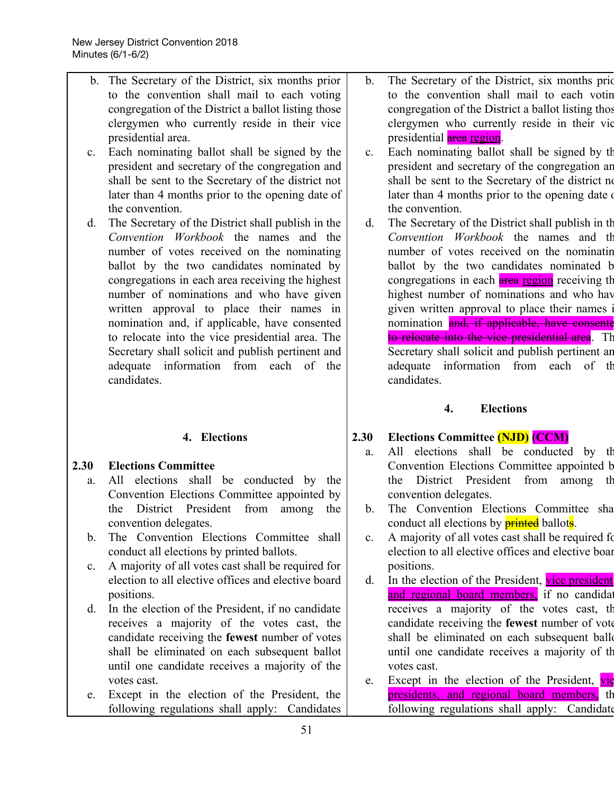- b. The Secretary of the District, six months prior to the convention shall mail to each voting congregation of the District a ballot listing those clergymen who currently reside in their vice presidential area. c. Each nominating ballot shall be signed by the president and secretary of the congregation and shall be sent to the Secretary of the district not later than 4 months prior to the opening date of the convention. d. The Secretary of the District shall publish in the *Convention Workbook* the names and the number of votes received on the nominating ballot by the two candidates nominated by congregations in each area receiving the highest number of nominations and who have given written approval to place their names in nomination and, if applicable, have consented to relocate into the vice presidential area. The Secretary shall solicit and publish pertinent and adequate information from each of the candidates. **4. Elections 2.30 Elections Committee** b. The Secretary of the District, six months prior presidential area region. the convention. d. The Secretary of the District shall publish in th candidates. **4. Elections 2.30 Elections Committee (NJD) (CCM)**
	- a. All elections shall be conducted by the Convention Elections Committee appointed by the District President from among the convention delegates.
	- b. The Convention Elections Committee shall conduct all elections by printed ballots.
	- c. A majority of all votes cast shall be required for election to all elective offices and elective board positions.
	- d. In the election of the President, if no candidate receives a majority of the votes cast, the candidate receiving the **fewest** number of votes shall be eliminated on each subsequent ballot until one candidate receives a majority of the votes cast.
	- e. Except in the election of the President, the following regulations shall apply: Candidates
- to the convention shall mail to each votin congregation of the District a ballot listing thos clergymen who currently reside in their vic
- c. Each nominating ballot shall be signed by th president and secretary of the congregation an shall be sent to the Secretary of the district no later than 4 months prior to the opening date
- *Convention Workbook* the names and th number of votes received on the nominatin ballot by the two candidates nominated b congregations in each **area region** receiving the highest number of nominations and who hav given written approval to place their names i nomination and, if applicable, have consentent to relocate into the vice presidential area. The Secretary shall solicit and publish pertinent an adequate information from each of th
- a. All elections shall be conducted by th Convention Elections Committee appointed b the District President from among th convention delegates.
- b. The Convention Elections Committee sha conduct all elections by **printed** ballots.
- c. A majority of all votes cast shall be required for election to all elective offices and elective boar positions.
- d. In the election of the President, vice president and regional board members, if no candidate receives a majority of the votes cast, th candidate receiving the **fewest** number of vote shall be eliminated on each subsequent ball until one candidate receives a majority of th votes cast.
- e. Except in the election of the President,  $\overline{vic}$ presidents, and regional board members, the following regulations shall apply: Candidate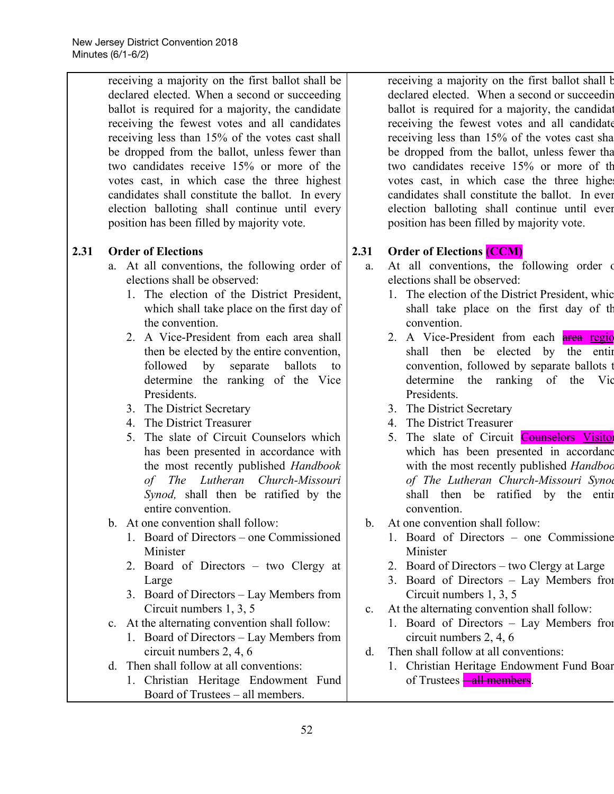receiving a majority on the first ballot shall be declared elected. When a second or succeeding ballot is required for a majority, the candidate receiving the fewest votes and all candidates receiving less than 15% of the votes cast shall be dropped from the ballot, unless fewer than two candidates receive 15% or more of the votes cast, in which case the three highest candidates shall constitute the ballot. In every election balloting shall continue until every position has been filled by majority vote.

## **2.31 Order of Elections**

- a. At all conventions, the following order of elections shall be observed:
	- 1. The election of the District President, which shall take place on the first day of the convention.
	- 2. A Vice-President from each area shall then be elected by the entire convention, followed by separate ballots to determine the ranking of the Vice Presidents.
	- 3. The District Secretary
	- 4. The District Treasurer
	- 5. The slate of Circuit Counselors which has been presented in accordance with the most recently published *Handbook of The Lutheran Church-Missouri Synod,* shall then be ratified by the entire convention.
- b. At one convention shall follow:
	- 1. Board of Directors one Commissioned Minister
	- 2. Board of Directors two Clergy at Large
	- 3. Board of Directors Lay Members from Circuit numbers 1, 3, 5
- c. At the alternating convention shall follow:
	- 1. Board of Directors Lay Members from circuit numbers 2, 4, 6
- d. Then shall follow at all conventions:
	- 1. Christian Heritage Endowment Fund Board of Trustees – all members.

receiving a majority on the first ballot shall b declared elected. When a second or succeedin ballot is required for a majority, the candidated receiving the fewest votes and all candidate receiving less than 15% of the votes cast sha be dropped from the ballot, unless fewer tha two candidates receive 15% or more of th votes cast, in which case the three highe candidates shall constitute the ballot. In ever election balloting shall continue until ever position has been filled by majority vote.

## **2.31 Order of Elections (CCM)**

- a. At all conventions, the following order of elections shall be observed:
	- 1. The election of the District President, whic shall take place on the first day of th convention.
	- 2. A Vice-President from each **area region** shall then be elected by the entire convention, followed by separate ballots t determine the ranking of the Vic Presidents.
	- 3. The District Secretary
	- 4. The District Treasurer
	- 5. The slate of Circuit **Counselors** Visitor which has been presented in accordanc with the most recently published *Handboo of The Lutheran Church-Missouri Synod* shall then be ratified by the entir convention.
- b. At one convention shall follow:
	- 1. Board of Directors one Commissione Minister
	- 2. Board of Directors two Clergy at Large
	- 3. Board of Directors Lay Members from Circuit numbers 1, 3, 5
- c. At the alternating convention shall follow:
	- 1. Board of Directors Lay Members from circuit numbers 2, 4, 6
- d. Then shall follow at all conventions:
	- 1. Christian Heritage Endowment Fund Boar of Trustees **– all members**.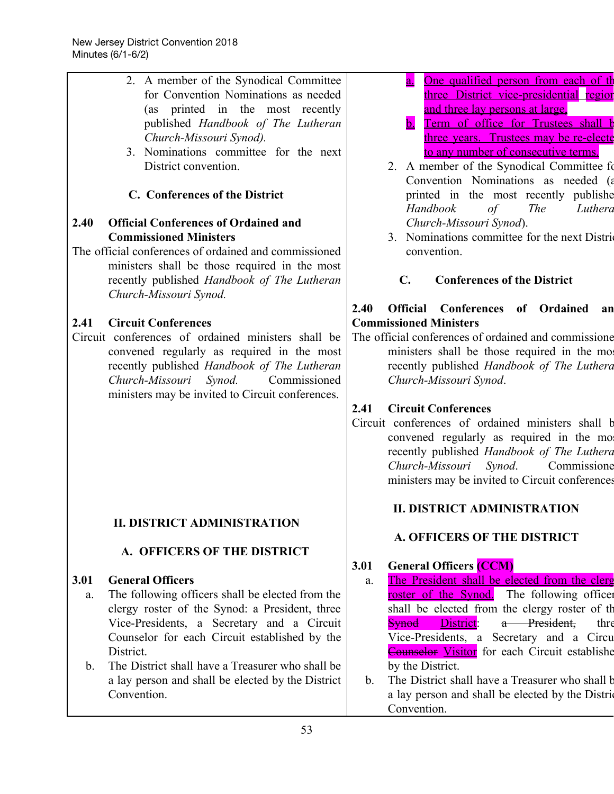| 2. A member of the Synodical Committee                             | One qualified person from each of the<br>$\overline{a}$ .                    |
|--------------------------------------------------------------------|------------------------------------------------------------------------------|
| for Convention Nominations as needed                               | three District vice-presidential region                                      |
| (as printed in the most recently                                   | and three lay persons at large,                                              |
| published Handbook of The Lutheran                                 | Term of office for Trustees shall b<br>$\mathbf b$ .                         |
| Church-Missouri Synod).                                            | three years. Trustees may be re-electe                                       |
| 3. Nominations committee for the next                              | to any number of consecutive terms.                                          |
| District convention.                                               | 2. A member of the Synodical Committee fo                                    |
| C. Conferences of the District                                     | Convention Nominations as needed (a<br>printed in the most recently publishe |
|                                                                    | Handbook<br><b>The</b><br>$\sigma f$<br>Luthera                              |
| 2.40<br><b>Official Conferences of Ordained and</b>                | Church-Missouri Synod).                                                      |
| <b>Commissioned Ministers</b>                                      | 3. Nominations committee for the next District                               |
| The official conferences of ordained and commissioned              | convention.                                                                  |
| ministers shall be those required in the most                      |                                                                              |
| recently published Handbook of The Lutheran                        | <b>Conferences of the District</b><br>$\mathbf{C}$ .                         |
| Church-Missouri Synod.                                             |                                                                              |
|                                                                    | Official Conferences of Ordained<br>2.40<br>an                               |
| <b>Circuit Conferences</b><br>2.41                                 | <b>Commissioned Ministers</b>                                                |
| Circuit conferences of ordained ministers shall be                 | The official conferences of ordained and commissione                         |
| convened regularly as required in the most                         | ministers shall be those required in the more                                |
| recently published Handbook of The Lutheran                        | recently published Handbook of The Luthera                                   |
| Church-Missouri<br>Synod.<br>Commissioned                          | Church-Missouri Synod.                                                       |
| ministers may be invited to Circuit conferences.                   |                                                                              |
|                                                                    | <b>Circuit Conferences</b><br>2.41                                           |
|                                                                    | Circuit conferences of ordained ministers shall b                            |
|                                                                    | convened regularly as required in the mo                                     |
|                                                                    | recently published Handbook of The Luthera                                   |
|                                                                    | Church-Missouri<br>Synod.<br>Commissione                                     |
|                                                                    | ministers may be invited to Circuit conferences                              |
|                                                                    |                                                                              |
| <b>II. DISTRICT ADMINISTRATION</b>                                 | <b>II. DISTRICT ADMINISTRATION</b>                                           |
|                                                                    | A. OFFICERS OF THE DISTRICT                                                  |
| A. OFFICERS OF THE DISTRICT                                        |                                                                              |
|                                                                    | <b>General Officers (CCM)</b><br>3.01                                        |
| 3.01<br><b>General Officers</b>                                    | The President shall be elected from the clerg                                |
| The following officers shall be elected from the<br>a.             | a.<br>The following officer<br><u>roster of the Synod.</u>                   |
| clergy roster of the Synod: a President, three                     | shall be elected from the clergy roster of the                               |
| Vice-Presidents, a Secretary and a Circuit                         | <b>Synod</b><br>District:<br>a President,<br>thre                            |
| Counselor for each Circuit established by the                      | Vice-Presidents, a Secretary and a Circu                                     |
| District.                                                          | <b>Counselor Visitor</b> for each Circuit establishe                         |
| The District shall have a Treasurer who shall be<br>$\mathbf{b}$ . | by the District.                                                             |
| a lay person and shall be elected by the District                  | The District shall have a Treasurer who shall b<br>$\mathbf{b}$ .            |
| Convention.                                                        | a lay person and shall be elected by the District                            |
|                                                                    | Convention.                                                                  |
|                                                                    |                                                                              |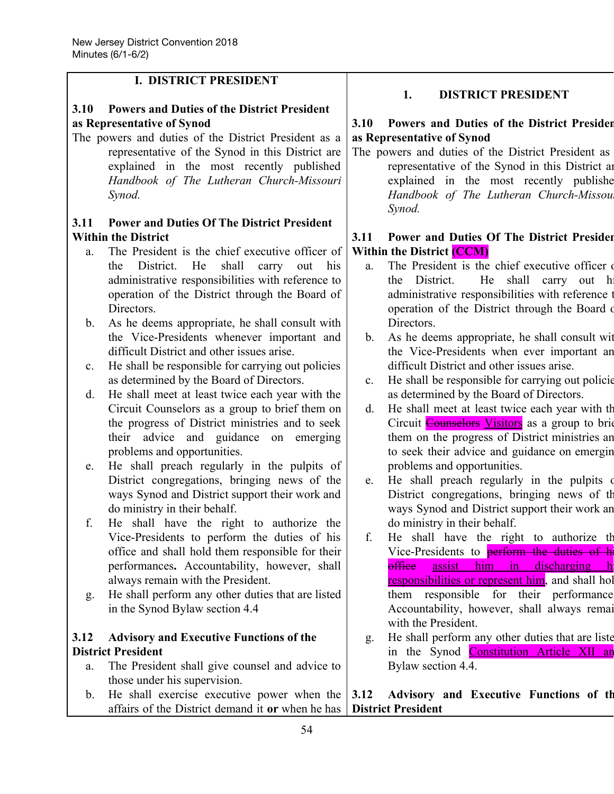## **I. DISTRICT PRESIDENT**

## **3.10 Powers and Duties of the District President as Representative of Synod**

The powers and duties of the District President as a representative of the Synod in this District are explained in the most recently published *Handbook of The Lutheran Church-Missouri Synod.*

## **3.11 Power and Duties Of The District President Within the District**

- a. The President is the chief executive officer of the District. He shall carry out his administrative responsibilities with reference to operation of the District through the Board of Directors.
- b. As he deems appropriate, he shall consult with the Vice-Presidents whenever important and difficult District and other issues arise.
- c. He shall be responsible for carrying out policies as determined by the Board of Directors.
- d. He shall meet at least twice each year with the Circuit Counselors as a group to brief them on the progress of District ministries and to seek their advice and guidance on emerging problems and opportunities.
- e. He shall preach regularly in the pulpits of District congregations, bringing news of the ways Synod and District support their work and do ministry in their behalf.
- f. He shall have the right to authorize the Vice-Presidents to perform the duties of his office and shall hold them responsible for their performances**.** Accountability, however, shall always remain with the President.
- g. He shall perform any other duties that are listed in the Synod Bylaw section 4.4

## **3.12 Advisory and Executive Functions of the District President**

a. The President shall give counsel and advice to those under his supervision.

## **1. DISTRICT PRESIDENT**

## **3.10 Powers and Duties of the District Presiden as Representative of Synod**

The powers and duties of the District President as representative of the Synod in this District ar explained in the most recently publishe *Handbook of The Lutheran Church-Missour Synod.*

## **3.11 Power and Duties Of The District Presiden Within the District (CCM)**

- a. The President is the chief executive officer the District. He shall carry out h administrative responsibilities with reference t operation of the District through the Board o Directors.
- b. As he deems appropriate, he shall consult wit the Vice-Presidents when ever important an difficult District and other issues arise.
- c. He shall be responsible for carrying out policie as determined by the Board of Directors.
- d. He shall meet at least twice each year with th Circuit **Counselors** Visitors as a group to brie them on the progress of District ministries an to seek their advice and guidance on emergin problems and opportunities.
- e. He shall preach regularly in the pulpits of District congregations, bringing news of th ways Synod and District support their work an do ministry in their behalf.
- f. He shall have the right to authorize th Vice-Presidents to **perform the duties of h** office assist him in discharging h responsibilities or represent him, and shall hol them responsible for their performance Accountability, however, shall always remai with the President.
- g. He shall perform any other duties that are liste in the Synod Constitution Article XII and Bylaw section 4.4.
- b. He shall exercise executive power when the affairs of the District demand it **or** when he has **3.12 Advisory and Executive Functions of th District President**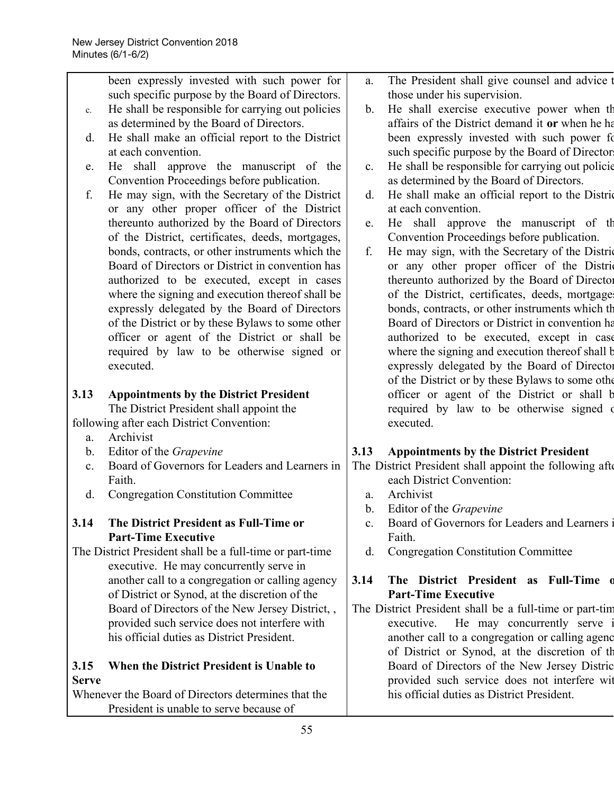|                | been expressly invested with such power for                                           | a.             | The President shall give counsel and advice t                                                                                                                                                                  |
|----------------|---------------------------------------------------------------------------------------|----------------|----------------------------------------------------------------------------------------------------------------------------------------------------------------------------------------------------------------|
|                | such specific purpose by the Board of Directors.                                      |                | those under his supervision.                                                                                                                                                                                   |
| $\mathbf{c}$ . | He shall be responsible for carrying out policies                                     | b <sub>1</sub> | He shall exercise executive power when th                                                                                                                                                                      |
|                | as determined by the Board of Directors.                                              |                | affairs of the District demand it or when he ha                                                                                                                                                                |
| d.             | He shall make an official report to the District                                      |                | been expressly invested with such power fo                                                                                                                                                                     |
|                | at each convention.                                                                   |                | such specific purpose by the Board of Director                                                                                                                                                                 |
| e.             | He shall approve the manuscript of the                                                | $\mathbf{c}$ . | He shall be responsible for carrying out policie                                                                                                                                                               |
|                | Convention Proceedings before publication.                                            |                | as determined by the Board of Directors.                                                                                                                                                                       |
| f.             | He may sign, with the Secretary of the District                                       | d.             | He shall make an official report to the Distric                                                                                                                                                                |
|                | or any other proper officer of the District                                           |                | at each convention.                                                                                                                                                                                            |
|                | thereunto authorized by the Board of Directors                                        | e.             | He shall approve the manuscript of the                                                                                                                                                                         |
|                | of the District, certificates, deeds, mortgages,                                      |                | Convention Proceedings before publication.                                                                                                                                                                     |
|                | bonds, contracts, or other instruments which the                                      | f.             | He may sign, with the Secretary of the District                                                                                                                                                                |
|                | Board of Directors or District in convention has                                      |                | or any other proper officer of the District                                                                                                                                                                    |
|                | authorized to be executed, except in cases                                            |                | thereunto authorized by the Board of Director                                                                                                                                                                  |
|                | where the signing and execution thereof shall be                                      |                | of the District, certificates, deeds, mortgage                                                                                                                                                                 |
|                | expressly delegated by the Board of Directors                                         |                | bonds, contracts, or other instruments which the                                                                                                                                                               |
|                | of the District or by these Bylaws to some other                                      |                | Board of Directors or District in convention has                                                                                                                                                               |
|                | officer or agent of the District or shall be                                          |                | authorized to be executed, except in case                                                                                                                                                                      |
|                | required by law to be otherwise signed or                                             |                | where the signing and execution thereof shall b                                                                                                                                                                |
|                | executed.                                                                             |                | expressly delegated by the Board of Director                                                                                                                                                                   |
|                |                                                                                       |                | of the District or by these Bylaws to some other                                                                                                                                                               |
|                | <b>Appointments by the District President</b>                                         |                |                                                                                                                                                                                                                |
| 3.13           |                                                                                       |                |                                                                                                                                                                                                                |
|                |                                                                                       |                |                                                                                                                                                                                                                |
|                | The District President shall appoint the<br>following after each District Convention: |                | required by law to be otherwise signed of<br>executed.                                                                                                                                                         |
| a.             | Archivist                                                                             |                | officer or agent of the District or shall b                                                                                                                                                                    |
| $\mathbf{b}$ . | Editor of the Grapevine                                                               | 3.13           | <b>Appointments by the District President</b>                                                                                                                                                                  |
| $\mathbf{c}$ . | Board of Governors for Leaders and Learners in                                        |                |                                                                                                                                                                                                                |
|                | Faith.                                                                                |                | each District Convention:                                                                                                                                                                                      |
| d.             | <b>Congregation Constitution Committee</b>                                            | a.             | Archivist                                                                                                                                                                                                      |
|                |                                                                                       | $\mathbf{b}$ . |                                                                                                                                                                                                                |
| 3.14           | The District President as Full-Time or                                                | c.             | The District President shall appoint the following after<br>Editor of the Grapevine<br>Board of Governors for Leaders and Learners                                                                             |
|                | <b>Part-Time Executive</b>                                                            |                | Faith.                                                                                                                                                                                                         |
|                | The District President shall be a full-time or part-time                              | d.             | <b>Congregation Constitution Committee</b>                                                                                                                                                                     |
|                | executive. He may concurrently serve in                                               |                |                                                                                                                                                                                                                |
|                | another call to a congregation or calling agency                                      | 3.14           | The District President as Full-Time d                                                                                                                                                                          |
|                | of District or Synod, at the discretion of the                                        |                | <b>Part-Time Executive</b>                                                                                                                                                                                     |
|                | Board of Directors of the New Jersey District, ,                                      |                |                                                                                                                                                                                                                |
|                | provided such service does not interfere with                                         |                | He may concurrently serve<br>executive.                                                                                                                                                                        |
|                | his official duties as District President.                                            |                |                                                                                                                                                                                                                |
|                |                                                                                       |                |                                                                                                                                                                                                                |
| 3.15           | When the District President is Unable to                                              |                | The District President shall be a full-time or part-time<br>another call to a congregation or calling agence<br>of District or Synod, at the discretion of the<br>Board of Directors of the New Jersey Distric |
| <b>Serve</b>   |                                                                                       |                | provided such service does not interfere wit                                                                                                                                                                   |

President is unable to serve because of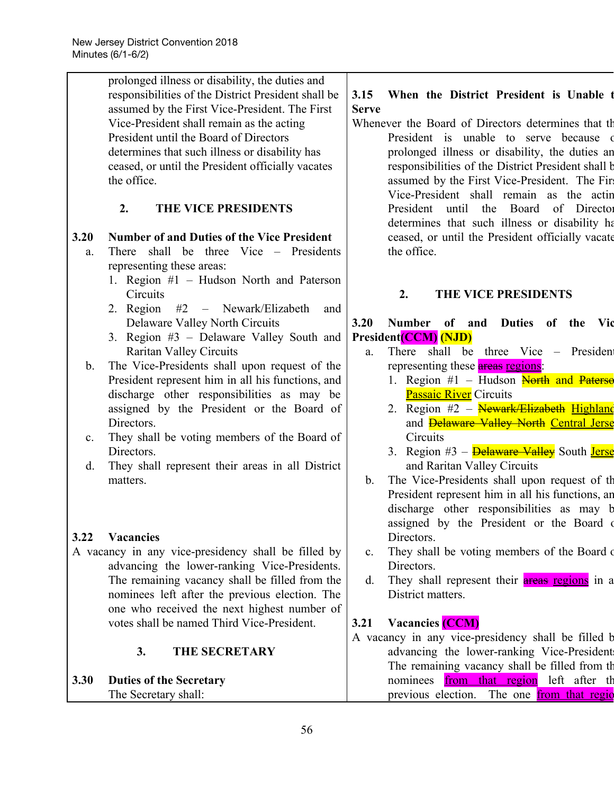|                | prolonged illness or disability, the duties and     |                |                                                          |
|----------------|-----------------------------------------------------|----------------|----------------------------------------------------------|
|                | responsibilities of the District President shall be | 3.15           | When the District President is Unable                    |
|                | assumed by the First Vice-President. The First      | <b>Serve</b>   |                                                          |
|                | Vice-President shall remain as the acting           |                | Whenever the Board of Directors determines that the      |
|                | President until the Board of Directors              |                | President is unable to serve because of                  |
|                | determines that such illness or disability has      |                | prolonged illness or disability, the duties an           |
|                | ceased, or until the President officially vacates   |                | responsibilities of the District President shall b       |
|                | the office.                                         |                | assumed by the First Vice-President. The Fir             |
|                |                                                     |                | Vice-President shall remain as the actin                 |
|                | THE VICE PRESIDENTS<br>2.                           |                | President until<br>the Board of Director                 |
|                |                                                     |                | determines that such illness or disability has           |
| 3.20           | <b>Number of and Duties of the Vice President</b>   |                | ceased, or until the President officially vacate         |
| a.             | There shall be three Vice – Presidents              |                | the office.                                              |
|                | representing these areas:                           |                |                                                          |
|                | 1. Region #1 – Hudson North and Paterson            |                |                                                          |
|                | Circuits                                            |                | 2.<br>THE VICE PRESIDENTS                                |
|                | 2. Region<br>#2 – Newark/Elizabeth<br>and           |                |                                                          |
|                | Delaware Valley North Circuits                      | 3.20           | Number of and Duties of the<br>– Vic                     |
|                | 3. Region #3 - Delaware Valley South and            |                | <b>President (CCM) (NJD)</b>                             |
|                | <b>Raritan Valley Circuits</b>                      | a.             | There shall be three Vice – President                    |
| $\mathbf{b}$ . | The Vice-Presidents shall upon request of the       |                | representing these areas regions:                        |
|                | President represent him in all his functions, and   |                | 1. Region #1 – Hudson North and Paterse                  |
|                | discharge other responsibilities as may be          |                | <b>Passaic River</b> Circuits                            |
|                | assigned by the President or the Board of           |                | 2. Region #2 - Newark/Elizabeth Highland                 |
|                | Directors.                                          |                | and <b>Delaware Valley North Central Jerse</b>           |
| $\mathbf{c}$ . | They shall be voting members of the Board of        |                | Circuits                                                 |
|                | Directors.                                          |                | 3. Region #3 – <b>Delaware Valley</b> South <b>Jerse</b> |
| $d_{\cdot}$    | They shall represent their areas in all District    |                | and Raritan Valley Circuits                              |
|                | matters.                                            | b.             | The Vice-Presidents shall upon request of the            |
|                |                                                     |                | President represent him in all his functions, an         |
|                |                                                     |                | discharge other responsibilities as may b                |
|                |                                                     |                | assigned by the President or the Board of                |
| 3.22           | <b>Vacancies</b>                                    |                | Directors.                                               |
|                | A vacancy in any vice-presidency shall be filled by | $\mathbf{c}$ . | They shall be voting members of the Board of             |
|                | advancing the lower-ranking Vice-Presidents.        |                | Directors.                                               |
|                | The remaining vacancy shall be filled from the      | $d_{\cdot}$    | They shall represent their <b>areas regions</b> in a     |
|                | nominees left after the previous election. The      |                | District matters.                                        |
|                | one who received the next highest number of         |                |                                                          |
|                | votes shall be named Third Vice-President.          | 3.21           | <b>Vacancies</b> (CCM)                                   |
|                |                                                     |                | A vacancy in any vice-presidency shall be filled b       |
|                | <b>THE SECRETARY</b><br>3.                          |                | advancing the lower-ranking Vice-President               |
|                |                                                     |                | The remaining vacancy shall be filled from th            |
| 3.30           | <b>Duties of the Secretary</b>                      |                | nominees <b>from that region</b> left after the          |
|                | The Secretary shall:                                |                | previous election.<br>The one from that regio            |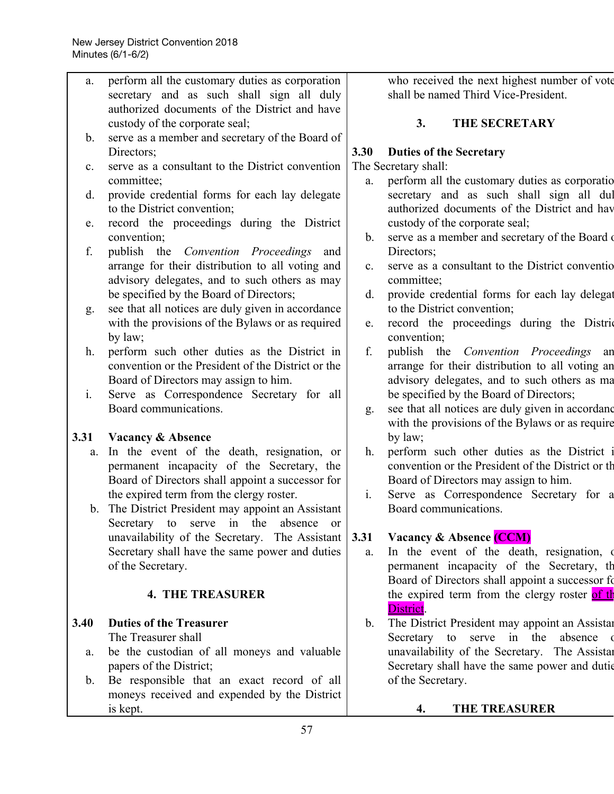| a.             | perform all the customary duties as corporation    |                | who received the next highest number of vote       |
|----------------|----------------------------------------------------|----------------|----------------------------------------------------|
|                | secretary and as such shall sign all duly          |                | shall be named Third Vice-President.               |
|                | authorized documents of the District and have      |                |                                                    |
|                | custody of the corporate seal;                     |                | 3.<br><b>THE SECRETARY</b>                         |
| b.             | serve as a member and secretary of the Board of    |                |                                                    |
|                | Directors;                                         | 3.30           | <b>Duties of the Secretary</b>                     |
| $\mathbf{c}$ . | serve as a consultant to the District convention   |                | The Secretary shall:                               |
|                | committee;                                         | a.             | perform all the customary duties as corporatio     |
|                |                                                    |                |                                                    |
| $d_{\cdot}$    | provide credential forms for each lay delegate     |                | secretary and as such shall sign all dul           |
|                | to the District convention;                        |                | authorized documents of the District and have      |
| e.             | record the proceedings during the District         |                | custody of the corporate seal;                     |
|                | convention;                                        | b.             | serve as a member and secretary of the Board       |
| f.             | publish the Convention Proceedings<br>and          |                | Directors;                                         |
|                | arrange for their distribution to all voting and   | $\mathbf{c}$ . | serve as a consultant to the District conventio    |
|                | advisory delegates, and to such others as may      |                | committee;                                         |
|                | be specified by the Board of Directors;            | d.             | provide credential forms for each lay delegat      |
| g.             | see that all notices are duly given in accordance  |                | to the District convention;                        |
|                | with the provisions of the Bylaws or as required   | e.             | record the proceedings during the District         |
|                | by law;                                            |                | convention;                                        |
| h.             | perform such other duties as the District in       | f.             | publish the Convention Proceedings<br>an           |
|                | convention or the President of the District or the |                | arrange for their distribution to all voting an    |
|                | Board of Directors may assign to him.              |                | advisory delegates, and to such others as ma       |
| i.             | Serve as Correspondence Secretary for all          |                | be specified by the Board of Directors;            |
|                | Board communications.                              | g.             | see that all notices are duly given in accordanc   |
|                |                                                    |                | with the provisions of the Bylaws or as require    |
| 3.31           | <b>Vacancy &amp; Absence</b>                       |                | by law;                                            |
| a.             | In the event of the death, resignation, or         | h.             | perform such other duties as the District in       |
|                | permanent incapacity of the Secretary, the         |                | convention or the President of the District or the |
|                | Board of Directors shall appoint a successor for   |                | Board of Directors may assign to him.              |
|                | the expired term from the clergy roster.           | $\mathbf{i}$ . | Serve as Correspondence Secretary for a            |
|                | b. The District President may appoint an Assistant |                | Board communications.                              |
|                |                                                    |                |                                                    |
|                | Secretary to serve in<br>the<br>absence<br>or      |                |                                                    |
|                | unavailability of the Secretary. The Assistant     | 3.31           | Vacancy & Absence (CCM)                            |
|                | Secretary shall have the same power and duties     | a.             | In the event of the death, resignation, of         |
|                | of the Secretary.                                  |                | permanent incapacity of the Secretary, the         |
|                |                                                    |                | Board of Directors shall appoint a successor fo    |
|                | <b>4. THE TREASURER</b>                            |                | the expired term from the clergy roster of the     |
|                |                                                    |                | District.                                          |
| 3.40           | <b>Duties of the Treasurer</b>                     | $\mathbf{b}$ . | The District President may appoint an Assistan     |
|                | The Treasurer shall                                |                | absence<br>Secretary to<br>serve in the            |
| a.             | be the custodian of all moneys and valuable        |                | unavailability of the Secretary. The Assistan      |
|                | papers of the District;                            |                | Secretary shall have the same power and dutie      |
| $\mathbf{b}$ . | Be responsible that an exact record of all         |                | of the Secretary.                                  |
|                | moneys received and expended by the District       |                |                                                    |
|                | is kept.                                           |                | <b>THE TREASURER</b><br>4.                         |
|                | 57                                                 |                |                                                    |
|                |                                                    |                |                                                    |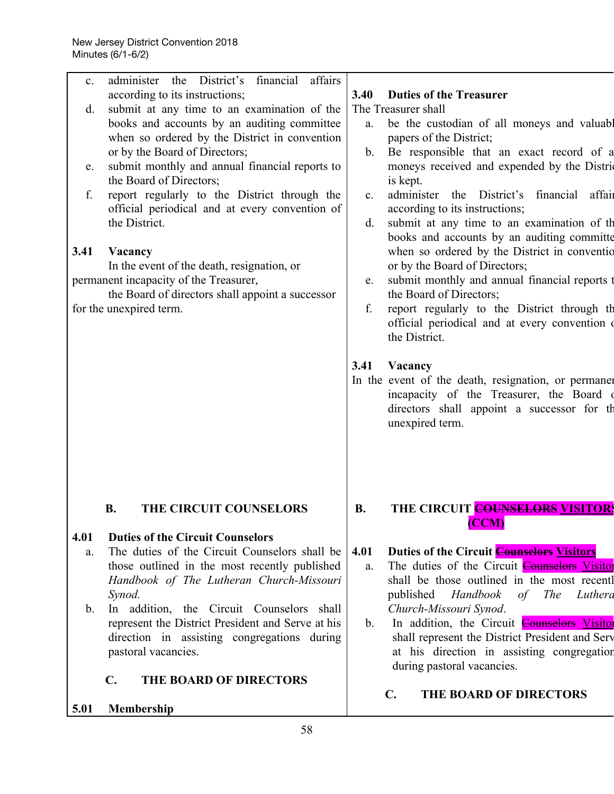| $\mathbf{c}$ . | administer the District's financial<br>affairs                                                 |                |                                                                                                                 |
|----------------|------------------------------------------------------------------------------------------------|----------------|-----------------------------------------------------------------------------------------------------------------|
|                | according to its instructions;                                                                 | 3.40           | <b>Duties of the Treasurer</b>                                                                                  |
| d.             | submit at any time to an examination of the                                                    |                | The Treasurer shall                                                                                             |
|                | books and accounts by an auditing committee                                                    | a.             | be the custodian of all moneys and valuable                                                                     |
|                | when so ordered by the District in convention                                                  |                | papers of the District;                                                                                         |
|                | or by the Board of Directors;                                                                  | $\mathbf b$ .  | Be responsible that an exact record of a                                                                        |
| e.             | submit monthly and annual financial reports to<br>the Board of Directors;                      |                | moneys received and expended by the District<br>is kept.                                                        |
| f.             | report regularly to the District through the<br>official periodical and at every convention of | $c_{\cdot}$    | administer<br>District's financial<br>affai<br>the<br>according to its instructions;                            |
|                | the District.                                                                                  | d.             | submit at any time to an examination of th<br>books and accounts by an auditing committe                        |
| 3.41           | Vacancy<br>In the event of the death, resignation, or                                          |                | when so ordered by the District in conventio<br>or by the Board of Directors;                                   |
|                | permanent incapacity of the Treasurer,<br>the Board of directors shall appoint a successor     | e.             | submit monthly and annual financial reports t<br>the Board of Directors;                                        |
|                | for the unexpired term.                                                                        | f.             | report regularly to the District through the<br>official periodical and at every convention of<br>the District. |
|                |                                                                                                | 3.41           | Vacancy                                                                                                         |
|                |                                                                                                |                | In the event of the death, resignation, or permanent                                                            |
|                |                                                                                                |                | incapacity of the Treasurer, the Board of<br>directors shall appoint a successor for the<br>unexpired term.     |
|                |                                                                                                |                |                                                                                                                 |
|                | THE CIRCUIT COUNSELORS<br><b>B.</b>                                                            | <b>B.</b>      | THE CIRCUIT <mark><del>COUNSELORS</del> VISITORS</mark>                                                         |
| 4.01           | <b>Duties of the Circuit Counselors</b>                                                        |                | (CCM)                                                                                                           |
| a.             | The duties of the Circuit Counselors shall be                                                  | 4.01           | <b>Duties of the Circuit Counselors Visitors</b>                                                                |
|                | those outlined in the most recently published                                                  | a.             | The duties of the Circuit <b>Counselors</b> Visitor                                                             |
|                | Handbook of The Lutheran Church-Missouri<br>Synod.                                             |                | shall be those outlined in the most recentl<br>published<br>Handbook<br>of<br>The Luthera                       |
| $\mathbf{b}$ . | In addition, the Circuit Counselors shall                                                      |                | Church-Missouri Synod.                                                                                          |
|                | represent the District President and Serve at his                                              | $\mathbf{b}$ . | In addition, the Circuit <b>Counselors</b> Visitor                                                              |
|                | direction in assisting congregations during                                                    |                | shall represent the District President and Serv                                                                 |
|                | pastoral vacancies.                                                                            |                | at his direction in assisting congregation                                                                      |
|                |                                                                                                |                | during pastoral vacancies.                                                                                      |
|                | $\mathbf{C}$ .<br><b>THE BOARD OF DIRECTORS</b>                                                |                |                                                                                                                 |
| 5.01           | Membership                                                                                     |                | <b>THE BOARD OF DIRECTORS</b><br>$\mathbf{C}$ .                                                                 |
|                |                                                                                                |                |                                                                                                                 |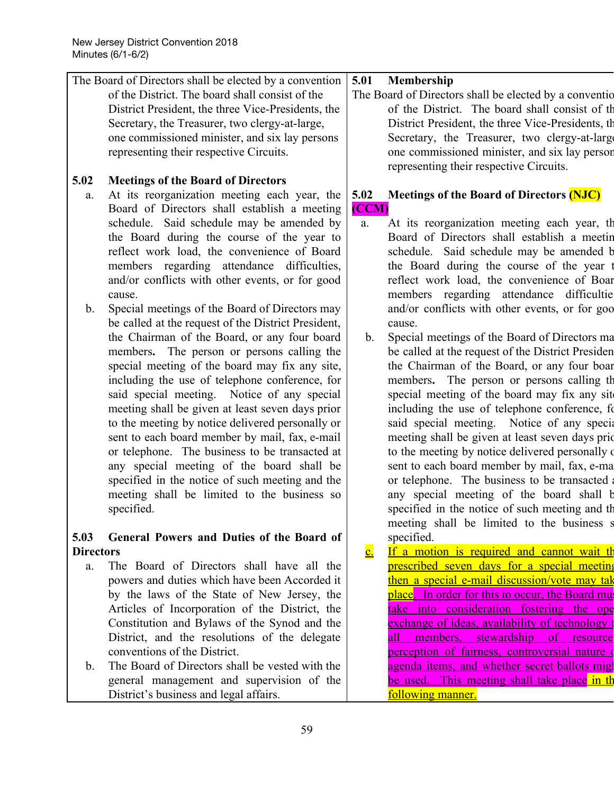|                          | The Board of Directors shall be elected by a convention | 5.01                            | Membership                                                |
|--------------------------|---------------------------------------------------------|---------------------------------|-----------------------------------------------------------|
|                          | of the District. The board shall consist of the         |                                 | The Board of Directors shall be elected by a convention   |
|                          | District President, the three Vice-Presidents, the      |                                 | of the District. The board shall consist of the           |
|                          | Secretary, the Treasurer, two clergy-at-large,          |                                 | District President, the three Vice-Presidents, the        |
|                          | one commissioned minister, and six lay persons          |                                 | Secretary, the Treasurer, two clergy-at-large             |
|                          | representing their respective Circuits.                 |                                 | one commissioned minister, and six lay person             |
|                          |                                                         |                                 | representing their respective Circuits.                   |
| 5.02                     | <b>Meetings of the Board of Directors</b>               |                                 |                                                           |
| a.                       | At its reorganization meeting each year, the            | 5.02                            | Meetings of the Board of Directors (NJC)                  |
|                          | Board of Directors shall establish a meeting            | (CCM)                           |                                                           |
|                          | schedule. Said schedule may be amended by               | a.                              | At its reorganization meeting each year, the              |
|                          | the Board during the course of the year to              |                                 | Board of Directors shall establish a meetin               |
|                          | reflect work load, the convenience of Board             |                                 | schedule. Said schedule may be amended b                  |
|                          | members regarding attendance difficulties,              |                                 | the Board during the course of the year t                 |
|                          | and/or conflicts with other events, or for good         |                                 | reflect work load, the convenience of Boar                |
|                          | cause.                                                  |                                 | members regarding attendance difficultie                  |
| $\mathbf b$ .            | Special meetings of the Board of Directors may          |                                 | and/or conflicts with other events, or for goo            |
|                          | be called at the request of the District President,     |                                 | cause.                                                    |
|                          | the Chairman of the Board, or any four board            | $\mathbf{b}$ .                  | Special meetings of the Board of Directors ma             |
|                          | members. The person or persons calling the              |                                 | be called at the request of the District Presiden         |
|                          | special meeting of the board may fix any site,          |                                 | the Chairman of the Board, or any four boar               |
|                          | including the use of telephone conference, for          |                                 | members. The person or persons calling the                |
|                          | said special meeting. Notice of any special             |                                 | special meeting of the board may fix any site             |
|                          | meeting shall be given at least seven days prior        |                                 | including the use of telephone conference, for            |
|                          | to the meeting by notice delivered personally or        |                                 | said special meeting. Notice of any special               |
|                          | sent to each board member by mail, fax, e-mail          |                                 | meeting shall be given at least seven days prid           |
|                          | or telephone. The business to be transacted at          |                                 | to the meeting by notice delivered personally of          |
|                          | any special meeting of the board shall be               |                                 | sent to each board member by mail, fax, e-ma              |
|                          | specified in the notice of such meeting and the         |                                 | or telephone. The business to be transacted a             |
|                          | meeting shall be limited to the business so             |                                 | any special meeting of the board shall b                  |
|                          | specified.                                              |                                 | specified in the notice of such meeting and the           |
|                          |                                                         |                                 | meeting shall be limited to the business s                |
| 5.03<br><b>Directors</b> | General Powers and Duties of the Board of               | $\frac{\mathbf{c}}{\mathbf{c}}$ | specified.<br>If a motion is required and cannot wait the |
|                          | The Board of Directors shall have all the               |                                 | prescribed seven days for a special meeting               |
| a.                       | powers and duties which have been Accorded it           |                                 | then a special e-mail discussion/vote may tak             |
|                          | by the laws of the State of New Jersey, the             |                                 | place. In order for this to occur, the Board must         |
|                          | Articles of Incorporation of the District, the          |                                 | take into consideration fostering the ope                 |
|                          | Constitution and Bylaws of the Synod and the            |                                 | exchange of ideas, availability of technology t           |
|                          | District, and the resolutions of the delegate           |                                 | members, stewardship of resource<br>all                   |
|                          | conventions of the District.                            |                                 | perception of fairness, controversial nature of           |
| $\mathbf b$ .            | The Board of Directors shall be vested with the         |                                 | agenda items, and whether secret ballots migl             |
|                          | general management and supervision of the               |                                 | <u>This meeting shall take place in the</u><br>be used.   |
|                          |                                                         |                                 |                                                           |

following manner.

District's business and legal affairs.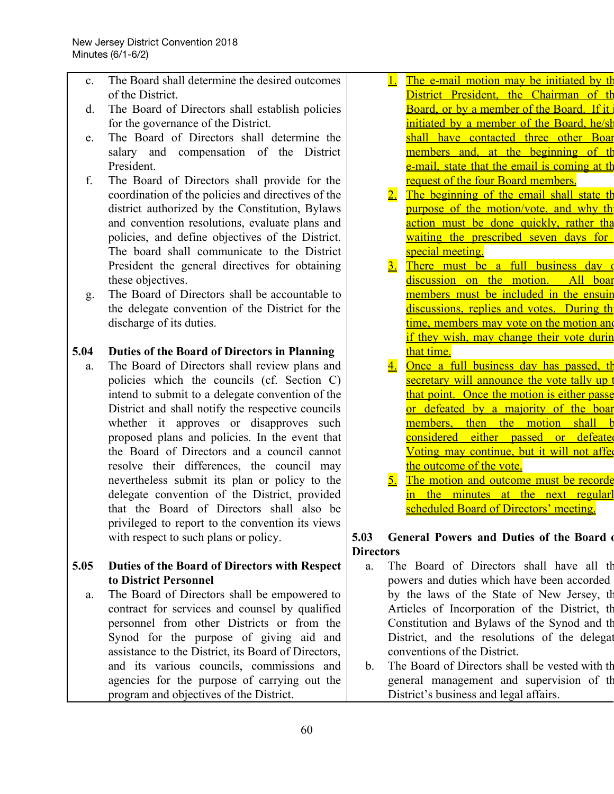- c. The Board shall determine the desired outcomes of the District.
- d. The Board of Directors shall establish policies for the governance of the District.
- e. The Board of Directors shall determine the salary and compensation of the District President.
- f. The Board of Directors shall provide for the coordination of the policies and directives of the district authorized by the Constitution, Bylaws and convention resolutions, evaluate plans and policies, and define objectives of the District. The board shall communicate to the District President the general directives for obtaining these objectives.
- g. The Board of Directors shall be accountable to the delegate convention of the District for the discharge of its duties.

## **5.04 Duties of the Board of Directors in Planning**

a. The Board of Directors shall review plans and policies which the councils (cf. Section C) intend to submit to a delegate convention of the District and shall notify the respective councils whether it approves or disapproves such proposed plans and policies. In the event that the Board of Directors and a council cannot resolve their differences, the council may nevertheless submit its plan or policy to the delegate convention of the District, provided that the Board of Directors shall also be privileged to report to the convention its views with respect to such plans or policy.

## **5.05 Duties of the Board of Directors with Respect to District Personnel**

a. The Board of Directors shall be empowered to contract for services and counsel by qualified personnel from other Districts or from the Synod for the purpose of giving aid and assistance to the District, its Board of Directors, and its various councils, commissions and agencies for the purpose of carrying out the program and objectives of the District.

- 1. The e-mail motion may be initiated by the District President, the Chairman of the Board, or by a member of the Board. If it initiated by a member of the Board, he/sh shall have contacted three other Boar members and, at the beginning of the e-mail, state that the email is coming at the request of the four Board members.
- 2. The beginning of the email shall state the purpose of the motion/vote, and why the action must be done quickly, rather that waiting the prescribed seven days for special meeting.
- 3. There must be a full business day of discussion on the motion. All boar members must be included in the ensuir discussions, replies and votes. During the time, members may vote on the motion and if they wish, may change their vote durin that time.
- 4. Once a full business day has passed, th secretary will announce the vote tally up t that point. Once the motion is either passe or defeated by a majority of the boar members, then the motion shall b considered either passed or defeated Voting may continue, but it will not affer the outcome of the vote.
- 5. The motion and outcome must be recorde in the minutes at the next regularl scheduled Board of Directors' meeting.

## **5.03 General Powers and Duties of the Board o Directors**

- a. The Board of Directors shall have all th powers and duties which have been accorded by the laws of the State of New Jersey, th Articles of Incorporation of the District, th Constitution and Bylaws of the Synod and th District, and the resolutions of the delegat conventions of the District.
- b. The Board of Directors shall be vested with th general management and supervision of th District's business and legal affairs.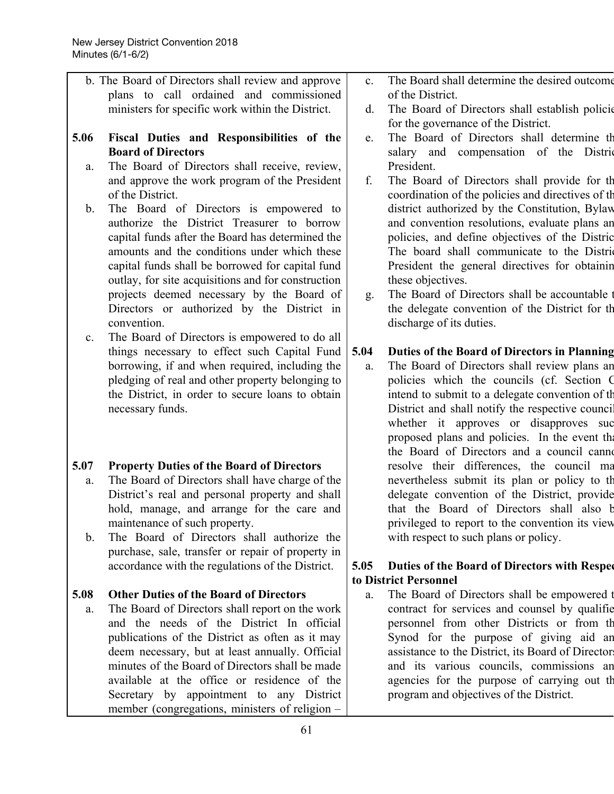b. The Board of Directors shall review and approve plans to call ordained and commissioned ministers for specific work within the District.

## **5.06 Fiscal Duties and Responsibilities of the Board of Directors**

- a. The Board of Directors shall receive, review, and approve the work program of the President of the District.
- b. The Board of Directors is empowered to authorize the District Treasurer to borrow capital funds after the Board has determined the amounts and the conditions under which these capital funds shall be borrowed for capital fund outlay, for site acquisitions and for construction projects deemed necessary by the Board of Directors or authorized by the District in convention.
- c. The Board of Directors is empowered to do all things necessary to effect such Capital Fund borrowing, if and when required, including the pledging of real and other property belonging to the District, in order to secure loans to obtain necessary funds.

## **5.07 Property Duties of the Board of Directors**

- a. The Board of Directors shall have charge of the District's real and personal property and shall hold, manage, and arrange for the care and maintenance of such property.
- b. The Board of Directors shall authorize the purchase, sale, transfer or repair of property in accordance with the regulations of the District.

## **5.08 Other Duties of the Board of Directors**

a. The Board of Directors shall report on the work and the needs of the District In official publications of the District as often as it may deem necessary, but at least annually. Official minutes of the Board of Directors shall be made available at the office or residence of the Secretary by appointment to any District member (congregations, ministers of religion –

- c. The Board shall determine the desired outcome of the District.
- d. The Board of Directors shall establish policie for the governance of the District.
- e. The Board of Directors shall determine th salary and compensation of the District President.
- f. The Board of Directors shall provide for th coordination of the policies and directives of th district authorized by the Constitution, Bylaw and convention resolutions, evaluate plans an policies, and define objectives of the Distric The board shall communicate to the District President the general directives for obtainin these objectives.
- g. The Board of Directors shall be accountable t the delegate convention of the District for th discharge of its duties.

## **5.04 Duties of the Board of Directors in Planning**

a. The Board of Directors shall review plans an policies which the councils (cf. Section C intend to submit to a delegate convention of th District and shall notify the respective council whether it approves or disapproves suc proposed plans and policies. In the event the the Board of Directors and a council cannot resolve their differences, the council ma nevertheless submit its plan or policy to th delegate convention of the District, provide that the Board of Directors shall also b privileged to report to the convention its view with respect to such plans or policy.

## **5.05 Duties of the Board of Directors with Respec to District Personnel**

a. The Board of Directors shall be empowered t contract for services and counsel by qualifie personnel from other Districts or from th Synod for the purpose of giving aid an assistance to the District, its Board of Director and its various councils, commissions an agencies for the purpose of carrying out th program and objectives of the District.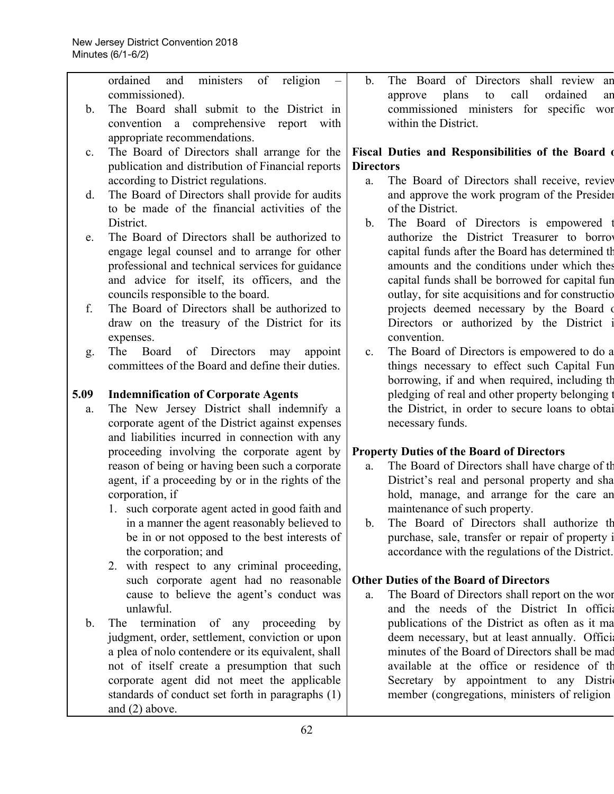|                | ordained<br>religion<br>ministers<br>of<br>and     | The Board of Directors shall review an<br>$\mathbf{b}$ .      |
|----------------|----------------------------------------------------|---------------------------------------------------------------|
|                | commissioned).                                     | call<br>approve plans<br>to<br>ordained<br>an                 |
| b.             | The Board shall submit to the District in          | commissioned ministers for specific<br>wor                    |
|                | convention a comprehensive report with             | within the District.                                          |
|                | appropriate recommendations.                       |                                                               |
| $\mathbf{c}$ . | The Board of Directors shall arrange for the       | Fiscal Duties and Responsibilities of the Board of            |
|                | publication and distribution of Financial reports  | <b>Directors</b>                                              |
|                | according to District regulations.                 | The Board of Directors shall receive, review<br>a.            |
| d.             | The Board of Directors shall provide for audits    | and approve the work program of the Presider                  |
|                | to be made of the financial activities of the      | of the District.                                              |
|                | District.                                          | The Board of Directors is empowered<br>b.                     |
| e.             | The Board of Directors shall be authorized to      | authorize the District Treasurer to borrow                    |
|                | engage legal counsel and to arrange for other      | capital funds after the Board has determined th               |
|                | professional and technical services for guidance   | amounts and the conditions under which thes                   |
|                | and advice for itself, its officers, and the       | capital funds shall be borrowed for capital fun               |
|                | councils responsible to the board.                 | outlay, for site acquisitions and for constructio             |
| f.             | The Board of Directors shall be authorized to      | projects deemed necessary by the Board of                     |
|                | draw on the treasury of the District for its       | Directors or authorized by the District                       |
|                | expenses.                                          | convention.                                                   |
| g.             | of Directors<br>The<br>Board<br>may<br>appoint     | The Board of Directors is empowered to do a<br>$\mathbf{c}$ . |
|                | committees of the Board and define their duties.   | things necessary to effect such Capital Fun                   |
|                |                                                    | borrowing, if and when required, including the                |
| 5.09           | <b>Indemnification of Corporate Agents</b>         | pledging of real and other property belonging                 |
| a.             | The New Jersey District shall indemnify a          | the District, in order to secure loans to obtai               |
|                | corporate agent of the District against expenses   | necessary funds.                                              |
|                | and liabilities incurred in connection with any    |                                                               |
|                | proceeding involving the corporate agent by        | <b>Property Duties of the Board of Directors</b>              |
|                | reason of being or having been such a corporate    | The Board of Directors shall have charge of the<br>a.         |
|                | agent, if a proceeding by or in the rights of the  | District's real and personal property and sha                 |
|                | corporation, if                                    | hold, manage, and arrange for the care an                     |
|                | 1. such corporate agent acted in good faith and    | maintenance of such property.                                 |
|                | in a manner the agent reasonably believed to       | The Board of Directors shall authorize the<br>$\mathbf{b}$ .  |
|                | be in or not opposed to the best interests of      | purchase, sale, transfer or repair of property i              |
|                | the corporation; and                               | accordance with the regulations of the District.              |
|                | 2. with respect to any criminal proceeding,        |                                                               |
|                | such corporate agent had no reasonable             | <b>Other Duties of the Board of Directors</b>                 |
|                | cause to believe the agent's conduct was           | The Board of Directors shall report on the wor<br>a.          |
|                | unlawful.                                          | and the needs of the District In official                     |
| $\mathbf b$ .  | termination of any proceeding by<br>The            | publications of the District as often as it ma                |
|                | judgment, order, settlement, conviction or upon    | deem necessary, but at least annually. Officia                |
|                | a plea of nolo contendere or its equivalent, shall | minutes of the Board of Directors shall be mad                |
|                | not of itself create a presumption that such       | available at the office or residence of the                   |
|                | corporate agent did not meet the applicable        | Secretary by appointment to any Distri                        |
|                | standards of conduct set forth in paragraphs (1)   | member (congregations, ministers of religion                  |
|                | and $(2)$ above.                                   |                                                               |
|                |                                                    |                                                               |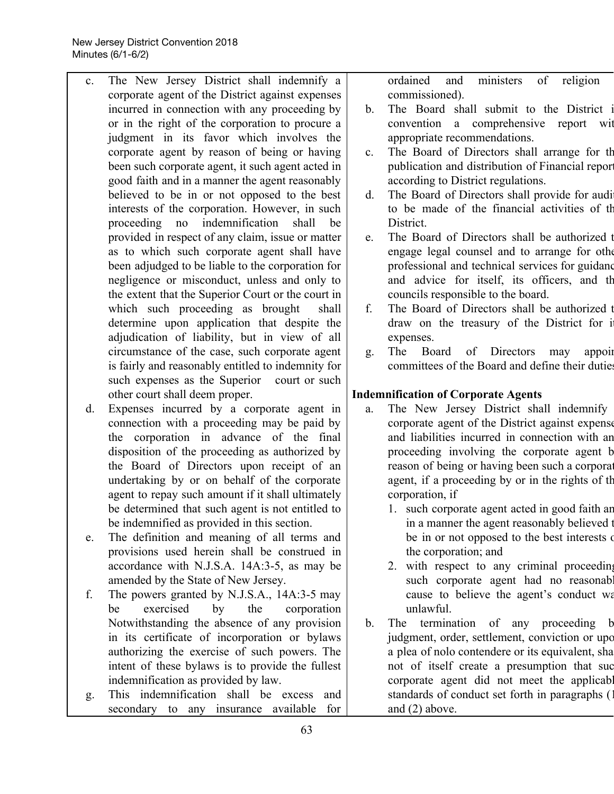- c. The New Jersey District shall indemnify a corporate agent of the District against expenses incurred in connection with any proceeding by or in the right of the corporation to procure a judgment in its favor which involves the corporate agent by reason of being or having been such corporate agent, it such agent acted in good faith and in a manner the agent reasonably believed to be in or not opposed to the best interests of the corporation. However, in such proceeding no indemnification shall be provided in respect of any claim, issue or matter as to which such corporate agent shall have been adjudged to be liable to the corporation for negligence or misconduct, unless and only to the extent that the Superior Court or the court in which such proceeding as brought shall determine upon application that despite the adjudication of liability, but in view of all circumstance of the case, such corporate agent is fairly and reasonably entitled to indemnity for such expenses as the Superior court or such other court shall deem proper.
- d. Expenses incurred by a corporate agent in connection with a proceeding may be paid by the corporation in advance of the final disposition of the proceeding as authorized by the Board of Directors upon receipt of an undertaking by or on behalf of the corporate agent to repay such amount if it shall ultimately be determined that such agent is not entitled to be indemnified as provided in this section.
- e. The definition and meaning of all terms and provisions used herein shall be construed in accordance with N.J.S.A. 14A:3-5, as may be amended by the State of New Jersey.
- f. The powers granted by N.J.S.A., 14A:3-5 may be exercised by the corporation Notwithstanding the absence of any provision in its certificate of incorporation or bylaws authorizing the exercise of such powers. The intent of these bylaws is to provide the fullest indemnification as provided by law.
- g. This indemnification shall be excess and secondary to any insurance available for

ordained and ministers of religion commissioned).

- b. The Board shall submit to the District i convention a comprehensive report wit appropriate recommendations.
- c. The Board of Directors shall arrange for th publication and distribution of Financial report according to District regulations.
- d. The Board of Directors shall provide for audi to be made of the financial activities of th **District**
- e. The Board of Directors shall be authorized t engage legal counsel and to arrange for othe professional and technical services for guidanc and advice for itself, its officers, and th councils responsible to the board.
- f. The Board of Directors shall be authorized t draw on the treasury of the District for it expenses.
- g. The Board of Directors may appoin committees of the Board and define their duties

## **Indemnification of Corporate Agents**

- a. The New Jersey District shall indemnify corporate agent of the District against expense and liabilities incurred in connection with an proceeding involving the corporate agent b reason of being or having been such a corporation agent, if a proceeding by or in the rights of th corporation, if
	- 1. such corporate agent acted in good faith an in a manner the agent reasonably believed t be in or not opposed to the best interests of the corporation; and
	- 2. with respect to any criminal proceeding such corporate agent had no reasonably cause to believe the agent's conduct wa unlawful.
- b. The termination of any proceeding b judgment, order, settlement, conviction or upo a plea of nolo contendere or its equivalent, sha not of itself create a presumption that suc corporate agent did not meet the applicable standards of conduct set forth in paragraphs (1) and (2) above.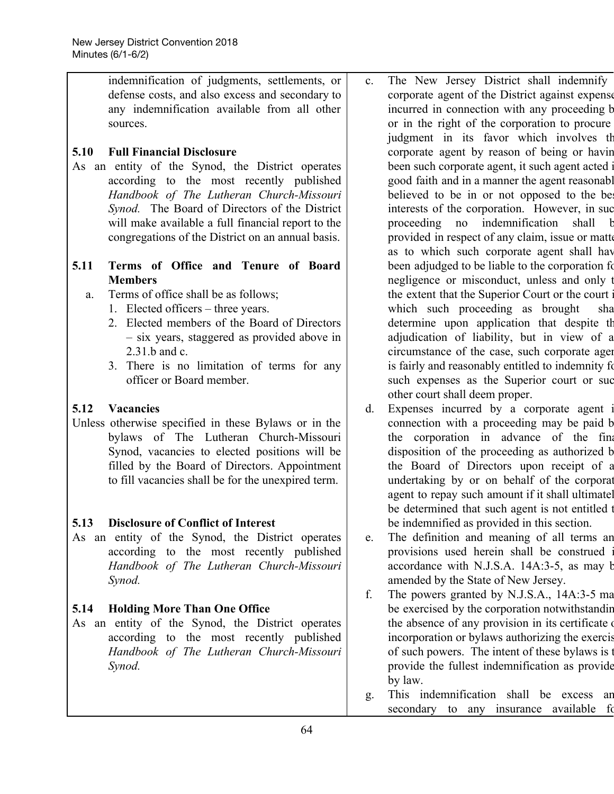indemnification of judgments, settlements, or defense costs, and also excess and secondary to any indemnification available from all other sources.

## **5.10 Full Financial Disclosure**

As an entity of the Synod, the District operates according to the most recently published *Handbook of The Lutheran Church-Missouri Synod.* The Board of Directors of the District will make available a full financial report to the congregations of the District on an annual basis.

## **5.11 Terms of Office and Tenure of Board Members**

- a. Terms of office shall be as follows;
	- 1. Elected officers three years.
		- 2. Elected members of the Board of Directors – six years, staggered as provided above in 2.31.b and c.
		- 3. There is no limitation of terms for any officer or Board member.

## **5.12 Vacancies**

Unless otherwise specified in these Bylaws or in the bylaws of The Lutheran Church-Missouri Synod, vacancies to elected positions will be filled by the Board of Directors. Appointment to fill vacancies shall be for the unexpired term.

## **5.13 Disclosure of Conflict of Interest**

As an entity of the Synod, the District operates according to the most recently published *Handbook of The Lutheran Church-Missouri Synod.*

## **5.14 Holding More Than One Office**

As an entity of the Synod, the District operates according to the most recently published *Handbook of The Lutheran Church-Missouri Synod.*

- c. The New Jersey District shall indemnify corporate agent of the District against expense incurred in connection with any proceeding b or in the right of the corporation to procure judgment in its favor which involves th corporate agent by reason of being or havin been such corporate agent, it such agent acted i good faith and in a manner the agent reasonabl believed to be in or not opposed to the be interests of the corporation. However, in suc proceeding no indemnification shall b provided in respect of any claim, issue or matte as to which such corporate agent shall hav been adjudged to be liable to the corporation for negligence or misconduct, unless and only t the extent that the Superior Court or the court i which such proceeding as brought sha determine upon application that despite th adjudication of liability, but in view of a circumstance of the case, such corporate agen is fairly and reasonably entitled to indemnity for such expenses as the Superior court or suc other court shall deem proper.
- d. Expenses incurred by a corporate agent i connection with a proceeding may be paid b the corporation in advance of the final disposition of the proceeding as authorized b the Board of Directors upon receipt of a undertaking by or on behalf of the corporat agent to repay such amount if it shall ultimatel be determined that such agent is not entitled to be indemnified as provided in this section.
- e. The definition and meaning of all terms an provisions used herein shall be construed i accordance with N.J.S.A. 14A:3-5, as may b amended by the State of New Jersey.
- f. The powers granted by N.J.S.A., 14A:3-5 ma be exercised by the corporation notwithstandin the absence of any provision in its certificate incorporation or bylaws authorizing the exercis of such powers. The intent of these bylaws is t provide the fullest indemnification as provide by law.
- g. This indemnification shall be excess an secondary to any insurance available for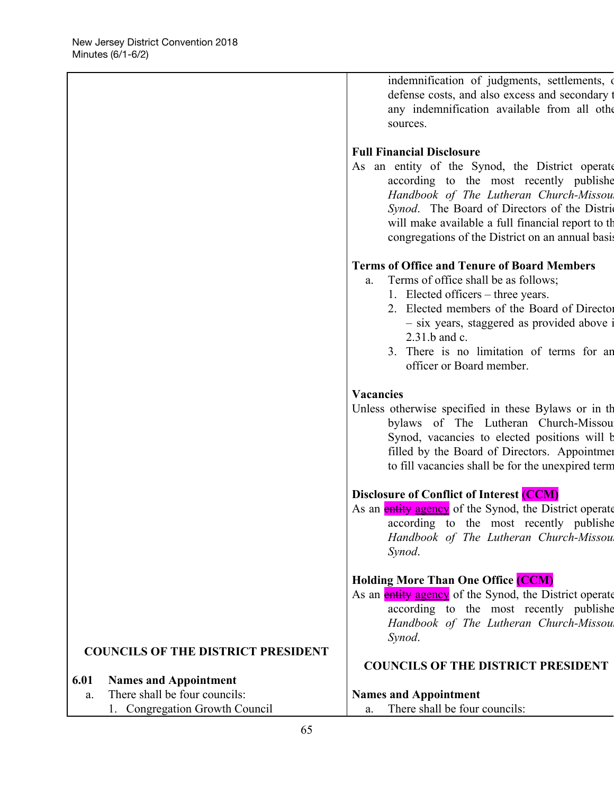|                                           | defense costs, and also excess and secondary t<br>any indemnification available from all other<br>sources.                                                                                                                                                                                                                           |
|-------------------------------------------|--------------------------------------------------------------------------------------------------------------------------------------------------------------------------------------------------------------------------------------------------------------------------------------------------------------------------------------|
|                                           | <b>Full Financial Disclosure</b><br>As an entity of the Synod, the District operate<br>according to the most recently published<br>Handbook of The Lutheran Church-Missou<br>Synod. The Board of Directors of the District<br>will make available a full financial report to the<br>congregations of the District on an annual basis |
|                                           | <b>Terms of Office and Tenure of Board Members</b><br>Terms of office shall be as follows;<br>a.<br>1. Elected officers – three years.<br>2. Elected members of the Board of Director<br>- six years, staggered as provided above<br>2.31.b and c.<br>3. There is no limitation of terms for an<br>officer or Board member.          |
|                                           | <b>Vacancies</b><br>Unless otherwise specified in these Bylaws or in the<br>bylaws of The Lutheran Church-Missou<br>Synod, vacancies to elected positions will b<br>filled by the Board of Directors. Appointmen<br>to fill vacancies shall be for the unexpired term                                                                |
|                                           | <b>Disclosure of Conflict of Interest (CCM)</b><br>As an <b>entity agency</b> of the Synod, the District operate<br>according to the most recently publishe<br>Handbook of The Lutheran Church-Missou<br>Synod.                                                                                                                      |
|                                           | <b>Holding More Than One Office (CCM)</b><br>As an <b>entity agency</b> of the Synod, the District operate<br>according to the most recently publishe<br>Handbook of The Lutheran Church-Missou<br>Synod.                                                                                                                            |
| <b>COUNCILS OF THE DISTRICT PRESIDENT</b> | <b>COUNCILS OF THE DISTRICT PRESIDENT</b>                                                                                                                                                                                                                                                                                            |
| 6.01<br><b>Names and Appointment</b>      |                                                                                                                                                                                                                                                                                                                                      |
| There shall be four councils:<br>a.       | <b>Names and Appointment</b>                                                                                                                                                                                                                                                                                                         |
| 1. Congregation Growth Council            | There shall be four councils:<br>a.                                                                                                                                                                                                                                                                                                  |

indemnification of judgments, settlements, or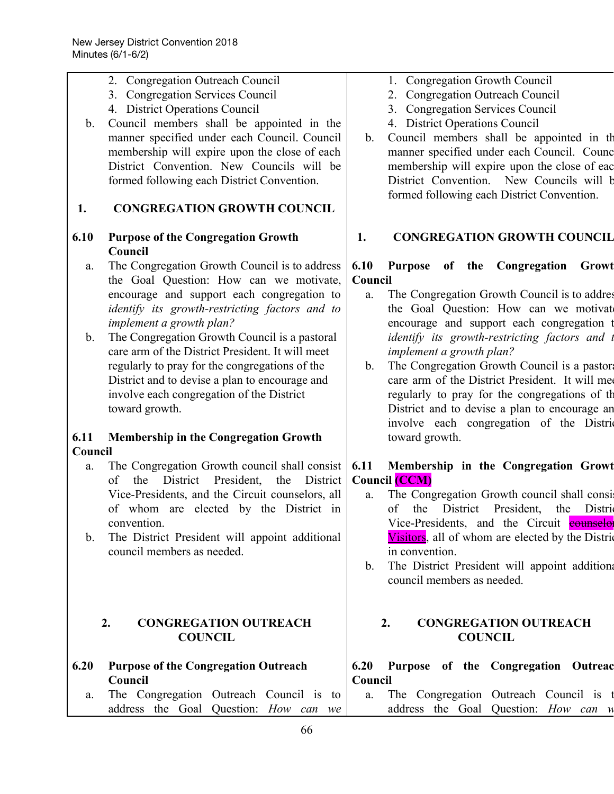2. Congregation Outreach Council 3. Congregation Services Council 4. District Operations Council

| $\mathbf{b}$ .<br>1.              | Council members shall be appointed in the<br>manner specified under each Council. Council<br>membership will expire upon the close of each<br>District Convention. New Councils will be<br>formed following each District Convention.<br><b>CONGREGATION GROWTH COUNCIL</b>                                                                                                                                                                                                                                                                                                                                                                                                                                                                  | 4. District Operations Council<br>Council members shall be appointed in the<br>$b_{-}$<br>manner specified under each Council. Counc<br>membership will expire upon the close of eac<br>District Convention. New Councils will b<br>formed following each District Convention.                                                                                                                                                                                                                                                                                                                                                                                                                                                                         |
|-----------------------------------|----------------------------------------------------------------------------------------------------------------------------------------------------------------------------------------------------------------------------------------------------------------------------------------------------------------------------------------------------------------------------------------------------------------------------------------------------------------------------------------------------------------------------------------------------------------------------------------------------------------------------------------------------------------------------------------------------------------------------------------------|--------------------------------------------------------------------------------------------------------------------------------------------------------------------------------------------------------------------------------------------------------------------------------------------------------------------------------------------------------------------------------------------------------------------------------------------------------------------------------------------------------------------------------------------------------------------------------------------------------------------------------------------------------------------------------------------------------------------------------------------------------|
| 6.10                              | <b>Purpose of the Congregation Growth</b><br>Council                                                                                                                                                                                                                                                                                                                                                                                                                                                                                                                                                                                                                                                                                         | <b>CONGREGATION GROWTH COUNCIL</b><br>1.                                                                                                                                                                                                                                                                                                                                                                                                                                                                                                                                                                                                                                                                                                               |
| a.<br>b.<br>6.11<br>Council<br>a. | The Congregation Growth Council is to address<br>the Goal Question: How can we motivate,<br>encourage and support each congregation to<br>identify its growth-restricting factors and to<br>implement a growth plan?<br>The Congregation Growth Council is a pastoral<br>care arm of the District President. It will meet<br>regularly to pray for the congregations of the<br>District and to devise a plan to encourage and<br>involve each congregation of the District<br>toward growth.<br><b>Membership in the Congregation Growth</b><br>The Congregation Growth council shall consist<br>the District President, the<br>of<br>District<br>Vice-Presidents, and the Circuit counselors, all<br>of whom are elected by the District in | 6.10<br>Purpose of the Congregation<br>Growt<br>Council<br>The Congregation Growth Council is to addres<br>a.<br>the Goal Question: How can we motivate<br>encourage and support each congregation t<br>identify its growth-restricting factors and t<br>implement a growth plan?<br>The Congregation Growth Council is a pastor<br>$b_{\cdot}$<br>care arm of the District President. It will me<br>regularly to pray for the congregations of the<br>District and to devise a plan to encourage an<br>involve each congregation of the District<br>toward growth.<br>Membership in the Congregation Growt<br>6.11<br><b>Council (CCM)</b><br>The Congregation Growth council shall consi<br>a.<br>President,<br>District<br>the Distric<br>of<br>the |
| $\mathbf{b}$ .                    | convention.<br>The District President will appoint additional<br>council members as needed.                                                                                                                                                                                                                                                                                                                                                                                                                                                                                                                                                                                                                                                  | Vice-Presidents, and the Circuit <b>counselor</b><br>Visitors, all of whom are elected by the Distric<br>in convention.<br>The District President will appoint additiona<br>b.<br>council members as needed.                                                                                                                                                                                                                                                                                                                                                                                                                                                                                                                                           |
|                                   | 2.<br><b>CONGREGATION OUTREACH</b><br><b>COUNCIL</b>                                                                                                                                                                                                                                                                                                                                                                                                                                                                                                                                                                                                                                                                                         | <b>CONGREGATION OUTREACH</b><br>2.<br><b>COUNCIL</b>                                                                                                                                                                                                                                                                                                                                                                                                                                                                                                                                                                                                                                                                                                   |
| 6.20                              | <b>Purpose of the Congregation Outreach</b><br>Council                                                                                                                                                                                                                                                                                                                                                                                                                                                                                                                                                                                                                                                                                       | 6.20<br>Purpose of the Congregation Outreac<br>Council                                                                                                                                                                                                                                                                                                                                                                                                                                                                                                                                                                                                                                                                                                 |
| a.                                | The Congregation Outreach Council is to<br>address the Goal Question: How can we                                                                                                                                                                                                                                                                                                                                                                                                                                                                                                                                                                                                                                                             | The Congregation Outreach Council is t<br>a.<br>address the Goal Question: How can w                                                                                                                                                                                                                                                                                                                                                                                                                                                                                                                                                                                                                                                                   |
|                                   |                                                                                                                                                                                                                                                                                                                                                                                                                                                                                                                                                                                                                                                                                                                                              |                                                                                                                                                                                                                                                                                                                                                                                                                                                                                                                                                                                                                                                                                                                                                        |

1. Congregation Growth Council 2. Congregation Outreach Council 3. Congregation Services Council<br>4 District Operations Council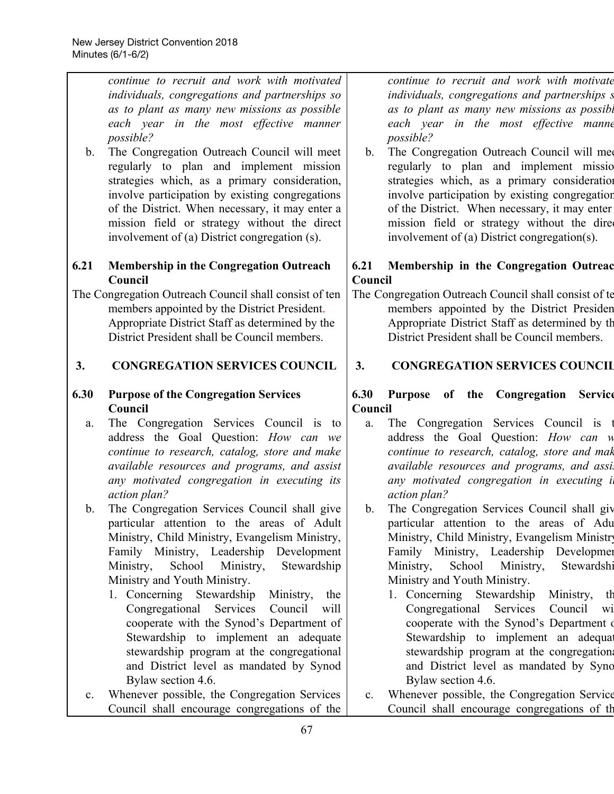*continue to recruit and work with motivated individuals, congregations and partnerships so as to plant as many new missions as possible each year in the most effective manner possible?* b. The Congregation Outreach Council will meet regularly to plan and implement mission strategies which, as a primary consideration, involve participation by existing congregations of the District. When necessary, it may enter a mission field or strategy without the direct involvement of (a) District congregation (s). **6.21 Membership in the Congregation Outreach Council** The Congregation Outreach Council shall consist of ten members appointed by the District President. Appropriate District Staff as determined by the District President shall be Council members. **3. CONGREGATION SERVICES COUNCIL 6.30 Purpose of the Congregation Services Council** a. The Congregation Services Council is to address the Goal Question: *How can we continue to research, catalog, store and make available resources and programs, and assist any motivated congregation in executing its action plan?* b. The Congregation Services Council shall give particular attention to the areas of Adult Ministry, Child Ministry, Evangelism Ministry, Family Ministry, Leadership Development Ministry, School Ministry, Stewardship Ministry and Youth Ministry. 1. Concerning Stewardship Ministry, the Congregational Services Council will cooperate with the Synod's Department of Stewardship to implement an adequate stewardship program at the congregational and District level as mandated by Synod Bylaw section 4.6. *continue to recruit and work with motivate individuals, congregations and partnerships s as to plant as many new missions as possibl each year in the most effective manne possible?* b. The Congregation Outreach Council will mee regularly to plan and implement missio strategies which, as a primary consideration involve participation by existing congregation of the District. When necessary, it may enter mission field or strategy without the direction involvement of (a) District congregation(s). **6.21 Membership in the Congregation Outreac Council** The Congregation Outreach Council shall consist of te members appointed by the District Presiden Appropriate District Staff as determined by th District President shall be Council members. **3. CONGREGATION SERVICES COUNCIL 6.30 Purpose of the Congregation Service Council** a. The Congregation Services Council is t address the Goal Question: *How can w continue to research, catalog, store and mak available resources and programs, and assis any motivated congregation in executing it action plan?* b. The Congregation Services Council shall giv particular attention to the areas of Adu Ministry, Child Ministry, Evangelism Ministry Family Ministry, Leadership Developmen Ministry, School Ministry, Stewardshi Ministry and Youth Ministry. 1. Concerning Stewardship Ministry, th Congregational Services Council wi cooperate with the Synod's Department of Stewardship to implement an adequate stewardship program at the congregation and District level as mandated by Sync Bylaw section 4.6.

c. Whenever possible, the Congregation Services Council shall encourage congregations of the c. Whenever possible, the Congregation Service Council shall encourage congregations of th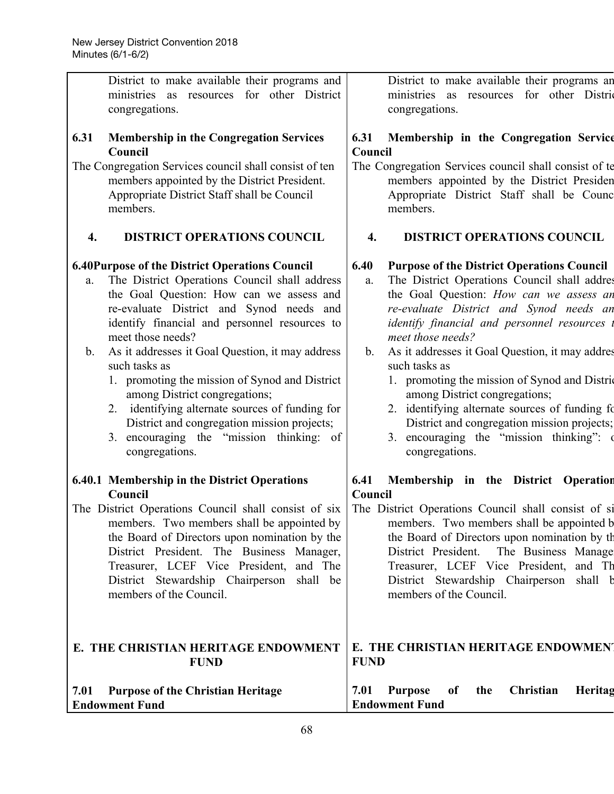| District to make available their programs and                                                                                                                                                                                                                                                                                                                                                                                                                                                                                                                                                                        | District to make available their programs an                                                                                                                                                                                                                                                                                                                                                                                                                                                                                                                                                                          |
|----------------------------------------------------------------------------------------------------------------------------------------------------------------------------------------------------------------------------------------------------------------------------------------------------------------------------------------------------------------------------------------------------------------------------------------------------------------------------------------------------------------------------------------------------------------------------------------------------------------------|-----------------------------------------------------------------------------------------------------------------------------------------------------------------------------------------------------------------------------------------------------------------------------------------------------------------------------------------------------------------------------------------------------------------------------------------------------------------------------------------------------------------------------------------------------------------------------------------------------------------------|
| ministries as resources for other District                                                                                                                                                                                                                                                                                                                                                                                                                                                                                                                                                                           | ministries as resources for other District                                                                                                                                                                                                                                                                                                                                                                                                                                                                                                                                                                            |
| congregations.                                                                                                                                                                                                                                                                                                                                                                                                                                                                                                                                                                                                       | congregations.                                                                                                                                                                                                                                                                                                                                                                                                                                                                                                                                                                                                        |
| <b>Membership in the Congregation Services</b>                                                                                                                                                                                                                                                                                                                                                                                                                                                                                                                                                                       | Membership in the Congregation Service                                                                                                                                                                                                                                                                                                                                                                                                                                                                                                                                                                                |
| 6.31                                                                                                                                                                                                                                                                                                                                                                                                                                                                                                                                                                                                                 | 6.31                                                                                                                                                                                                                                                                                                                                                                                                                                                                                                                                                                                                                  |
| Council                                                                                                                                                                                                                                                                                                                                                                                                                                                                                                                                                                                                              | Council                                                                                                                                                                                                                                                                                                                                                                                                                                                                                                                                                                                                               |
| The Congregation Services council shall consist of ten                                                                                                                                                                                                                                                                                                                                                                                                                                                                                                                                                               | The Congregation Services council shall consist of te                                                                                                                                                                                                                                                                                                                                                                                                                                                                                                                                                                 |
| members appointed by the District President.                                                                                                                                                                                                                                                                                                                                                                                                                                                                                                                                                                         | members appointed by the District Presiden                                                                                                                                                                                                                                                                                                                                                                                                                                                                                                                                                                            |
| Appropriate District Staff shall be Council                                                                                                                                                                                                                                                                                                                                                                                                                                                                                                                                                                          | Appropriate District Staff shall be Counc                                                                                                                                                                                                                                                                                                                                                                                                                                                                                                                                                                             |
| members.                                                                                                                                                                                                                                                                                                                                                                                                                                                                                                                                                                                                             | members.                                                                                                                                                                                                                                                                                                                                                                                                                                                                                                                                                                                                              |
| <b>DISTRICT OPERATIONS COUNCIL</b>                                                                                                                                                                                                                                                                                                                                                                                                                                                                                                                                                                                   | <b>DISTRICT OPERATIONS COUNCIL</b>                                                                                                                                                                                                                                                                                                                                                                                                                                                                                                                                                                                    |
| 4.                                                                                                                                                                                                                                                                                                                                                                                                                                                                                                                                                                                                                   | 4.                                                                                                                                                                                                                                                                                                                                                                                                                                                                                                                                                                                                                    |
| <b>6.40Purpose of the District Operations Council</b><br>The District Operations Council shall address<br>a.<br>the Goal Question: How can we assess and<br>re-evaluate District and Synod needs and<br>identify financial and personnel resources to<br>meet those needs?<br>As it addresses it Goal Question, it may address<br>$\mathbf{b}$ .<br>such tasks as<br>1. promoting the mission of Synod and District<br>among District congregations;<br>2. identifying alternate sources of funding for<br>District and congregation mission projects;<br>3. encouraging the "mission thinking: of<br>congregations. | 6.40<br><b>Purpose of the District Operations Council</b><br>The District Operations Council shall addres<br>a.<br>the Goal Question: How can we assess an<br>re-evaluate District and Synod needs an<br><i>identify financial and personnel resources</i><br>meet those needs?<br>As it addresses it Goal Question, it may addres<br>$\mathbf{b}$ .<br>such tasks as<br>1. promoting the mission of Synod and District<br>among District congregations;<br>2. identifying alternate sources of funding fo<br>District and congregation mission projects;<br>3. encouraging the "mission thinking":<br>congregations. |
| 6.40.1 Membership in the District Operations                                                                                                                                                                                                                                                                                                                                                                                                                                                                                                                                                                         | 6.41<br>Membership in the District Operation                                                                                                                                                                                                                                                                                                                                                                                                                                                                                                                                                                          |
| Council<br>The District Operations Council shall consist of six<br>members. Two members shall be appointed by<br>the Board of Directors upon nomination by the<br>District President. The Business Manager,<br>Treasurer, LCEF Vice President, and The<br>District Stewardship Chairperson shall be<br>members of the Council.                                                                                                                                                                                                                                                                                       | Council<br>The District Operations Council shall consist of si<br>members. Two members shall be appointed b<br>the Board of Directors upon nomination by the<br>The Business Manage<br>District President.<br>Treasurer, LCEF Vice President, and Th<br>District Stewardship Chairperson shall b<br>members of the Council.                                                                                                                                                                                                                                                                                           |
| E. THE CHRISTIAN HERITAGE ENDOWMENT                                                                                                                                                                                                                                                                                                                                                                                                                                                                                                                                                                                  | E. THE CHRISTIAN HERITAGE ENDOWMENT                                                                                                                                                                                                                                                                                                                                                                                                                                                                                                                                                                                   |
| <b>FUND</b>                                                                                                                                                                                                                                                                                                                                                                                                                                                                                                                                                                                                          | <b>FUND</b>                                                                                                                                                                                                                                                                                                                                                                                                                                                                                                                                                                                                           |
| <b>Purpose of the Christian Heritage</b><br>7.01<br><b>Endowment Fund</b>                                                                                                                                                                                                                                                                                                                                                                                                                                                                                                                                            | 7.01<br>Christian<br><b>Purpose</b><br>the<br>Heritag<br>of<br><b>Endowment Fund</b>                                                                                                                                                                                                                                                                                                                                                                                                                                                                                                                                  |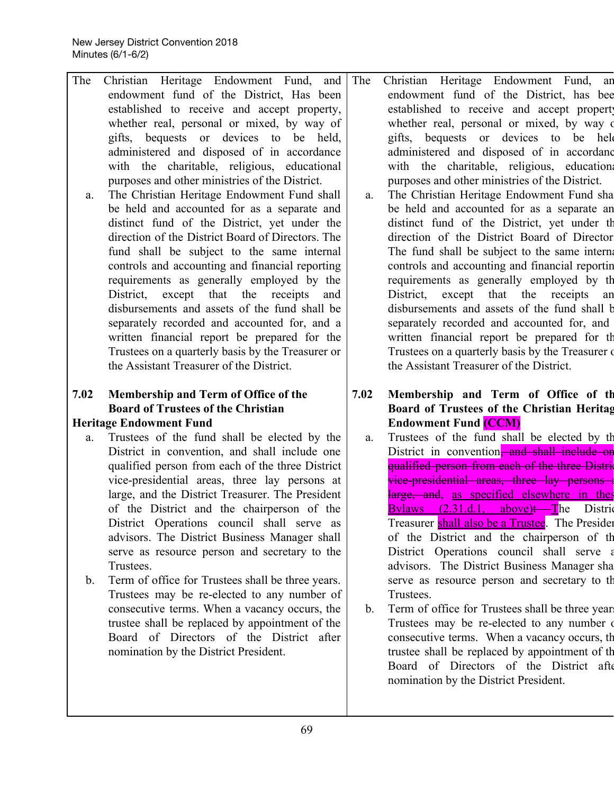The Christian Heritage Endowment Fund, and endowment fund of the District, Has been established to receive and accept property, whether real, personal or mixed, by way of gifts, bequests or devices to be held, administered and disposed of in accordance with the charitable, religious, educational purposes and other ministries of the District. a. The Christian Heritage Endowment Fund shall be held and accounted for as a separate and distinct fund of the District, yet under the direction of the District Board of Directors. The fund shall be subject to the same internal controls and accounting and financial reporting requirements as generally employed by the District, except that the receipts and disbursements and assets of the fund shall be separately recorded and accounted for, and a written financial report be prepared for the Trustees on a quarterly basis by the Treasurer or the Assistant Treasurer of the District. The Christian Heritage Endowment Fund, an endowment fund of the District, has bee established to receive and accept propert whether real, personal or mixed, by way of gifts, bequests or devices to be held administered and disposed of in accordanc with the charitable, religious, education purposes and other ministries of the District. a. The Christian Heritage Endowment Fund sha be held and accounted for as a separate an distinct fund of the District, yet under th direction of the District Board of Director The fund shall be subject to the same internationally controls and accounting and financial reportin requirements as generally employed by th District, except that the receipts an disbursements and assets of the fund shall b separately recorded and accounted for, and written financial report be prepared for th Trustees on a quarterly basis by the Treasurer of the Assistant Treasurer of the District.

#### **7.02 Membership and Term of Office of the Board of Trustees of the Christian Heritage Endowment Fund**

- a. Trustees of the fund shall be elected by the District in convention, and shall include one qualified person from each of the three District vice-presidential areas, three lay persons at large, and the District Treasurer. The President of the District and the chairperson of the District Operations council shall serve as advisors. The District Business Manager shall serve as resource person and secretary to the Trustees.
- b. Term of office for Trustees shall be three years. Trustees may be re-elected to any number of consecutive terms. When a vacancy occurs, the trustee shall be replaced by appointment of the Board of Directors of the District after nomination by the District President.
- **7.02 Membership and Term of Office of th Board of Trustees of the Christian Heritag Endowment Fund (CCM)**
	- a. Trustees of the fund shall be elected by th District in convention, and shall include or qualified person from each of the three Distrivice-presidential areas, three lay persons large, and, as specified elsewhere in thes Bylaws  $(2.31.d.1, above)$ t The District Treasurer shall also be a Trustee. The Presiden of the District and the chairperson of th District Operations council shall serve a advisors. The District Business Manager sha serve as resource person and secretary to th Trustees.
	- b. Term of office for Trustees shall be three year Trustees may be re-elected to any number of consecutive terms. When a vacancy occurs, th trustee shall be replaced by appointment of th Board of Directors of the District afte nomination by the District President.